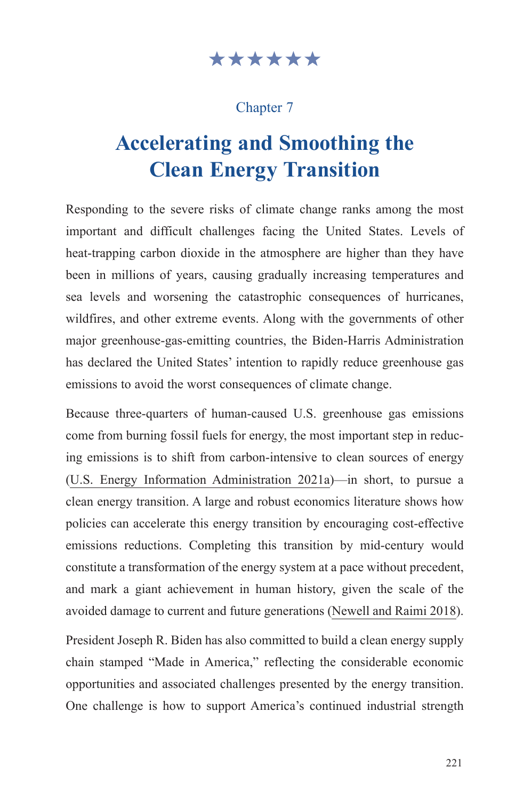# \*\*\*\*\*\*

## Chapter 7

# **Accelerating and Smoothing the Clean Energy Transition**

Responding to the severe risks of climate change ranks among the most important and difficult challenges facing the United States. Levels of heat-trapping carbon dioxide in the atmosphere are higher than they have been in millions of years, causing gradually increasing temperatures and sea levels and worsening the catastrophic consequences of hurricanes, wildfires, and other extreme events. Along with the governments of other major greenhouse-gas-emitting countries, the Biden-Harris Administration has declared the United States' intention to rapidly reduce greenhouse gas emissions to avoid the worst consequences of climate change.

Because three-quarters of human-caused U.S. greenhouse gas emissions come from burning fossil fuels for energy, the most important step in reducing emissions is to shift from carbon-intensive to clean sources of energy ([U.S. Energy Information Administration 2021a\)](https://www.eia.gov/energyexplained/energy-and-the-environment/where-greenhouse-gases-come-from.php)—in short, to pursue a clean energy transition. A large and robust economics literature shows how policies can accelerate this energy transition by encouraging cost-effective emissions reductions. Completing this transition by mid-century would constitute a transformation of the energy system at a pace without precedent, and mark a giant achievement in human history, given the scale of the avoided damage to current and future generations ([Newell and Raimi 2018\)](https://www.rff.org/publications/issue-briefs/the-new-climate-math-energy-addition-subtraction-and-transition/).

President Joseph R. Biden has also committed to build a clean energy supply chain stamped "Made in America," reflecting the considerable economic opportunities and associated challenges presented by the energy transition. One challenge is how to support America's continued industrial strength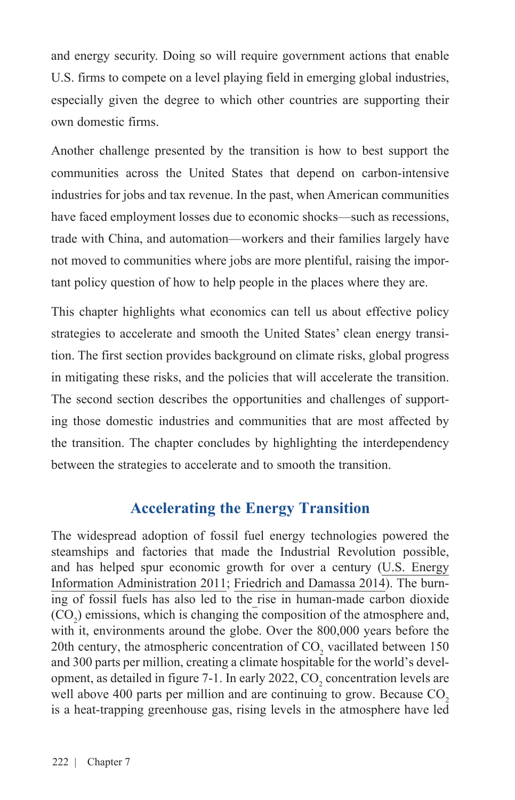and energy security. Doing so will require government actions that enable U.S. firms to compete on a level playing field in emerging global industries, especially given the degree to which other countries are supporting their own domestic firms.

Another challenge presented by the transition is how to best support the communities across the United States that depend on carbon-intensive industries for jobs and tax revenue. In the past, when American communities have faced employment losses due to economic shocks—such as recessions, trade with China, and automation—workers and their families largely have not moved to communities where jobs are more plentiful, raising the important policy question of how to help people in the places where they are.

This chapter highlights what economics can tell us about effective policy strategies to accelerate and smooth the United States' clean energy transition. The first section provides background on climate risks, global progress in mitigating these risks, and the policies that will accelerate the transition. The second section describes the opportunities and challenges of supporting those domestic industries and communities that are most affected by the transition. The chapter concludes by highlighting the interdependency between the strategies to accelerate and to smooth the transition.

# **Accelerating the Energy Transition**

The widespread adoption of fossil fuel energy technologies powered the steamships and factories that made the Industrial Revolution possible, and has helped spur economic growth for over a century ([U.S. Energy](https://www.eia.gov/todayinenergy/detail.php?id=10)  [Information Administration 2011](https://www.eia.gov/todayinenergy/detail.php?id=10); [Friedrich and Damassa 2014\)](https://www.wri.org/insights/history-carbon-dioxide-emissions). The burning of fossil fuels has also led to the rise in human-made carbon dioxide  $(CO<sub>2</sub>)$  emissions, which is changing the composition of the atmosphere and, with it, environments around the globe. Over the 800,000 years before the 20th century, the atmospheric concentration of  $CO_2$  vacillated between 150 and 300 parts per million, creating a climate hospitable for the world's development, as detailed in figure 7-1. In early 2022,  $CO_2$  concentration levels are well above 400 parts per million and are continuing to grow. Because  $CO<sub>2</sub>$ is a heat-trapping greenhouse gas, rising levels in the atmosphere have led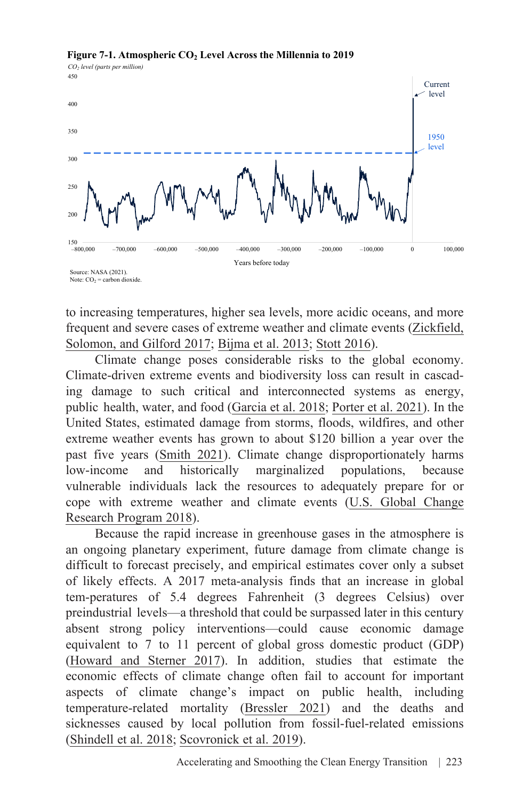

#### **Figure 7-1. Atmospheric CO2 Level Across the Millennia to 2019**

to increasing temperatures, higher sea levels, more acidic oceans, and more frequent and severe cases of extreme weather and climate events ([Zickfield,](https://www.pnas.org/doi/10.1073/pnas.1612066114)  [Solomon, and Gilford 2017](https://www.pnas.org/doi/10.1073/pnas.1612066114); [Bijma et al. 2013;](https://citeseerx.ist.psu.edu/viewdoc/download?doi=10.1.1.404.6139&rep=rep1&type=pdf) [Stott 2016\)](https://www.science.org/doi/pdf/10.1126/science.aaf7271).

Climate change poses considerable risks to the global economy. Climate-driven extreme events and biodiversity loss can result in cascading damage to such critical and interconnected systems as energy, public health, water, and food [\(Garcia et al. 2018](https://files.epi.org/pdf/205622.pdf); [Porter et al. 2021](https://ipbes.net/sites/default/files/2021-06/20210609_workshop_report_embargo_3pm_CEST_10_june_0.pdf)). In the United States, estimated damage from storms, floods, wildfires, and other extreme weather events has grown to about \$120 billion a year over the past five years [\(Smith 2021\)](https://www.climate.gov/disasters2020). Climate change disproportionately harms low-income and historically marginalized populations, because vulnerable individuals lack the resources to adequately prepare for or [cope with extreme weather and climate events \(U.S. Global Change](https://nca2018.globalchange.gov/) Research Program 2018).

Because the rapid increase in greenhouse gases in the atmosphere is an ongoing planetary experiment, future damage from climate change is difficult to forecast precisely, and empirical estimates cover only a subset of likely effects. A 2017 meta-analysis finds that an increase in global tem-peratures of 5.4 degrees Fahrenheit (3 degrees Celsius) over preindustrial levels—a threshold that could be surpassed later in this century absent strong policy interventions—could cause economic damage equivalent to 7 to 11 percent of global gross domestic product (GDP) ([Howard and Sterner 2017](https://link.springer.com/article/10.1007/s10640-017-0166-z)). In addition, studies that estimate the economic effects of climate change often fail to account for important aspects of climate change's impact on public health, including temperature-related mortality ([Bressler 2021\)](https://www.nature.com/articles/s41467-021-24487-w) and the deaths and sicknesses caused by local pollution from fossil-fuel-related emissions ([Shindell et al. 2018;](https://www.ncbi.nlm.nih.gov/pmc/articles/PMC5880221/?fbclid=IwAR3zMA7ZktUK5U3hcB9HrtwPHjtG6LNFFwjtU0BbIWGcGvRBMssBSYxYo1I) [Scovronick et al. 2019](https://www.nature.com/articles/s41467-019-09499-x)).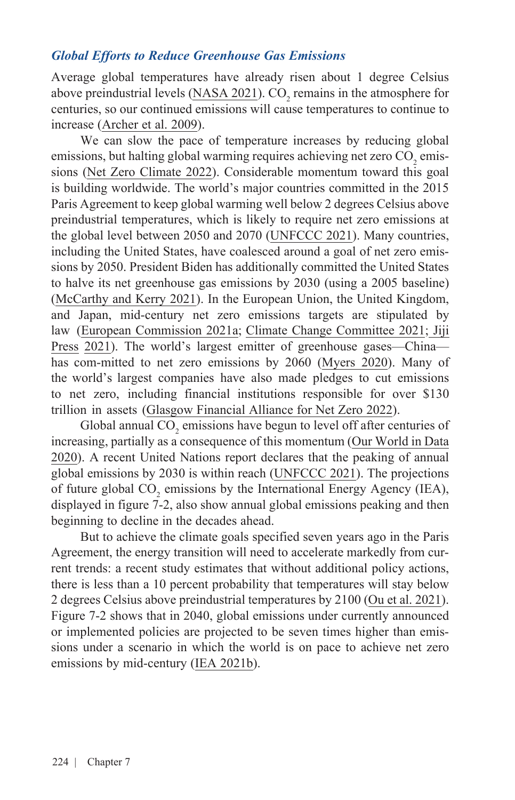#### *Global Efforts to Reduce Greenhouse Gas Emissions*

Average global temperatures have already risen about 1 degree Celsius above preindustrial levels ( $\underline{NASA}$  2021). CO<sub>2</sub> remains in the atmosphere for centuries, so our continued emissions will cause temperatures to continue to increase ([Archer et al. 2009](https://www.annualreviews.org/doi/abs/10.1146/annurev.earth.031208.100206)).

We can slow the pace of temperature increases by reducing global emissions, but halting global warming requires achieving net zero  $\mathrm{CO}_2$  emissions [\(Net Zero Climate 2022](https://netzeroclimate.org/what-is-net-zero/)). Considerable momentum toward this goal is building worldwide. The world's major countries committed in the 2015 Paris Agreement to keep global warming well below 2 degrees Celsius above preindustrial temperatures, which is likely to require net zero emissions at the global level between 2050 and 2070 ([UNFCCC 2021](https://unfccc.int/sites/default/files/resource/cma2021_08_adv_1.pdf)). Many countries, including the United States, have coalesced around a goal of net zero emissions by 2050. President Biden has additionally committed the United States to halve its net greenhouse gas emissions by 2030 (using a 2005 baseline) ([McCarthy and Kerry 2021](https://www4.unfccc.int/sites/ndcstaging/PublishedDocuments/United%20States%20of%20America%20First/United%20States%20NDC%20April%2021%202021%20Final.pdf)). In the European Union, the United Kingdom, and Japan, mid-century net zero emissions targets are stipulated by [law \(European Commission 2021a; Climate Change Committee 2021;](https://www.nippon.com/en/news/yjj2021052600187/) Jiji Press [2021\)](https://www.nippon.com/en/news/yjj2021052600187/). The world's largest emitter of greenhouse gases—China has com-mitted to net zero emissions by 2060 [\(Myers 2020](https://www.nytimes.com/2020/09/23/world/asia/china-climate-change.html)). Many of the world's largest companies have also made pledges to cut emissions to net zero, including financial institutions responsible for over \$130 trillion in assets [\(Glasgow Financial Alliance for Net Zero 2022\).](https://www.gfanzero.com/about/)

Global annual  $\mathrm{CO}_2$  emissions have begun to level off after centuries of increasing, partially as a consequence of this momentum [\(Our World in Data](https://ourworldindata.org/grapher/cumulative-co-emissions)  [2020\)](https://ourworldindata.org/grapher/cumulative-co-emissions). A recent United Nations report declares that the peaking of annual global emissions by 2030 is within reach [\(UNFCCC 2021\)](https://unfccc.int/sites/default/files/resource/cma2021_08_adv_1.pdf). The projections of future global  $CO_2$  emissions by the International Energy Agency (IEA), displayed in figure 7-2, also show annual global emissions peaking and then beginning to decline in the decades ahead.

But to achieve the climate goals specified seven years ago in the Paris Agreement, the energy transition will need to accelerate markedly from current trends: a recent study estimates that without additional policy actions, there is less than a 10 percent probability that temperatures will stay below 2 degrees Celsius above preindustrial temperatures by 2100 ([Ou et al. 2021\)](https://www.science.org/doi/pdf/10.1126/science.abl8976). Figure 7-2 shows that in 2040, global emissions under currently announced or implemented policies are projected to be seven times higher than emissions under a scenario in which the world is on pace to achieve net zero emissions by mid-century [\(IEA 2021b\)](https://www.iea.org/topics/energy-security).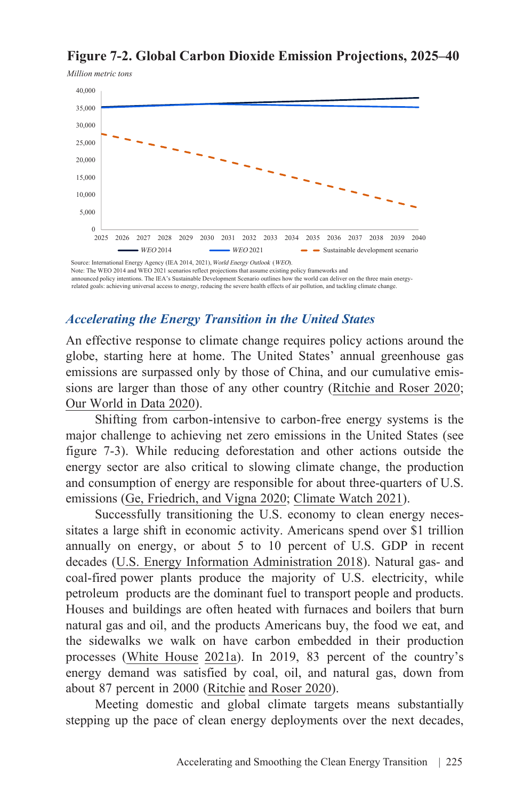### **Figure 7-2. Global Carbon Dioxide Emission Projections, 2025–40**



Note: The WEO 2014 and WEO 2021 scenarios reflect projections that assume existing policy frameworks and announced policy intentions. The IEA's Sustainable Development Scenario outlines how the world can deliver on the three main energyrelated goals: achieving universal access to energy, reducing the severe health effects of air pollution, and tackling climate change.

#### *Accelerating the Energy Transition in the United States*

An effective response to climate change requires policy actions around the globe, starting here at home. The United States' annual greenhouse gas emissions are surpassed only by those of China, and our cumulative emissions are larger than those of any other country [\(Ritchie and Roser 2020;](https://ourworldindata.org/co2-and-other-greenhouse-gas-emissions) [Our World in Data 2020](https://ourworldindata.org/grapher/cumulative-co-emissions)).

Shifting from carbon-intensive to carbon-free energy systems is the major challenge to achieving net zero emissions in the United States (see figure 7-3). While reducing deforestation and other actions outside the energy sector are also critical to slowing climate change, the production and consumption of energy are responsible for about three-quarters of U.S. emissions ([Ge, Friedrich, and Vigna 2020](https://www.wri.org/insights/4-charts-explain-greenhouse-gas-emissions-countries-and-sectors); [Climate Watch 2021\)](https://www.climatewatchdata.org/ghg-emissions?end_year=2018&start_year=1990).

Successfully transitioning the U.S. economy to clean energy necessitates a large shift in economic activity. Americans spend over \$1 trillion annually on energy, or about 5 to 10 percent of U.S. GDP in recent decades [\(U.S. Energy Information Administration 2018](https://www.eia.gov/todayinenergy/detail.php?id=36754#:~:text=Expressed%20as%20a%20percent%20of,lowest%20since%20at%20least%201970)). Natural gas- and coal-fired power plants produce the majority of U.S. electricity, while petroleum products are the dominant fuel to transport people and products. Houses and buildings are often heated with furnaces and boilers that burn natural gas and oil, and the products Americans buy, the food we eat, and the sidewalks we walk on have carbon embedded in their production processes ([White House 2021a](https://unfccc.int/files/focus/long-term_strategies/application/pdf/mid_century_strategy_report-final_red.pdf)). In 2019, 83 percent of the country's energy demand was satisfied by coal, oil, and natural gas, down from about 87 percent in 2000 ([Ritchie and Roser 2020](https://ourworldindata.org/co2-and-other-greenhouse-gas-emissions)).

Meeting domestic and global climate targets means substantially stepping up the pace of clean energy deployments over the next decades,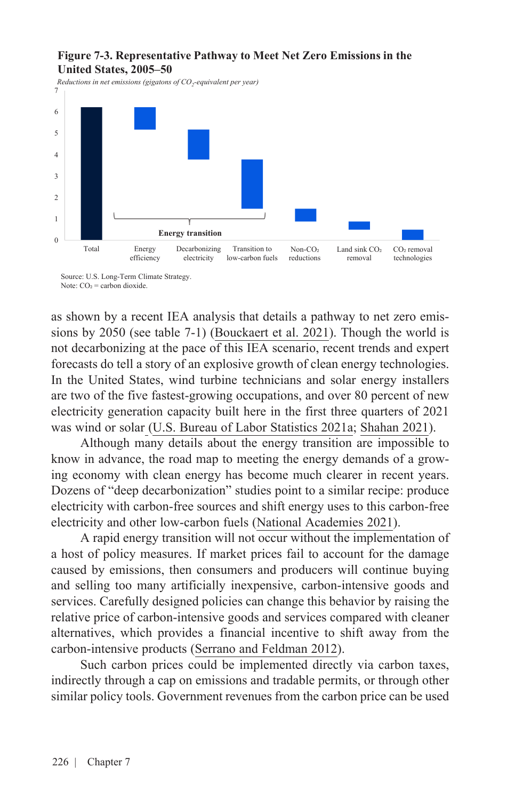#### **Figure 7-3. Representative Pathway to Meet Net Zero Emissions in the United States, 2005–50**

*Reductions in net emissions (gigatons of CO2-equivalent per year)* 7



Source: U.S. Long-Term Climate Strategy. Note:  $CO<sub>2</sub> =$  carbon dioxide.

as shown by a recent IEA analysis that details a pathway to net zero emissions by 2050 (see table 7-1) [\(Bouckaert et al. 2021](https://iea.blob.core.windows.net/assets/beceb956-0dcf-4d73-89fe-1310e3046d68/NetZeroby2050-ARoadmapfortheGlobalEnergySector_CORR.pdf)). Though the world is not decarbonizing at the pace of this IEA scenario, recent trends and expert forecasts do tell a story of an explosive growth of clean energy technologies. In the United States, wind turbine technicians and solar energy installers are two of the five fastest-growing occupations, and over 80 percent of new electricity generation capacity built here in the first three quarters of 2021 was wind or solar [\(U.S. Bureau of Labor Statistics 2021a](https://www.bls.gov/ooh/fastest-growing.htm); [Shahan 2021](https://cleantechnica.com/2021/12/27/wind-solar-86-of-new-us-power-capacity-in-january-october/)).

Although many details about the energy transition are impossible to know in advance, the road map to meeting the energy demands of a growing economy with clean energy has become much clearer in recent years. Dozens of "deep decarbonization" studies point to a similar recipe: produce electricity with carbon-free sources and shift energy uses to this carbon-free electricity and other low-carbon fuels ([National Academies 2021\)](https://www.nationalacademies.org/our-work/accelerating-decarbonization-in-the-united-states-technology-policy-and-societal-dimensions).

A rapid energy transition will not occur without the implementation of a host of policy measures. If market prices fail to account for the damage caused by emissions, then consumers and producers will continue buying and selling too many artificially inexpensive, carbon-intensive goods and services. Carefully designed policies can change this behavior by raising the relative price of carbon-intensive goods and services compared with cleaner alternatives, which provides a financial incentive to shift away from the carbon-intensive products [\(Serrano and Feldman 2012](https://www.google.com/books/edition/A_Short_Course_in_Intermediate_Microecon/DixnJaRWHjEC?hl=en)).

Such carbon prices could be implemented directly via carbon taxes, indirectly through a cap on emissions and tradable permits, or through other similar policy tools. Government revenues from the carbon price can be used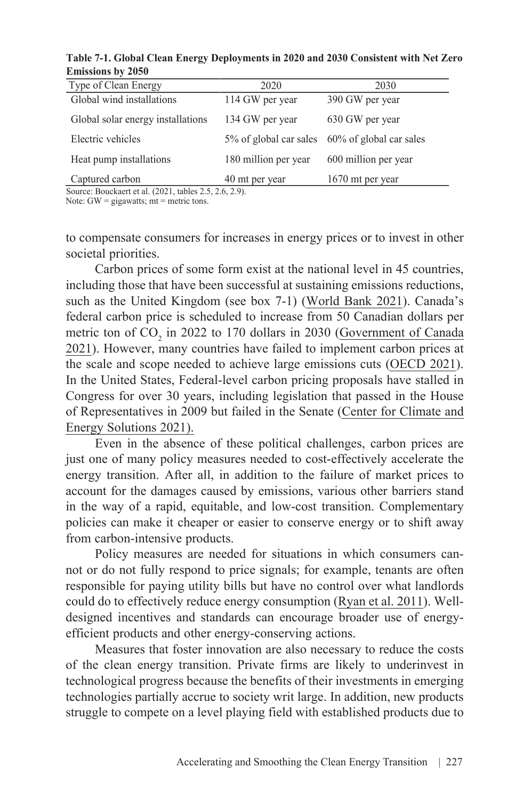| Table 7-1. Global Clean Energy Deployments in 2020 and 2030 Consistent with Net Zero |  |  |
|--------------------------------------------------------------------------------------|--|--|
| <b>Emissions by 2050</b>                                                             |  |  |

| Type of Clean Energy              | 2020                 | 2030                                           |
|-----------------------------------|----------------------|------------------------------------------------|
| Global wind installations         | 114 GW per year      | 390 GW per year                                |
| Global solar energy installations | 134 GW per year      | 630 GW per year                                |
| Electric vehicles                 |                      | 5% of global car sales 60% of global car sales |
| Heat pump installations           | 180 million per year | 600 million per year                           |
| Captured carbon                   | 40 mt per year       | 1670 mt per year                               |

Source: Bouckaert et al. (2021, tables 2.5, 2.6, 2.9).

Note:  $GW =$  gigawatts;  $mt =$  metric tons.

to compensate consumers for increases in energy prices or to invest in other societal priorities.

Carbon prices of some form exist at the national level in 45 countries, including those that have been successful at sustaining emissions reductions, such as the United Kingdom (see box 7-1) [\(World Bank 2021\)](https://carbonpricingdashboard.worldbank.org/). Canada's federal carbon price is scheduled to increase from 50 Canadian dollars per metric ton of  $CO_2$  in 2022 to 170 dollars in 2030 (Government of Canada [2021\). However, many countries have failed to implement carbon prices at](https://www.canada.ca/en/environment-climate-change/services/climate-change/pricing-pollution-how-it-will-work/carbon-pollution-pricing-federal-benchmark-information.html) the scale and scope needed to achieve large emissions cuts [\(OECD 2021\)](https://www.oecd-ilibrary.org/docserver/0e8e24f5-en.pdf?expires=1648070600&id=id&accname=ocid49017102b&checksum=5805A65FD4D1AA1BBD0DE2477C3286FC). In the United States, Federal-level carbon pricing proposals have stalled in Congress for over 30 years, including legislation that passed in the House of Representatives in 2009 but failed in the Senate ([Center for Climate and](https://www.oecd-ilibrary.org/docserver/0e8e24f5-en.pdf?expires=1648070600&id=id&accname=ocid49017102b&checksum=5805A65FD4D1AA1BBD0DE2477C3286FC)  [Energy Solutions 2021\).](https://www.oecd-ilibrary.org/docserver/0e8e24f5-en.pdf?expires=1648070600&id=id&accname=ocid49017102b&checksum=5805A65FD4D1AA1BBD0DE2477C3286FC)

Even in the absence of these political challenges, carbon prices are just one of many policy measures needed to cost-effectively accelerate the energy transition. After all, in addition to the failure of market prices to account for the damages caused by emissions, various other barriers stand in the way of a rapid, equitable, and low-cost transition. Complementary policies can make it cheaper or easier to conserve energy or to shift away from carbon-intensive products.

Policy measures are needed for situations in which consumers cannot or do not fully respond to price signals; for example, tenants are often responsible for paying utility bills but have no control over what landlords could do to effectively reduce energy consumption ([Ryan et al. 2011\)](https://iea.blob.core.windows.net/assets/e9dd1ffd-be5b-4c47-a2b2-2dc29e10a659/EE_Carbon_Pricing.pdf). Welldesigned incentives and standards can encourage broader use of energyefficient products and other energy-conserving actions.

Measures that foster innovation are also necessary to reduce the costs of the clean energy transition. Private firms are likely to underinvest in technological progress because the benefits of their investments in emerging technologies partially accrue to society writ large. In addition, new products struggle to compete on a level playing field with established products due to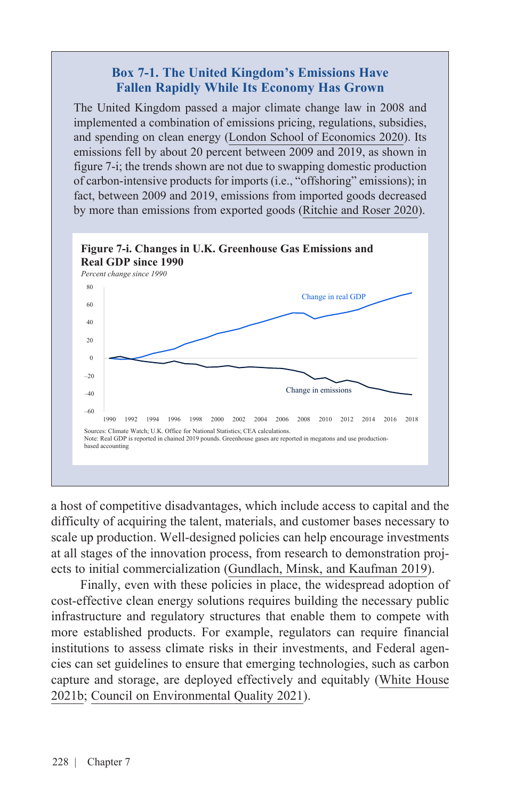#### **Box 7-1. The United Kingdom's Emissions Have Fallen Rapidly While Its Economy Has Grown**

The United Kingdom passed a major climate change law in 2008 and implemented a combination of emissions pricing, regulations, subsidies, and spending on clean energy ([London School of Economics 2020\)](https://www.lse.ac.uk/granthaminstitute/explainers/what-is-the-2008-climate-change-act/). Its emissions fell by about 20 percent between 2009 and 2019, as shown in figure 7-i; the trends shown are not due to swapping domestic production of carbon-intensive products for imports (i.e., "offshoring" emissions); in fact, between 2009 and 2019, emissions from imported goods decreased by more than emissions from exported goods ([Ritchie and Roser 2020\)](https://ourworldindata.org/co2-and-other-greenhouse-gas-emissions).



a host of competitive disadvantages, which include access to capital and the difficulty of acquiring the talent, materials, and customer bases necessary to scale up production. Well-designed policies can help encourage investments at all stages of the innovation process, from research to demonstration projects to initial commercialization ([Gundlach, Minsk, and Kaufman 2019](https://www.ourenergypolicy.org/wp-content/uploads/2019/03/CarbonTaxPolicyInteractions-CGEP_Report_030419.pdf)).

Finally, even with these policies in place, the widespread adoption of cost-effective clean energy solutions requires building the necessary public infrastructure and regulatory structures that enable them to compete with more established products. For example, regulators can require financial institutions to assess climate risks in their investments, and Federal agencies can set guidelines to ensure that emerging technologies, such as carbon capture and storage, are deployed effectively and equitably [\(White House](https://www.whitehouse.gov/wp-content/uploads/2021/10/Climate-Finance-Report.pdf)  [2021b;](https://www.whitehouse.gov/wp-content/uploads/2021/10/Climate-Finance-Report.pdf) [Council on Environmental Quality](https://www.whitehouse.gov/wp-content/uploads/2021/06/CEQ-CCUS-Permitting-Report.pdf) 2021).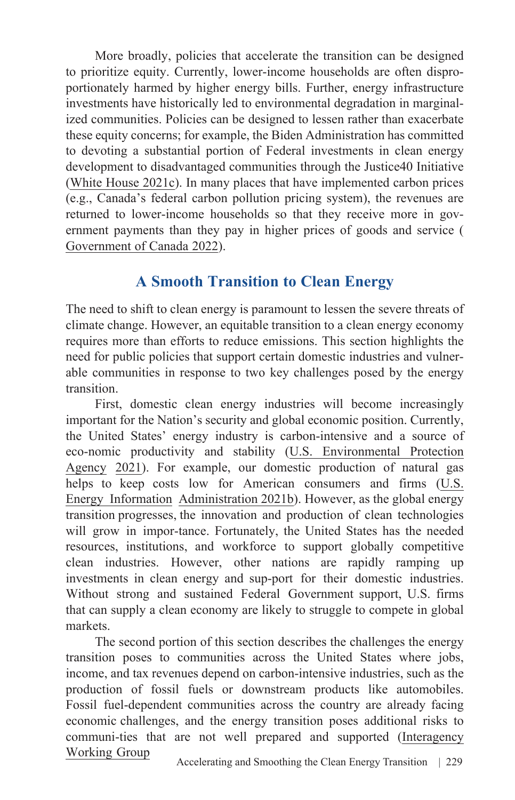More broadly, policies that accelerate the transition can be designed to prioritize equity. Currently, lower-income households are often disproportionately harmed by higher energy bills. Further, energy infrastructure investments have historically led to environmental degradation in marginalized communities. Policies can be designed to lessen rather than exacerbate these equity concerns; for example, the Biden Administration has committed to devoting a substantial portion of Federal investments in clean energy development to disadvantaged communities through the Justice40 Initiative ([White House 2021c\)](https://www.whitehouse.gov/omb/briefing-room/2021/07/20/the-path-to-achieving-justice40/). In many places that have implemented carbon prices (e.g., Canada's federal carbon pollution pricing system), the revenues are returned to lower-income households so that they receive more in government payments than they pay in higher prices of goods and service ( Government of Canada 2022).

# **A Smooth Transition to Clean Energy**

The need to shift to clean energy is paramount to lessen the severe threats of climate change. However, an equitable transition to a clean energy economy requires more than efforts to reduce emissions. This section highlights the need for public policies that support certain domestic industries and vulnerable communities in response to two key challenges posed by the energy transition.

First, domestic clean energy industries will become increasingly important for the Nation's security and global economic position. Currently, the United States' energy industry is carbon-intensive and a source of eco-nomic productivity and stability (U.S. Environmental Protection [Agency 2021\). For example, our domestic production of natural gas](https://www.epa.gov/ghgemissions/sources-greenhouse-gas-emissions) [helps to keep costs low for American consumers and firms \(U.S.](https://www.eia.gov/energyexplained/natural-gas/imports-and-exports.php) Energy Information [Administration 2021b](https://www.eia.gov/energyexplained/natural-gas/imports-and-exports.php)). However, as the global energy transition progresses, the innovation and production of clean technologies will grow in impor-tance. Fortunately, the United States has the needed resources, institutions, and workforce to support globally competitive clean industries. However, other nations are rapidly ramping up investments in clean energy and sup-port for their domestic industries. Without strong and sustained Federal Government support, U.S. firms that can supply a clean economy are likely to struggle to compete in global markets.

The second portion of this section describes the challenges the energy transition poses to communities across the United States where jobs, income, and tax revenues depend on carbon-intensive industries, such as the production of fossil fuels or downstream products like automobiles. Fossil fuel-dependent communities across the country are already facing economic challenges, and the energy transition poses additional risks to [communi-ties that are not well prepared and supported \(Interagency](https://netl.doe.gov/sites/default/files/2021-04/Initial%20Report%20on%20Energy%20Communities_Apr2021.pdf) Working Group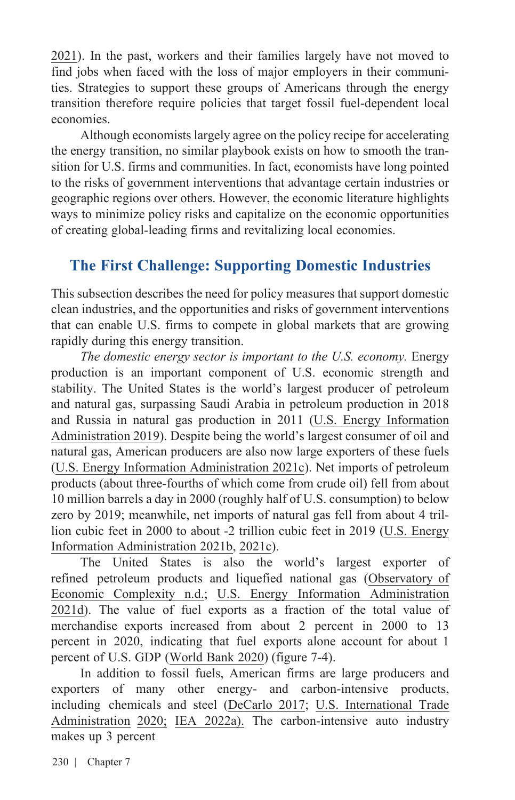[2021\).](https://netl.doe.gov/sites/default/files/2021-04/Initial%20Report%20on%20Energy%20Communities_Apr2021.pdf) In the past, workers and their families largely have not moved to find jobs when faced with the loss of major employers in their communities. Strategies to support these groups of Americans through the energy transition therefore require policies that target fossil fuel-dependent local economies.

Although economists largely agree on the policy recipe for accelerating the energy transition, no similar playbook exists on how to smooth the transition for U.S. firms and communities. In fact, economists have long pointed to the risks of government interventions that advantage certain industries or geographic regions over others. However, the economic literature highlights ways to minimize policy risks and capitalize on the economic opportunities of creating global-leading firms and revitalizing local economies.

# **The First Challenge: Supporting Domestic Industries**

This subsection describes the need for policy measures that support domestic clean industries, and the opportunities and risks of government interventions that can enable U.S. firms to compete in global markets that are growing rapidly during this energy transition.

The domestic energy sector is important to the U.S. economy. Energy production is an important component of U.S. economic strength and stability. The United States is the world's largest producer of petroleum and natural gas, surpassing Saudi Arabia in petroleum production in 2018 and Russia in natural gas production in 2011 ([U.S. Energy Information](https://www.eia.gov/todayinenergy/detail.php?id=40973)  [Administration 2019\).](https://www.eia.gov/todayinenergy/detail.php?id=40973) Despite being the world's largest consumer of oil and natural gas, American producers are also now large exporters of these fuels ([U.S. Energy Information Administration 2021c](https://www.eia.gov/international/data/world/natural-gas/dry-natural-gas%09consumption?pd=3002&p=0000000g&u=0&f=A&v=mapbubble&a=%09&i=none&vo=value&t=C&g=0000000000000000000000000000000000000000000000%09001&l=249%09ruvvvvvfvtvnvv1vrvvvvfvvvvvvfvvvou20evvvvvvvvvvnvvvs0008&s=315532800000&%09=1577836800000&)). Net imports of petroleum products (about three-fourths of which come from crude oil) fell from about 10 million barrels a day in 2000 (roughly half of U.S. consumption) to below zero by 2019; meanwhile, net imports of natural gas fell from about 4 trillion cubic feet in 2000 to about -2 trillion cubic feet in 2019 (U.S. [Energy](https://www.eia.gov/todayinenergy/detail.php?id=40973)  [Information Administration 2021b](https://www.eia.gov/todayinenergy/detail.php?id=40973), [2021c](https://www.eia.gov/international/data/world/natural-gas/dry-natural-gas%09consumption?pd=3002&p=0000000g&u=0&f=A&v=mapbubble&a=%09&i=none&vo=value&t=C&g=0000000000000000000000000000000000000000000000%09001&l=249%09ruvvvvvfvtvnvv1vrvvvvfvvvvvvfvvvou20evvvvvvvvvvnvvvs0008&s=315532800000&%09=1577836800000&)).

The United States is also the world's largest exporter of [refined petroleum products and liquefied national gas \(](https://oec.world/en/profile/hs92/refined-petroleum?redirect=true)Observatory of Economic Complexity n.d.; U.S. Energy Information Administration [2021d\). The value of fuel exports as a fraction of the total value of](https://www.eia.gov/energyexplained/oil-and-petroleum-products/imports-and-exports.php) merchandise exports increased from about 2 percent in 2000 to 13 percent in 2020, indicating that fuel exports alone account for about 1 percent of U.S. GDP [\(World Bank 2020\)](https://data.worldbank.org/indicator/TX.VAL.FUEL.ZS.UN) (figure 7-4).

In addition to fossil fuels, American firms are large producers and exporters of many other energy- and carbon-intensive products, [including chemicals and steel \(](https://legacy.trade.gov/steel/countries/pdfs/exports-us.pdf)[DeCarlo 2017](https://www.usitc.gov/research_and_analysis/trade_shifts_2017/chemicals.htm)[; U.S. International Trade](https://legacy.trade.gov/steel/countries/pdfs/exports-us.pdf) Administration [2020;](https://legacy.trade.gov/steel/countries/pdfs/exports-us.pdf) [IEA 2022a](https://www.iea.org/reports/chemicals)). The carbon-intensive auto industry makes up 3 percent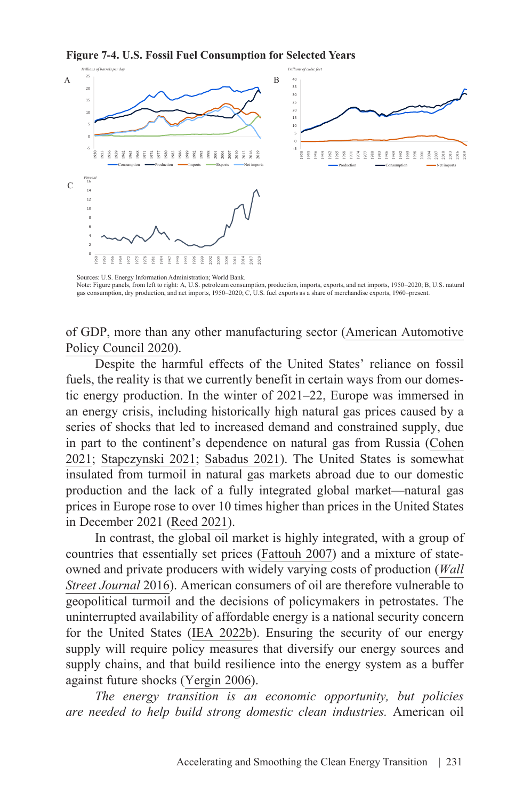**Figure 7-4. U.S. Fossil Fuel Consumption for Selected Years**



Sources: U.S. Energy Information Administration; World Bank. Note: Figure panels, from left to right: A, U.S. petroleum consumption, production, imports, exports, and net imports, 1950–2020; B, U.S. natural gas consumption, dry production, and net imports, 1950–2020; C, U.S. fuel exports as a share of merchandise exports, 1960–present.

of GDP, more than any other manufacturing sector ([American Automotive](https://www.americanautomakers.org/us-economic-contributions) [Policy Council 2020\)](https://www.americanautomakers.org/us-economic-contributions).

Despite the harmful effects of the United States' reliance on fossil fuels, the reality is that we currently benefit in certain ways from our domestic energy production. In the winter of 2021–22, Europe was immersed in an energy crisis, including historically high natural gas prices caused by a series of shocks that led to increased demand and constrained supply, due in part to the continent's dependence on natural gas from Russia ([Cohen](https://www.forbes.com/sites/arielcohen/2021/10/14/europes-self-inflicted-energy-crisis/?sh=5d23b4c02af3) [2021;](https://www.forbes.com/sites/arielcohen/2021/10/14/europes-self-inflicted-energy-crisis/?sh=5d23b4c02af3) [Stapczynski 2021;](https://www.bloomberg.com/news/articles/2021-09-27/europe-s-energy-crisis-is-about-to-go-global-as-gas-prices-soar) [Sabadus 2021](https://www.atlanticcouncil.org/blogs/ukrainealert/europes-energy-crisis-highlights-dangers-of-reliance-on-russia/)). The United States is somewhat insulated from turmoil in natural gas markets abroad due to our domestic production and the lack of a fully integrated global market—natural gas prices in Europe rose to over 10 times higher than prices in the United States in December 2021 [\(Reed 2021](https://www.nytimes.com/2021/12/15/business/europe-natural-gas-prices.html)).

In contrast, the global oil market is highly integrated, with a group of countries that essentially set prices ([Fattouh 2007\)](https://a9w7k6q9.stackpathcdn.com/wpcms/wp-content/uploads/2010/11/WPM31-OPECPricingPowerTheNeedForANewPerspective-BassamFattouh-2007.pdf) and a mixture of stateowned and private producers with widely varying costs of production (*[Wall](http://graphics.wsj.com/oil-barrel-breakdown/) [Street Journal](http://graphics.wsj.com/oil-barrel-breakdown/)* 2016). American consumers of oil are therefore vulnerable to geopolitical turmoil and the decisions of policymakers in petrostates. The uninterrupted availability of affordable energy is a national security concern for the United States (IEA [2022b](https://www.iea.org/topics/energy-security)). Ensuring the security of our energy supply will require policy measures that diversify our energy sources and supply chains, and that build resilience into the energy system as a buffer against future shocks ([Yergin 2006](https://www.jstor.org/stable/pdf/20031912.pdf)).

*The energy transition is an economic opportunity, but policies are needed to help build strong domestic clean industries.* American oil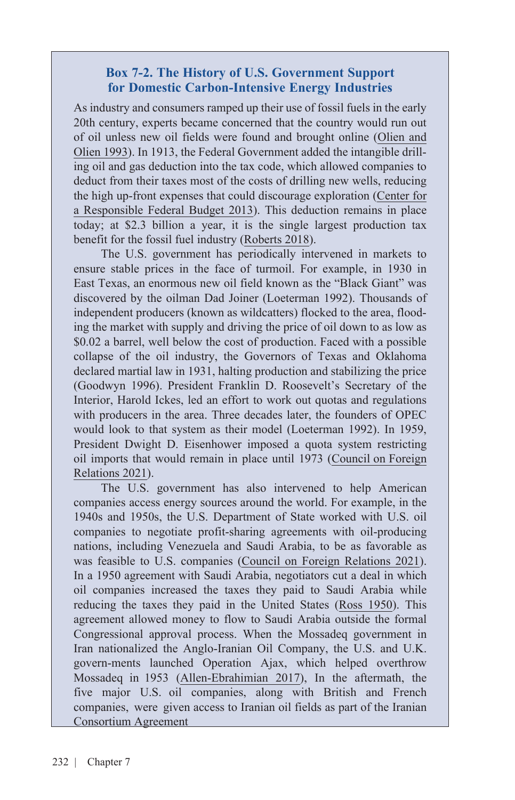#### **Box 7-2. The History of U.S. Government Support for Domestic Carbon-Intensive Energy Industries**

As industry and consumers ramped up their use of fossil fuels in the early 20th century, experts became concerned that the country would run out of oil unless new oil fields were found and brought online [\(Olien](http://www.jstor.org/stable/23702907) and [Olien 1993\)](http://www.jstor.org/stable/23702907). In 1913, the Federal Government added the intangible drilling oil and gas deduction into the tax code, which allowed companies to deduct from their taxes most of the costs of drilling new wells, reducing the high up-front expenses that could discourage exploration (Center for [a Responsible Federal Budget 2013\). This deduction remains in place](https://www.crfb.org/blogs/tax-break-down-intangible-drilling-costs#:~:text=The%20deduction%20for%20intangible%20drilling%20costs%20allows%20oil%20and%20gas,of%20oil%20and%20gas%20exploration.)  today; at \$2.3 billion a year, it is the single largest production tax benefit for the fossil fuel industry [\(Roberts 2018](https://www.vox.com/energy-and-environment/2017/10/6/16428458/us-energy-coal-oil-subsidies#:~:text=Ukraine-,Friendly%20policies%20 keep%20US%20oil%20and%20coal%20afloat%20far%20more,more%20 of%20the%20dirty%20stuff)).

The U.S. government has periodically intervened in markets to ensure stable prices in the face of turmoil. For example, in 1930 in East Texas, an enormous new oil field known as the "Black Giant" was discovered by the oilman Dad Joiner (Loeterman 1992). Thousands of independent producers (known as wildcatters) flocked to the area, flooding the market with supply and driving the price of oil down to as low as \$0.02 a barrel, well below the cost of production. Faced with a possible collapse of the oil industry, the Governors of Texas and Oklahoma declared martial law in 1931, halting production and stabilizing the price (Goodwyn 1996). President Franklin D. Roosevelt's Secretary of the Interior, Harold Ickes, led an effort to work out quotas and regulations with producers in the area. Three decades later, the founders of OPEC would look to that system as their model (Loeterman 1992). In 1959, President Dwight D. Eisenhower imposed a quota system restricting [oil imports that would remain in place until 1973 \(Council on Foreign](https://www.cfr.org/timeline/oil-dependence-and-us-foreign-policy)  Relations 2021).

The U.S. government has also intervened to help American companies access energy sources around the world. For example, in the 1940s and 1950s, the U.S. Department of State worked with U.S. oil companies to negotiate profit-sharing agreements with oil-producing nations, including Venezuela and Saudi Arabia, to be as favorable as was feasible to U.S. companies ([Council on Foreign Relations 2021\)](https://www.cfr.org/timeline/oil-dependence-and-us-foreign-policy). In a 1950 agreement with Saudi Arabia, negotiators cut a deal in which oil companies increased the taxes they paid to Saudi Arabia while reducing the taxes they paid in the United States [\(Ross 1950](https://www.nytimes.com/1951/01/03/archives/saudi-arabia-gets-half-u-s-oil-profit-ibn-saud-and-aramco-agree-to.html)). This agreement allowed money to flow to Saudi Arabia outside the formal Congressional approval process. When the Mossadeq government in Iran nationalized the Anglo-Iranian Oil Company, the U.S. and U.K. govern-ments launched Operation Ajax, which helped overthrow Mossadeq in 1953 [\(Allen-Ebrahimian 2017](https://foreignpolicy.com/2017/06/20/64-years-later-cia-finally-releases-details-of-iranian-coup-iran-tehran-oil/)), In the aftermath, the five major U.S. oil companies, along with British and French companies, were given access to Iranian oil fields as part of the Iranian Consortium Agreement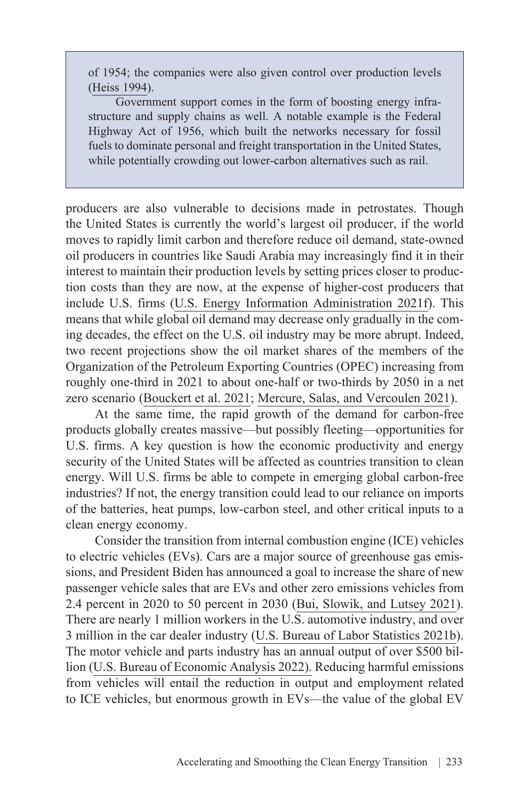of 1954; the companies were also given control over production levels ([Heiss 1994\)](https://www.jstor.org/stable/40107317).

Government support comes in the form of boosting energy infrastructure and supply chains as well. A notable example is the Federal Highway Act of 1956, which built the networks necessary for fossil fuels to dominate personal and freight transportation in the United States, while potentially crowding out lower-carbon alternatives such as rail.

producers are also vulnerable to decisions made in petrostates. Though the United States is currently the world's largest oil producer, if the world moves to rapidly limit carbon and therefore reduce oil demand, state-owned oil producers in countries like Saudi Arabia may increasingly find it in their interest to maintain their production levels by setting prices closer to production costs than they are now, at the expense of higher-cost producers that include U.S. firms [\(U.S. Energy Information Administration 2021f\)](https://www.eia.gov/tools/faqs/faq.php?id=709&t=6). This means that while global oil demand may decrease only gradually in the coming decades, the effect on the U.S. oil industry may be more abrupt. Indeed, two recent projections show the oil market shares of the members of the Organization of the Petroleum Exporting Countries (OPEC) increasing from roughly one-third in 2021 to about one-half or two-thirds by 2050 in a net zero scenario ([Bouckert et al. 2021;](https://www.iea.org/events/net-zero-by-2050-a-roadmap-for-the-global-energy-system) [Mercure, Salas, and Vercoulen 2021\)](https://www.nature.com/articles/s41560-021-00934-2.pdf).

At the same time, the rapid growth of the demand for carbon-free products globally creates massive—but possibly fleeting—opportunities for U.S. firms. A key question is how the economic productivity and energy security of the United States will be affected as countries transition to clean energy. Will U.S. firms be able to compete in emerging global carbon-free industries? If not, the energy transition could lead to our reliance on imports of the batteries, heat pumps, low-carbon steel, and other critical inputs to a clean energy economy.

Consider the transition from internal combustion engine (ICE) vehicles to electric vehicles (EVs). Cars are a major source of greenhouse gas emissions, and President Biden has announced a goal to increase the share of new passenger vehicle sales that are EVs and other zero emissions vehicles from 2.4 percent in 2020 to 50 percent in 2030 ([Bui, Slowik, and Lutsey 2021\)](https://theicct.org/publication/evaluating-electric-vehicle-market-growth-across-u-s-cities/). There are nearly 1 million workers in the U.S. automotive industry, and over 3 million in the car dealer industry [\(U.S. Bureau of Labor Statistics 2021b\)](https://www.bls.gov/iag/tgs/iagauto.htm). The motor vehicle and parts industry has an annual output of over \$500 billion ([U.S. Bureau of Economic Analysis 2022\). Reduc](https://apps.bea.gov/iTable/iTable.cfm?reqid=19&step=3&isuri=1&select_all_years=0&nipa_table_list=2017&series=a&first_year=2018&last_year=2018&scale=-99&categories=underlying&thetable=x#reqid=19&step=3&isuri=1&select_all_years=0&nipa_table_list=2017&series=a&first_year=2018&last_year=2018&scale=-99&categories=underlying&thetable=x)ing harmful emissions from vehicles will entail the reduction in output and employment related to ICE vehicles, but enormous growth in EVs—the value of the global EV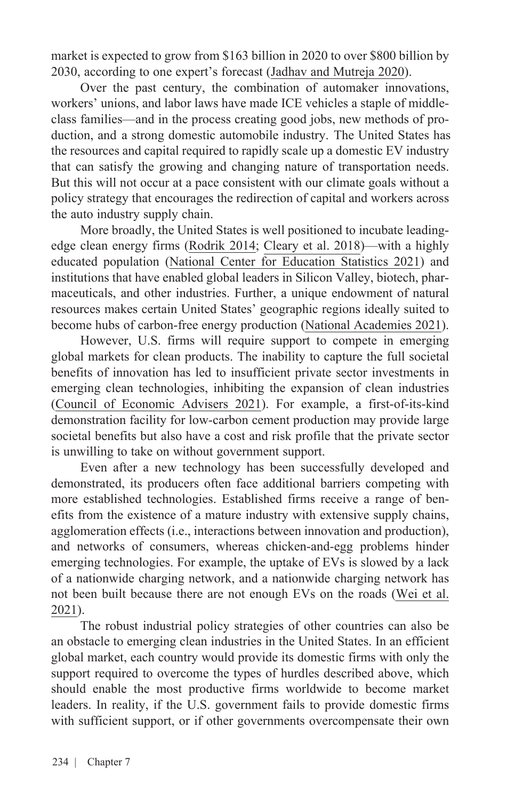market is expected to grow from \$163 billion in 2020 to over \$800 billion by 2030, according to one expert's forecast [\(Jadhav and Mutreja 2020](https://www.alliedmarketresearch.com/electric-vehicle-market)).

Over the past century, the combination of automaker innovations, workers' unions, and labor laws have made ICE vehicles a staple of middleclass families—and in the process creating good jobs, new methods of production, and a strong domestic automobile industry. The United States has the resources and capital required to rapidly scale up a domestic EV industry that can satisfy the growing and changing nature of transportation needs. But this will not occur at a pace consistent with our climate goals without a policy strategy that encourages the redirection of capital and workers across the auto industry supply chain.

More broadly, the United States is well positioned to incubate leadingedge clean energy firms [\(Rodrik 2014](https://drodrik.scholar.harvard.edu/files/dani-rodrik/files/green_industrial_policy.pdf); [Cleary et al. 2018](https://www.pnas.org/doi/10.1073/pnas.1715368115))—with a highly educated population [\(National Center for Education Statistics 2021](https://nces.ed.gov/programs/coe/pdf/2021/cac_508c.pdf)) and institutions that have enabled global leaders in Silicon Valley, biotech, pharmaceuticals, and other industries. Further, a unique endowment of natural resources makes certain United States' geographic regions ideally suited to become hubs of carbon-free energy production ([National Academies 2021\)](https://www.nationalacademies.org/our-work/accelerating-decarbonization-in-the-united-states-technology-policy-and-societal-dimensions).

However, U.S. firms will require support to compete in emerging global markets for clean products. The inability to capture the full societal benefits of innovation has led to insufficient private sector investments in emerging clean technologies, inhibiting the expansion of clean industries ([Council of Economic Advisers 2021\)](https://www.whitehouse.gov/wp-content/uploads/2021/04/Innovation-Investment-and-Inclusion-CEA-April-23-2021-1.pdf). For example, a first-of-its-kind demonstration facility for low-carbon cement production may provide large societal benefits but also have a cost and risk profile that the private sector is unwilling to take on without government support.

Even after a new technology has been successfully developed and demonstrated, its producers often face additional barriers competing with more established technologies. Established firms receive a range of benefits from the existence of a mature industry with extensive supply chains, agglomeration effects (i.e., interactions between innovation and production), and networks of consumers, whereas chicken-and-egg problems hinder emerging technologies. For example, the uptake of EVs is slowed by a lack of a nationwide charging network, and a nationwide charging network has not been built because there are not enough EVs on the roads (Wei [et al.](https://www.nature.com/articles/s41560-020-00752-y)  [2021](https://www.nature.com/articles/s41560-020-00752-y)).

The robust industrial policy strategies of other countries can also be an obstacle to emerging clean industries in the United States. In an efficient global market, each country would provide its domestic firms with only the support required to overcome the types of hurdles described above, which should enable the most productive firms worldwide to become market leaders. In reality, if the U.S. government fails to provide domestic firms with sufficient support, or if other governments overcompensate their own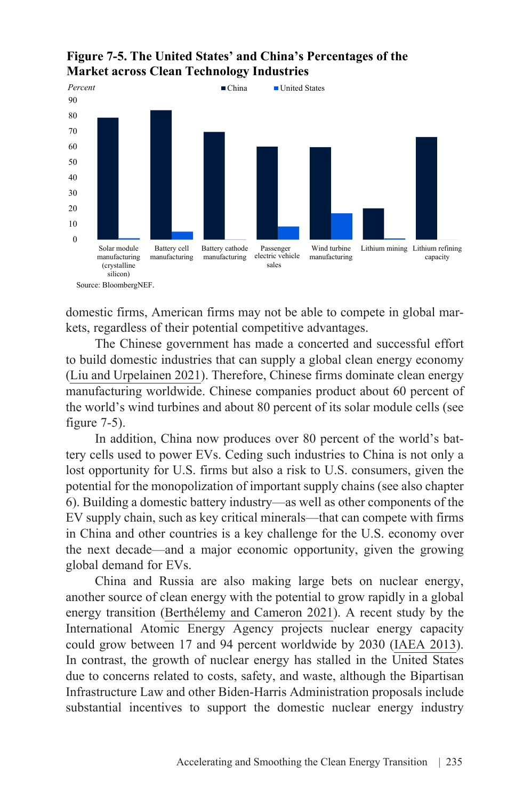**Figure 7-5. The United States' and China's Percentages of the Market across Clean Technology Industries**



domestic firms, American firms may not be able to compete in global markets, regardless of their potential competitive advantages.

The Chinese government has made a concerted and successful effort to build domestic industries that can supply a global clean energy economy ([Liu and Urpelainen 2021\)](https://www.brookings.edu/research/why-the-united-states-should-compete-with-china-on-global-clean-energy-finance/). Therefore, Chinese firms dominate clean energy manufacturing worldwide. Chinese companies product about 60 percent of the world's wind turbines and about 80 percent of its solar module cells (see figure 7-5).

In addition, China now produces over 80 percent of the world's battery cells used to power EVs. Ceding such industries to China is not only a lost opportunity for U.S. firms but also a risk to U.S. consumers, given the potential for the monopolization of important supply chains (see also chapter 6). Building a domestic battery industry—as well as other components of the EV supply chain, such as key critical minerals—that can compete with firms in China and other countries is a key challenge for the U.S. economy over the next decade—and a major economic opportunity, given the growing global demand for EVs.

China and Russia are also making large bets on nuclear energy, another source of clean energy with the potential to grow rapidly in a global energy transition [\(Berthélemy and Cameron 2021\)](https://www.iea.org/reports/nuclear-power). A recent study by the International Atomic Energy Agency projects nuclear energy capacity could grow between 17 and 94 percent worldwide by 2030 ([IAEA 2013\)](https://www.iaea.org/newscenter/news/iaea-issues-projections-nuclear-power-2020-2050). In contrast, the growth of nuclear energy has stalled in the United States due to concerns related to costs, safety, and waste, although the Bipartisan Infrastructure Law and other Biden-Harris Administration proposals include substantial incentives to support the domestic nuclear energy industry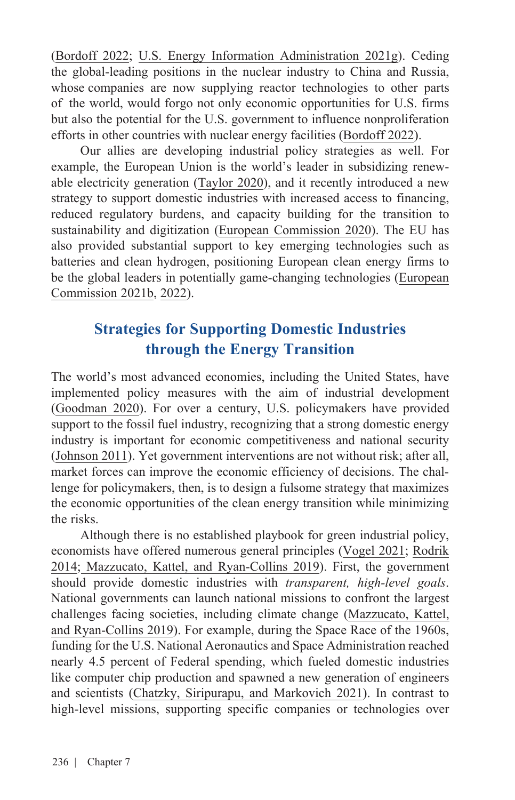([Bordoff 2022;](https://foreignpolicy.com/2022/01/03/nuclear-energy-climate-policy/) [U.S. Energy Information Administration 2021g\)](https://www.eia.gov/energyexplained/nuclear/). Ceding the global-leading positions in the nuclear industry to China and Russia, whose companies are now supplying reactor technologies to other parts of the world, would forgo not only economic opportunities for U.S. firms but also the potential for the U.S. government to influence nonproliferation efforts in other countries with nuclear energy facilities [\(Bordoff 2022](https://foreignpolicy.com/2022/01/03/nuclear-energy-climate-policy/)).

Our allies are developing industrial policy strategies as well. For example, the European Union is the world's leader in subsidizing renewable electricity generation ([Taylor 2020](https://irena.org/publications/2020/Apr/Energy-Subsidies-2020)), and it recently introduced a new strategy to support domestic industries with increased access to financing, reduced regulatory burdens, and capacity building for the transition to sustainability and digitization ([European Commission 2020](https://ec.europa.eu/growth/industry/strategy_en#:~:text=In%20March%202020%20the%20Commission,plates%20and%20increasing%20global%20competition.)). The EU has also provided substantial support to key emerging technologies such as batteries and clean hydrogen, positioning European clean energy firms to be the global leaders in potentially game-changing technologies ([European](https://ec.europa.eu/info/sites/default/files/research_and_innovation/research_by_area/documents/ec_rtd_swd-era-clean-hydrogen.pdf)  [Commission 2021b, 2022](https://ec.europa.eu/info/sites/default/files/research_and_innovation/research_by_area/documents/ec_rtd_swd-era-clean-hydrogen.pdf)).

# **Strategies for Supporting Domestic Industries through the Energy Transition**

The world's most advanced economies, including the United States, have implemented policy measures with the aim of industrial development ([Goodman 2020](https://www.csis.org/analysis/industrial-policy-innovation-strategy-lessons-japan-europe-and-united-states)). For over a century, U.S. policymakers have provided support to the fossil fuel industry, recognizing that a strong domestic energy industry is important for economic competitiveness and national security ([Johnson 2011\)](https://cen.acs.org/articles/89/i51/Long-History-US-Energy-Subsidies.html). Yet government interventions are not without risk; after all, market forces can improve the economic efficiency of decisions. The challenge for policymakers, then, is to design a fulsome strategy that maximizes the economic opportunities of the clean energy transition while minimizing the risks.

Although there is no established playbook for green industrial policy, economists have offered numerous general principles ([Vogel 2021;](https://www.niskanencenter.org/level-up-america-the-case-for-industrial-policy-and-how-to-do-it-right/) [Rodrik](https://www.milkenreview.org/articles/the-trouble-with-globalization?IssueID=26)  [2014](https://www.milkenreview.org/articles/the-trouble-with-globalization?IssueID=26); Mazzucato, [Kattel, and Ryan-Collins 2019](https://discovery.ucl.ac.uk/id/eprint/10089989/1/Mazzucato2019_Article_Challenge-DrivenInnovationPoli.pdf)). First, the government should provide domestic industries with *transparent, high-level goals*. National governments can launch national missions to confront the largest challenges facing societies, including climate change [\(Mazzucato, Kattel,](https://discovery.ucl.ac.uk/id/eprint/10089989/1/Mazzucato2019_Article_Challenge-DrivenInnovationPoli.pdf) [and Ryan-Collins 2019](https://discovery.ucl.ac.uk/id/eprint/10089989/1/Mazzucato2019_Article_Challenge-DrivenInnovationPoli.pdf)). For example, during the Space Race of the 1960s, funding for the U.S. National Aeronautics and Space Administration reached nearly 4.5 percent of Federal spending, which fueled domestic industries like computer chip production and spawned a new generation of engineers and scientists [\(Chatzky, Siripurapu, and Markovich 2021](https://www.cfr.org/backgrounder/space-exploration-and-us-competitiveness)). In contrast to high-level missions, supporting specific companies or technologies over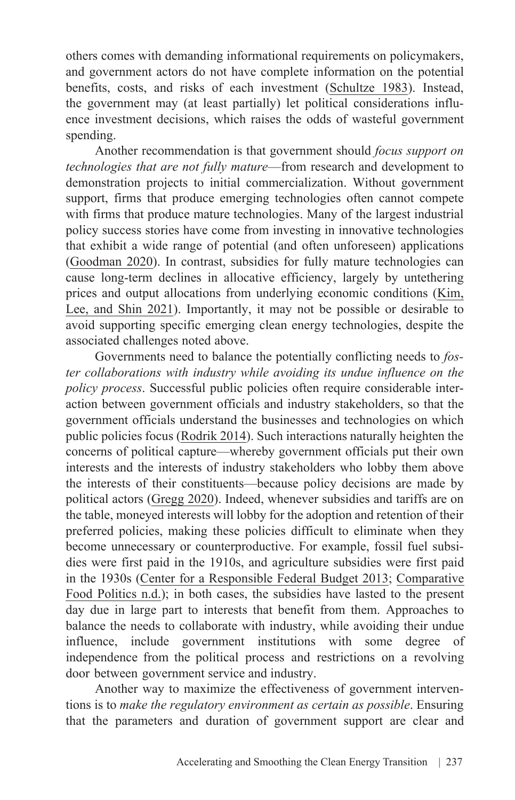others comes with demanding informational requirements on policymakers, and government actors do not have complete information on the potential benefits, costs, and risks of each investment ([Schultze 1983](https://www.brookings.edu/wp-content/uploads/2016/06/industrial_policy_schultze.pdf)). Instead, the government may (at least partially) let political considerations influence investment decisions, which raises the odds of wasteful government spending.

Another recommendation is that government should *focus support on technologies that are not fully mature*—from research and development to demonstration projects to initial commercialization. Without government support, firms that produce emerging technologies often cannot compete with firms that produce mature technologies. Many of the largest industrial policy success stories have come from investing in innovative technologies that exhibit a wide range of potential (and often unforeseen) applications ([Goodman 2020\)](https://www.csis.org/analysis/industrial-policy-innovation-strategy-lessons-japan-europe-and-united-states). In contrast, subsidies for fully mature technologies can cause long-term declines in allocative efficiency, largely by untethering prices and output allocations from underlying economic conditions [\(Kim,](https://www.nber.org/system/files/working_papers/w29252/w29252.pdf) [Lee, and Shin 2021\)](https://www.nber.org/system/files/working_papers/w29252/w29252.pdf). Importantly, it may not be possible or desirable to avoid supporting specific emerging clean energy technologies, despite the associated challenges noted above.

Governments need to balance the potentially conflicting needs to *foster collaborations with industry while avoiding its undue influence on the policy process*. Successful public policies often require considerable interaction between government officials and industry stakeholders, so that the government officials understand the businesses and technologies on which public policies focus ([Rodrik 2014](https://www.milkenreview.org/articles/the-trouble-with-globalization?IssueID=26)). Such interactions naturally heighten the concerns of political capture—whereby government officials put their own interests and the interests of industry stakeholders who lobby them above the interests of their constituents—because policy decisions are made by political actors [\(Gregg 2020\)](https://www.thepublicdiscourse.com/2020/08/64708/). Indeed, whenever subsidies and tariffs are on the table, moneyed interests will lobby for the adoption and retention of their preferred policies, making these policies difficult to eliminate when they become unnecessary or counterproductive. For example, fossil fuel subsidies were first paid in the 1910s, and agriculture subsidies were first paid [in the 1930s \(](https://food-studies.net/foodpolitics/agricultural-subsidies/jades-sample-page/#:~:text=Like%20most%20government%20policy%2C%20agricultural%20subsidies%20in%20both,of%201933%2C%20marked%20the%20beginnings%20of%20agricultural%20subsidies.)[Center for a Responsible Federal Budget 201](https://www.crfb.org/blogs/tax-break-down-intangible-drilling-costs#:~:text=The%20deduction%20for%20intangible%20drilling%20costs%20 allows%20oil%20and%20gas,of%20oil%20and%20gas%20exploration)[3; Comparative](https://food-studies.net/foodpolitics/agricultural-subsidies/jades-sample-page/#:~:text=Like%20most%20government%20policy%2C%20agricultural%20subsidies%20in%20both,of%201933%2C%20marked%20the%20beginnings%20of%20agricultural%20subsidies.) Food Politics n.d.); in both cases, the subsidies have lasted to the present day due in large part to interests that benefit from them. Approaches to balance the needs to collaborate with industry, while avoiding their undue influence, include government institutions with some degree of independence from the political process and restrictions on a revolving door between government service and industry.

Another way to maximize the effectiveness of government interventions is to *make the regulatory environment as certain as possible*. Ensuring that the parameters and duration of government support are clear and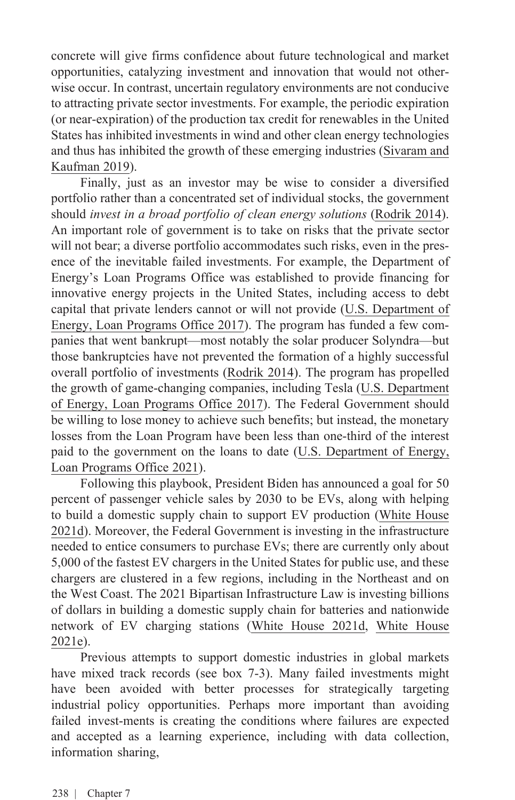concrete will give firms confidence about future technological and market opportunities, catalyzing investment and innovation that would not otherwise occur. In contrast, uncertain regulatory environments are not conducive to attracting private sector investments. For example, the periodic expiration (or near-expiration) of the production tax credit for renewables in the United States has inhibited investments in wind and other clean energy technologies and thus has inhibited the growth of these emerging industries ([Sivaram and](https://www.energypolicy.columbia.edu/research/commentary/next-generation-federal-clean-electricity-tax-credits)  [Kaufman 2019](https://www.energypolicy.columbia.edu/research/commentary/next-generation-federal-clean-electricity-tax-credits)).

Finally, just as an investor may be wise to consider a diversified portfolio rather than a concentrated set of individual stocks, the government should *invest in a broad portfolio of clean energy solutions* [\(Rodrik 2014\)](https://drodrik.scholar.harvard.edu/files/dani-rodrik/files/green_industrial_policy.pdf). An important role of government is to take on risks that the private sector will not bear; a diverse portfolio accommodates such risks, even in the presence of the inevitable failed investments. For example, the Department of Energy's Loan Programs Office was established to provide financing for innovative energy projects in the United States, including access to debt capital that private lenders cannot or will not provide [\(U.S. Department](https://www.energy.gov/lpo/about-us-home) of [Energy, Loan Programs Office](https://www.energy.gov/lpo/about-us-home) 2017). The program has funded a few companies that went bankrupt—most notably the solar producer Solyndra—but those bankruptcies have not prevented the formation of a highly successful overall portfolio of investments ([Rodrik 2014](https://drodrik.scholar.harvard.edu/files/dani-rodrik/files/green_industrial_policy.pdf)). The program has propelled [the growth of game-changing companies, including Tesla \(U.S. Department](https://www.energy.gov/lpo/products-services/advanced-technology-vehicles-manufacturing-loan-program)  of Energy, Loan Programs Office 2017). The Federal Government should be willing to lose money to achieve such benefits; but instead, the monetary losses from the Loan Program have been less than one-third of the interest paid to the government on the loans to date (U.S. [Department](https://www.energy.gov/lpo/portfolio) of Energy, [Loan Programs Office 2021](https://www.energy.gov/lpo/portfolio)).

Following this playbook, President Biden has announced a goal for 50 percent of passenger vehicle sales by 2030 to be EVs, along with helping to build a domestic supply chain to support EV production (White [House](https://www.whitehouse.gov/briefing-room/statements-releases/2021/08/05/fact-sheet-president-biden-announces-steps-to-drive-american-leadership-forward-on-clean-cars-and-trucks/)  [2021d\)](https://www.whitehouse.gov/briefing-room/statements-releases/2021/08/05/fact-sheet-president-biden-announces-steps-to-drive-american-leadership-forward-on-clean-cars-and-trucks/). Moreover, the Federal Government is investing in the infrastructure needed to entice consumers to purchase EVs; there are currently only about 5,000 of the fastest EV chargers in the United States for public use, and these chargers are clustered in a few regions, including in the Northeast and on the West Coast. The 2021 Bipartisan Infrastructure Law is investing billions of dollars in building a domestic supply chain for batteries and nationwide [network of EV charging stations \(](https://www.whitehouse.gov/bipartisan-infrastructure-law/#electricvehicle)[White House 2021d](https://www.whitehouse.gov/briefing-room/statements-releases/2021/08/05/fact-sheet-president-biden-announces-steps-to-drive-american-leadership-forward-on-clean-cars-and-trucks/)[, White House](https://www.whitehouse.gov/bipartisan-infrastructure-law/#electricvehicle) 2021e).

Previous attempts to support domestic industries in global markets have mixed track records (see box 7-3). Many failed investments might have been avoided with better processes for strategically targeting industrial policy opportunities. Perhaps more important than avoiding failed invest-ments is creating the conditions where failures are expected and accepted as a learning experience, including with data collection, information sharing,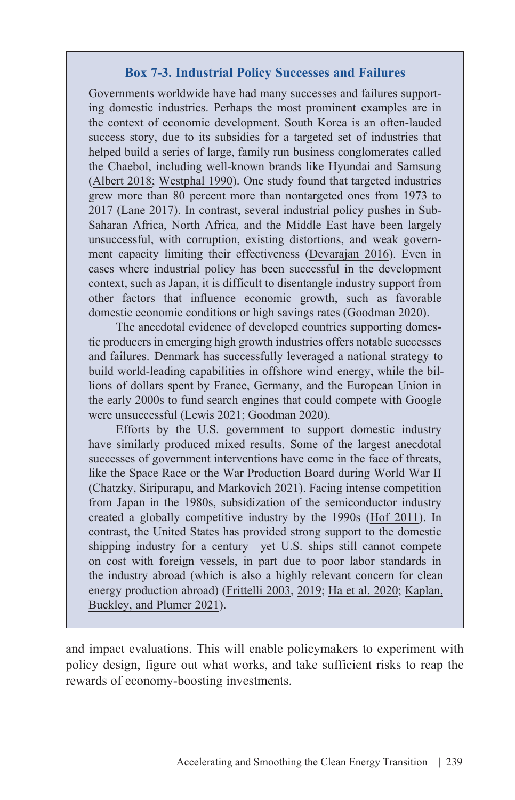#### **Box 7-3. Industrial Policy Successes and Failures**

Governments worldwide have had many successes and failures supporting domestic industries. Perhaps the most prominent examples are in the context of economic development. South Korea is an often-lauded success story, due to its subsidies for a targeted set of industries that helped build a series of large, family run business conglomerates called the Chaebol, including well-known brands like Hyundai and Samsung [\(Albert 2018;](https://www.cfr.org/backgrounder/south-koreas-chaebol-challenge) [Westphal 1990](https://pubs.aeaweb.org/doi/pdfplus/10.1257/jep.4.3.41)). One study found that targeted industries grew more than 80 percent more than nontargeted ones from 1973 to 2017 [\(Lane 2017\)](https://voxdev.org/topic/firms-trade/manufacturing-revolutions-role-industrial-policy-south-korea-s-industrialisation). In contrast, several industrial policy pushes in Sub-Saharan Africa, North Africa, and the Middle East have been largely unsuccessful, with corruption, existing distortions, and weak government capacity limiting their effectiveness [\(Devarajan](https://www.brookings.edu/blog/future-development/2016/01/14/three-reasons-why-industrial-policy-fails/) 2016). Even in cases where industrial policy has been successful in the development context, such as Japan, it is difficult to disentangle industry support from other factors that influence economic growth, such as favorable domestic economic conditions or high savings rates [\(Goodman 2020](https://www.csis.org/analysis/industrial-policy-innovation-strategy-lessons-japan-europe-and-united-states)).

The anecdotal evidence of developed countries supporting domestic producers in emerging high growth industries offers notable successes and failures. Denmark has successfully leveraged a national strategy to build world-leading capabilities in offshore wind energy, while the billions of dollars spent by France, Germany, and the European Union in the early 2000s to fund search engines that could compete with Google were unsuccessful ([Lewis 2021;](https://electrek.co/2021/10/21/orsted-is-going-big-on-us-offshore-wind-and-this-is-what-it-needs-to-succeed/) [Goodman 2020\)](https://www.csis.org/analysis/industrial-policy-innovation-strategy-lessons-japan-europe-and-united-states).

Efforts by the U.S. government to support domestic industry have similarly produced mixed results. Some of the largest anecdotal successes of government interventions have come in the face of threats, like the Space Race or the War Production Board during World War II [\(Chatzky, Siripurapu, and Markovich 2021\)](https://www.cfr.org/backgrounder/space-exploration-and-us-competitiveness). Facing intense competition from Japan in the 1980s, subsidization of the semiconductor industry created a globally competitive industry by the 1990s [\(Hof 2011](https://www.technologyreview.com/2011/07/25/192832/lessons-from-sematech/)). In contrast, the United States has provided strong support to the domestic shipping industry for a century—yet U.S. ships still cannot compete on cost with foreign vessels, in part due to poor labor standards in the industry abroad (which is also a highly relevant concern for clean energy production abroad) ([Frittelli 2003,](https://sgp.fas.org/crs/misc/RS21566.pdf) [2019](https://sgp.fas.org/crs/misc/R45725.pdf); [Ha et al. 2020](https://www.bloomberg.com/features/2020-pandemic-shipping-labor-violations/); [Kaplan,](https://www.nytimes.com/2021/06/24/business/economy/china-forced-labor-solar.html) [Buckley, and Plumer 2021](https://www.nytimes.com/2021/06/24/business/economy/china-forced-labor-solar.html)).

and impact evaluations. This will enable policymakers to experiment with policy design, figure out what works, and take sufficient risks to reap the rewards of economy-boosting investments.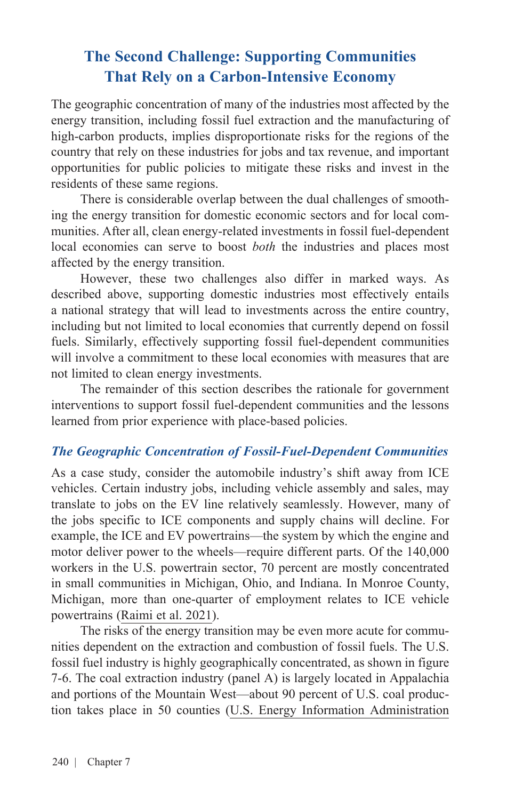# **The Second Challenge: Supporting Communities That Rely on a Carbon-Intensive Economy**

The geographic concentration of many of the industries most affected by the energy transition, including fossil fuel extraction and the manufacturing of high-carbon products, implies disproportionate risks for the regions of the country that rely on these industries for jobs and tax revenue, and important opportunities for public policies to mitigate these risks and invest in the residents of these same regions.

There is considerable overlap between the dual challenges of smoothing the energy transition for domestic economic sectors and for local communities. After all, clean energy-related investments in fossil fuel-dependent local economies can serve to boost *both* the industries and places most affected by the energy transition.

However, these two challenges also differ in marked ways. As described above, supporting domestic industries most effectively entails a national strategy that will lead to investments across the entire country, including but not limited to local economies that currently depend on fossil fuels. Similarly, effectively supporting fossil fuel-dependent communities will involve a commitment to these local economies with measures that are not limited to clean energy investments.

The remainder of this section describes the rationale for government interventions to support fossil fuel-dependent communities and the lessons learned from prior experience with place-based policies.

#### *The Geographic Concentration of Fossil-Fuel-Dependent Communities*

As a case study, consider the automobile industry's shift away from ICE vehicles. Certain industry jobs, including vehicle assembly and sales, may translate to jobs on the EV line relatively seamlessly. However, many of the jobs specific to ICE components and supply chains will decline. For example, the ICE and EV powertrains—the system by which the engine and motor deliver power to the wheels—require different parts. Of the 140,000 workers in the U.S. powertrain sector, 70 percent are mostly concentrated in small communities in Michigan, Ohio, and Indiana. In Monroe County, Michigan, more than one-quarter of employment relates to ICE vehicle powertrains [\(Raimi et al. 2021](https://media.rff.org/documents/RFF_Report_21-09_Policy_Options_to_Enable_an_Equitable_Energy_Transition.pdf)).

The risks of the energy transition may be even more acute for communities dependent on the extraction and combustion of fossil fuels. The U.S. fossil fuel industry is highly geographically concentrated, as shown in figure 7-6. The coal extraction industry (panel A) is largely located in Appalachia and portions of the Mountain West—about 90 percent of U.S. coal production takes place in 50 counties ([U.S. Energy Information Administration](https://www.eia.gov/coal/annual/pdf/acr.pdf)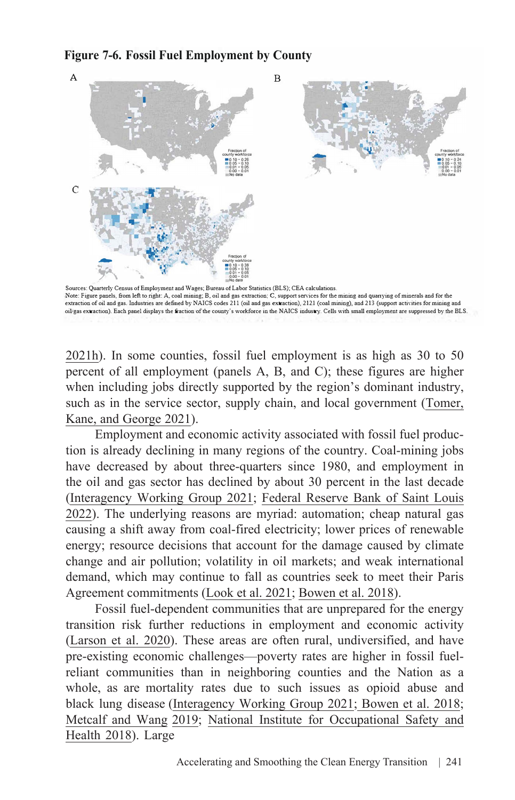#### **Figure 7-6. Fossil Fuel Employment by County**



Note: Figure panels, from left to right: A, coal mining; B, oil and gas extraction; C, support services for the mining and quarrying of minerals and for the extraction of oil and gas. Industries are defined by NAICS codes 211 (oil and gas extraction), 2121 (coal mirung), and 213 (support activities for mining and oiVgas extraction). Each panel displays the fraction of the county's workforce in the NAICS industry. Cells with small employment are suppressed by the BLS.

[2021h\)](https://www.eia.gov/coal/annual/pdf/acr.pdf). In some counties, fossil fuel employment is as high as 30 to 50 percent of all employment (panels A, B, and C); these figures are higher when including jobs directly supported by the region's dominant industry, such as in the service sector, supply chain, and local government ([Tomer,](https://www.brookings.edu/research/how-renewable-energy-jobs-can-uplift-fossil-fuel-communities-and-remake-climate-politics/)  [Kane, and George 2021\)](https://www.brookings.edu/research/how-renewable-energy-jobs-can-uplift-fossil-fuel-communities-and-remake-climate-politics/).

Employment and economic activity associated with fossil fuel production is already declining in many regions of the country. Coal-mining jobs have decreased by about three-quarters since 1980, and employment in the oil and gas sector has declined by about 30 percent in the last decade ([Interagency Working Group 2021;](https://netl.doe.gov/sites/default/files/2021-04/Initial%20Report%20on%20Energy%20Communities_Apr2021.pdf) [Federal Reserve Bank of Saint Louis](https://fred.stlouisfed.org/series/CES1021100001) [2022\)](https://fred.stlouisfed.org/series/CES1021100001). The underlying reasons are myriad: automation; cheap natural gas causing a shift away from coal-fired electricity; lower prices of renewable energy; resource decisions that account for the damage caused by climate change and air pollution; volatility in oil markets; and weak international demand, which may continue to fall as countries seek to meet their Paris Agreement commitments [\(Look et al. 2021;](https://media.rff.org/documents/21-07_RFF_EDF-large.pdf) [Bowen et al. 2018\)](https://www.arc.gov/wp-content/uploads/2018/01/CIE1-OverviewofCoalEconomyinAppalachia-2.pdf).

Fossil fuel-dependent communities that are unprepared for the energy transition risk further reductions in employment and economic activity ([Larson et al. 2020\)](https://netzeroamerica.princeton.edu/img/Princeton_NZA_Interim_Report_15_Dec_2020_FINAL.pdf). These areas are often rural, undiversified, and have pre-existing economic challenges—poverty rates are higher in fossil fuelreliant communities than in neighboring counties and the Nation as a whole, as are mortality rates due to such issues as opioid abuse and black lung disease [\(Interagency Working Group 2021;](https://netl.doe.gov/sites/default/files/2021-04/Initial%20Report%20on%20Energy%20Communities_Apr2021.pdf) [Bowen et al. 2018](https://www.arc.gov/wp-content/uploads/2018/01/CIE1-OverviewofCoalEconomyinAppalachia-2.pdf); [Metcalf and Wang](https://www.nber.org/system/files/working_papers/w26551/w26551.pdf)[2019](https://www.nber.org/system/files/working_papers/w26551/w26551.pdf)[; National Institute for Occupational Safety and](https://www.cdc.gov/niosh/updates/upd-07-20-18.html) Health 2018). Large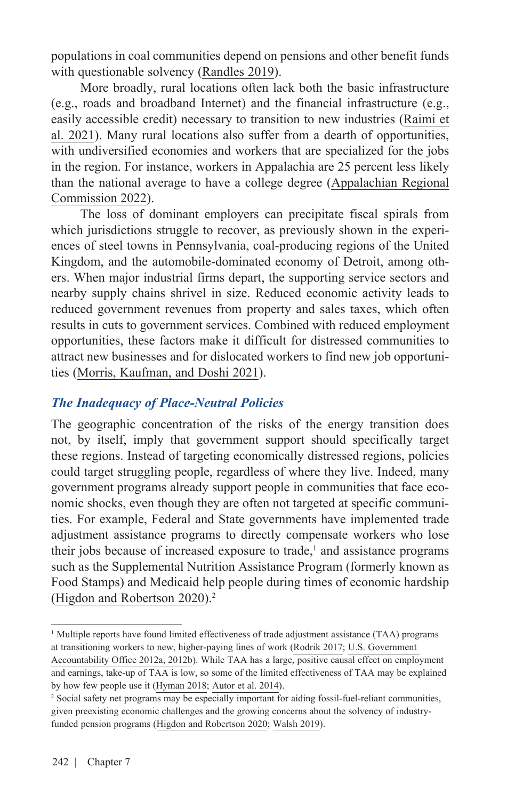populations in coal communities depend on pensions and other benefit funds with questionable solvency [\(Randles 2019](https://www.wsj.com/articles/coal-miners-pension-health-benefitsunder-stress-after-bankruptcies-11572427802?tpl=bankruptcy)).

More broadly, rural locations often lack both the basic infrastructure (e.g., roads and broadband Internet) and the financial infrastructure (e.g., easily accessible credit) necessary to transition to new industries ([Raimi](https://media.rff.org/documents/RFF_Report_21-09_Policy_Options_to_Enable_an_Equitable_Energy_Transition.pdf) et [al. 2021\)](https://media.rff.org/documents/RFF_Report_21-09_Policy_Options_to_Enable_an_Equitable_Energy_Transition.pdf). Many rural locations also suffer from a dearth of opportunities, with undiversified economies and workers that are specialized for the jobs in the region. For instance, workers in Appalachia are 25 percent less likely [than the national average to have a college degree \(Appalachian Regional](https://www.arc.gov/education-in-appalachia/#:~:text=The%20Region%27s%20high%20school%20completion,degree%20has%20risen%20to%2024%25.) Commission 2022).

The loss of dominant employers can precipitate fiscal spirals from which jurisdictions struggle to recover, as previously shown in the experiences of steel towns in Pennsylvania, coal-producing regions of the United Kingdom, and the automobile-dominated economy of Detroit, among others. When major industrial firms depart, the supporting service sectors and nearby supply chains shrivel in size. Reduced economic activity leads to reduced government revenues from property and sales taxes, which often results in cuts to government services. Combined with reduced employment opportunities, these factors make it difficult for distressed communities to attract new businesses and for dislocated workers to find new job opportunities [\(Morris, Kaufman, and Doshi 2021\)](https://www.journals.uchicago.edu/doi/epdf/10.1086/711307).

#### *The Inadequacy of Place-Neutral Policies*

The geographic concentration of the risks of the energy transition does not, by itself, imply that government support should specifically target these regions. Instead of targeting economically distressed regions, policies could target struggling people, regardless of where they live. Indeed, many government programs already support people in communities that face economic shocks, even though they are often not targeted at specific communities. For example, Federal and State governments have implemented trade adjustment assistance programs to directly compensate workers who lose their jobs because of increased exposure to trade,<sup>1</sup> and assistance programs such as the Supplemental Nutrition Assistance Program (formerly known as Food Stamps) and Medicaid help people during times of economic hardship ([Higdon and Robertson 2020\)](https://media.rff.org/documents/Report_20-16.pdf).<sup>2</sup>

<sup>1</sup> Multiple reports have found limited effectiveness of trade adjustment assistance (TAA) programs at transitioning workers to new, higher-paying lines of work [\(Rodrik 2017;](https://www.milkenreview.org/articles/the-trouble-with-globalization?IssueID=26) [U.S. Government](https://www.gao.gov/products/gao-12-930)  [Accountability Office 2012a](https://www.gao.gov/products/gao-12-930)[, 2012b](https://www.gao.gov/assets/gao-12-731.pdf)). While TAA has a large, positive causal effect on employment and earnings, take-up of TAA is low, so some of the limited effectiveness of TAA may be explained

by how few people use it [\(Hyman 2018;](https://static1.squarespace.com/static/5acbd8e736099b27ba4cfb36/t/5be07a4140ec9a642e20aa70/1541438026120/Hyman_TAA_Latest.pdf) [Autor et al. 2014](http://ddorn.net/papers/ADHS-TradeAdjustment.pdf)).

<sup>2</sup> Social safety net programs may be especially important for aiding fossil-fuel-reliant communities, given preexisting economic challenges and the growing concerns about the solvency of industryfunded pension programs ([Higdon and Robertson 2020;](https://media.rff.org/documents/Report_20-16.pdf) [Walsh 2019\)](https://www.nytimes.com/2019/12/24/business/coal-miner-pensions-bailout.html).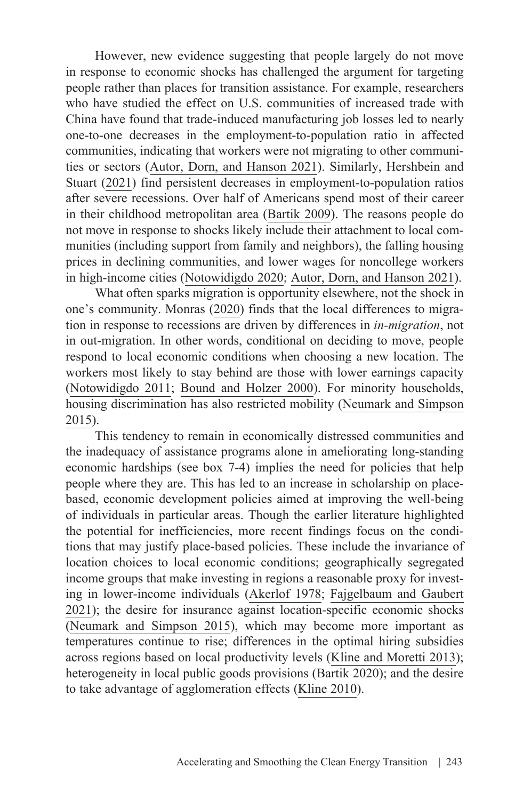However, new evidence suggesting that people largely do not move in response to economic shocks has challenged the argument for targeting people rather than places for transition assistance. For example, researchers who have studied the effect on U.S. communities of increased trade with China have found that trade-induced manufacturing job losses led to nearly one-to-one decreases in the employment-to-population ratio in affected communities, indicating that workers were not migrating to other communities or sectors ([Autor, Dorn, and Hanson 2021\)](https://www.brookings.edu/wp-content/uploads/2021/09/On-the-Persistence-of-the-China-Shock_Conf-Draft.pdf). Similarly, [Hershbein and](https://research.upjohn.org/cgi/viewcontent.cgi?article=1344&context=up_workingpapers)  [Stuart \(2021\)](https://research.upjohn.org/cgi/viewcontent.cgi?article=1344&context=up_workingpapers) find persistent decreases in employment-to-population ratios after severe recessions. Over half of Americans spend most of their career in their childhood metropolitan area ([Bartik 2009\)](https://research.upjohn.org/cgi/viewcontent.cgi?article=1162&context=up_workingpapers). The reasons people do not move in response to shocks likely include their attachment to local communities (including support from family and neighbors), the falling housing prices in declining communities, and lower wages for noncollege workers in high-income cities ([Notowidigdo 2020](https://www.journals.uchicago.edu/doi/full/10.1086/706048); [Autor, Dorn, and Hanson 2021](https://www.brookings.edu/wp-content/uploads/2021/09/On-the-Persistence-of-the-China-Shock_Conf-Draft.pdf)).

What often sparks migration is opportunity elsewhere, not the shock in one's community. Monras ([2020](https://crei.cat/wp-content/uploads/2020/06/3-ECO-SHOCKS.pdf)) finds that the local differences to migration in response to recessions are driven by differences in *in-migration*, not in out-migration. In other words, conditional on deciding to move, people respond to local economic conditions when choosing a new location. The workers most likely to stay behind are those with lower earnings capacity ([Notowidigdo 2011;](https://www.nber.org/system/files/working_papers/w17167/w17167.pdf) [Bound and Holzer 2000](https://www.jstor.org/stable/pdf/10.1086/209949.pdf)). For minority households, housing discrimination has also restricted mobility [\(Neumark and Simpson](https://www.nber.org/papers/w20049)  [2015\)](https://www.nber.org/papers/w20049).

This tendency to remain in economically distressed communities and the inadequacy of assistance programs alone in ameliorating long-standing economic hardships (see box 7-4) implies the need for policies that help people where they are. This has led to an increase in scholarship on placebased, economic development policies aimed at improving the well-being of individuals in particular areas. Though the earlier literature highlighted the potential for inefficiencies, more recent findings focus on the conditions that may justify place-based policies. These include the invariance of location choices to local economic conditions; geographically segregated income groups that make investing in regions a reasonable proxy for investing in lower-income individuals (Akerlof 1978; [Fajgelbaum and Gaubert](https://academic.oup.com/qje/article/135/2/959/5697213?login=true)  [2021\)](https://academic.oup.com/qje/article/135/2/959/5697213?login=true); the desire for insurance against location-specific economic shocks ([Neumark and Simpson 2015](https://www.nber.org/papers/w20049)), which may become more important as temperatures continue to rise; differences in the optimal hiring subsidies across regions based on local productivity levels ([Kline and Moretti 2013](https://www.aeaweb.org/articles?id=10.1257/aer.103.3.238)); heterogeneity in local public goods provisions (Bartik 2020); and the desire to take advantage of agglomeration effects ([Kline 2010](https://pubs.aeaweb.org/doi/pdfplus/10.1257/aer.100.2.383)).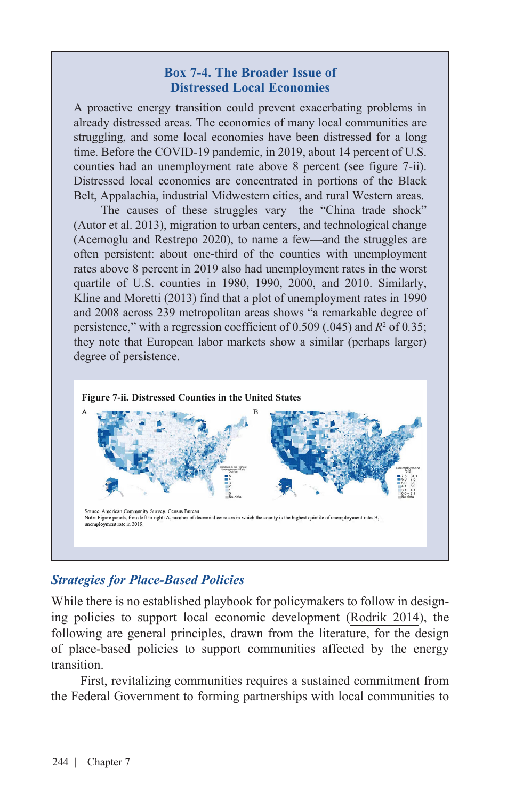#### **Box 7-4. The Broader Issue of Distressed Local Economies**

A proactive energy transition could prevent exacerbating problems in already distressed areas. The economies of many local communities are struggling, and some local economies have been distressed for a long time. Before the COVID-19 pandemic, in 2019, about 14 percent of U.S. counties had an unemployment rate above 8 percent (see figure 7-ii). Distressed local economies are concentrated in portions of the Black Belt, Appalachia, industrial Midwestern cities, and rural Western areas.

The causes of these struggles vary—the "China trade shock" ([Autor et al. 2013](https://deliverypdf.ssrn.com/delivery.php?ID=046003123096023104007069069094092111037021033054029022031027111008127029026050027017103004012091110089023010047064038126093001095112071112015006066101067124095121106030117012071103099081083098086&EXT=pdf&INDEX=TRUE)), migration to urban centers, and technological change ([Acemoglu and Restrepo 2020](https://www.journals.uchicago.edu/doi/10.1086/705716)), to name a few—and the struggles are often persistent: about one-third of the counties with unemployment rates above 8 percent in 2019 also had unemployment rates in the worst quartile of U.S. counties in 1980, 1990, 2000, and 2010. Similarly, Kline and Moretti [\(2013](https://www.nber.org/system/files/working_papers/w18758/w18758.pdf)) find that a plot of unemployment rates in 1990 and 2008 across 239 metropolitan areas shows "a remarkable degree of persistence," with a regression coefficient of 0.509 (.045) and *R*<sup>2</sup> of 0*.*35; they note that European labor markets show a similar (perhaps larger) degree of persistence.



### *Strategies for Place-Based Policies*

While there is no established playbook for policymakers to follow in designing policies to support local economic development ([Rodrik 2014](https://drodrik.scholar.harvard.edu/files/dani-rodrik/files/green_industrial_policy.pdf)), the following are general principles, drawn from the literature, for the design of place-based policies to support communities affected by the energy transition.

First, revitalizing communities requires a sustained commitment from the Federal Government to forming partnerships with local communities to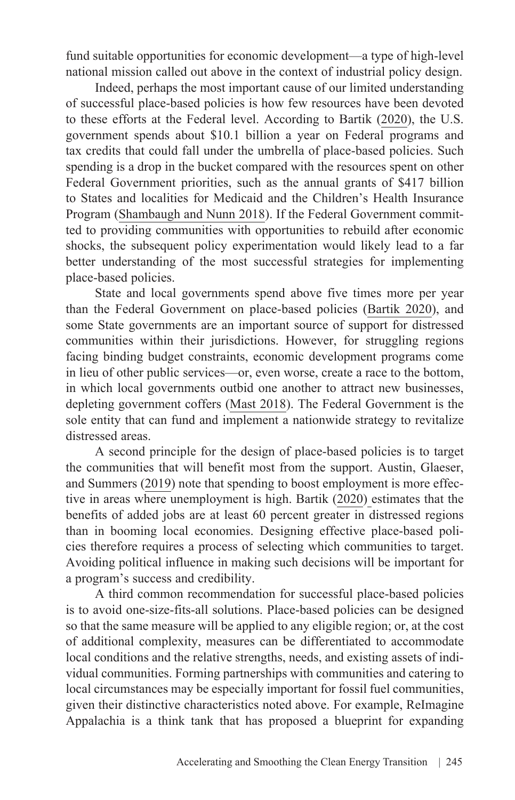fund suitable opportunities for economic development—a type of high-level national mission called out above in the context of industrial policy design.

Indeed, perhaps the most important cause of our limited understanding of successful place-based policies is how few resources have been devoted to these efforts at the Federal level. According to Bartik [\(2020\)](https://pubs.aeaweb.org/doi/pdfplus/10.1257/jep.34.3.99), the U.S. government spends about \$10.1 billion a year on Federal programs and tax credits that could fall under the umbrella of place-based policies. Such spending is a drop in the bucket compared with the resources spent on other Federal Government priorities, such as the annual grants of \$417 billion to States and localities for Medicaid and the Children's Health Insurance Program [\(Shambaugh and Nunn 2018\)](https://www.brookings.edu/wp-content/uploads/2018/09/ES_THP_PBP-book_20190425.pdf). If the Federal Government committed to providing communities with opportunities to rebuild after economic shocks, the subsequent policy experimentation would likely lead to a far better understanding of the most successful strategies for implementing place-based policies.

State and local governments spend above five times more per year than the Federal Government on place-based policies ([Bartik 2020\)](https://pubs.aeaweb.org/doi/pdfplus/10.1257/jep.34.3.99), and some State governments are an important source of support for distressed communities within their jurisdictions. However, for struggling regions facing binding budget constraints, economic development programs come in lieu of other public services—or, even worse, create a race to the bottom, in which local governments outbid one another to attract new businesses, depleting government coffers ([Mast 2018](https://research.upjohn.org/cgi/viewcontent.cgi?referer=&httpsredir=1&article=1267&context=empl_research)). The Federal Government is the sole entity that can fund and implement a nationwide strategy to revitalize distressed areas.

A second principle for the design of place-based policies is to target the communities that will benefit most from the support. Austin, Glaeser, and Summers ([2019](https://www.brookings.edu/wp-content/uploads/2018/03/AustinEtAl_Text.pdf)) note that spending to boost employment is more effective in areas where unemployment is high. Bartik ([2020](https://pubs.aeaweb.org/doi/pdfplus/10.1257/jep.34.3.99)) estimates that the benefits of added jobs are at least 60 percent greater in distressed regions than in booming local economies. Designing effective place-based policies therefore requires a process of selecting which communities to target. Avoiding political influence in making such decisions will be important for a program's success and credibility.

A third common recommendation for successful place-based policies is to avoid one-size-fits-all solutions. Place-based policies can be designed so that the same measure will be applied to any eligible region; or, at the cost of additional complexity, measures can be differentiated to accommodate local conditions and the relative strengths, needs, and existing assets of individual communities. Forming partnerships with communities and catering to local circumstances may be especially important for fossil fuel communities, given their distinctive characteristics noted above. For example, ReImagine Appalachia is a think tank that has proposed a blueprint for expanding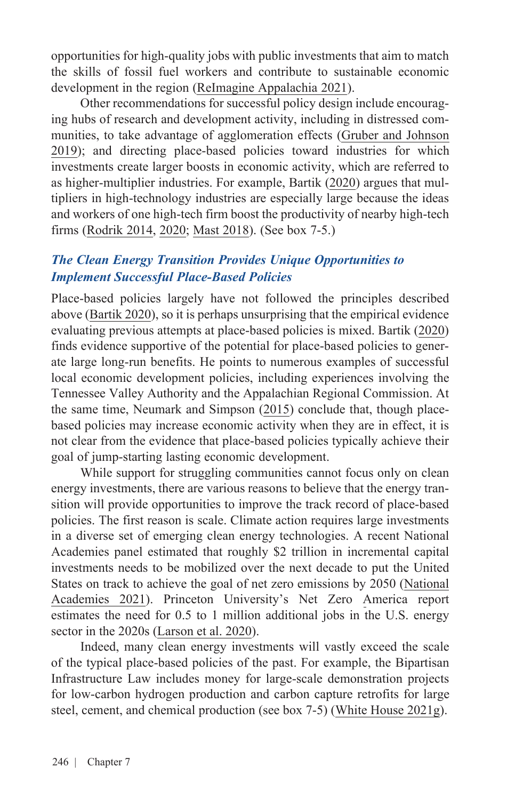opportunities for high-quality jobs with public investments that aim to match the skills of fossil fuel workers and contribute to sustainable economic development in the region ([ReImagine Appalachia 2021](https://reimagineappalachia.org/wp-content/uploads/2021/03/ReImagineAppalachia_Blueprint_042021.pdf)).

Other recommendations for successful policy design include encouraging hubs of research and development activity, including in distressed communities, to take advantage of agglomeration effects [\(Gruber and](https://www.jump-startingamerica.com/) Johnson [2019\);](https://www.jump-startingamerica.com/) and directing place-based policies toward industries for which investments create larger boosts in economic activity, which are referred to as higher-multiplier industries. For example, Bartik ([2020](https://pubs.aeaweb.org/doi/pdfplus/10.1257/jep.34.3.99)) argues that multipliers in high-technology industries are especially large because the ideas and workers of one high-tech firm boost the productivity of nearby high-tech firms [\(Rodrik 2014,](https://drodrik.scholar.harvard.edu/files/dani-rodrik/files/green_industrial_policy.pdf) [2020;](https://pubs.aeaweb.org/doi/pdfplus/10.1257/jep.34.3.99) [Mast 2018\)](https://research.upjohn.org/cgi/viewcontent.cgi?referer=&httpsredir=1&article=1267&context=empl_research). (See box 7-5.)

### *The Clean Energy Transition Provides Unique Opportunities to Implement Successful Place-Based Policies*

Place-based policies largely have not followed the principles described above ([Bartik 2020](https://pubs.aeaweb.org/doi/pdfplus/10.1257/jep.34.3.99)), so it is perhaps unsurprising that the empirical evidence evaluating previous attempts at place-based policies is mixed. Bartik ([2020](https://pubs.aeaweb.org/doi/pdfplus/10.1257/jep.34.3.99)) finds evidence supportive of the potential for place-based policies to generate large long-run benefits. He points to numerous examples of successful local economic development policies, including experiences involving the Tennessee Valley Authority and the Appalachian Regional Commission. At the same time, [Neumark and Simpson \(2015\)](https://www.nber.org/papers/w20049) conclude that, though placebased policies may increase economic activity when they are in effect, it is not clear from the evidence that place-based policies typically achieve their goal of jump-starting lasting economic development.

While support for struggling communities cannot focus only on clean energy investments, there are various reasons to believe that the energy transition will provide opportunities to improve the track record of place-based policies. The first reason is scale. Climate action requires large investments in a diverse set of emerging clean energy technologies. A recent National Academies panel estimated that roughly \$2 trillion in incremental capital investments needs to be mobilized over the next decade to put the United [States on track to achieve the goal of net zero emissions by 2050 \(National](https://www.nap.edu/read/25932/chapter/1#xiii)  Academies 2021). Princeton University's Net Zero America report estimates the need for 0.5 to 1 million additional jobs in the U.S. energy sector in the 2020s [\(Larson et al. 2020\)](https://netzeroamerica.princeton.edu/img/Princeton_NZA_Interim_Report_15_Dec_2020_FINAL.pdf).

Indeed, many clean energy investments will vastly exceed the scale of the typical place-based policies of the past. For example, the Bipartisan Infrastructure Law includes money for large-scale demonstration projects for low-carbon hydrogen production and carbon capture retrofits for large steel, cement, and chemical production (see box 7-5) [\(White House 2021g](https://www.whitehouse.gov/bipartisan-infrastructure-law/#electricvehicle)).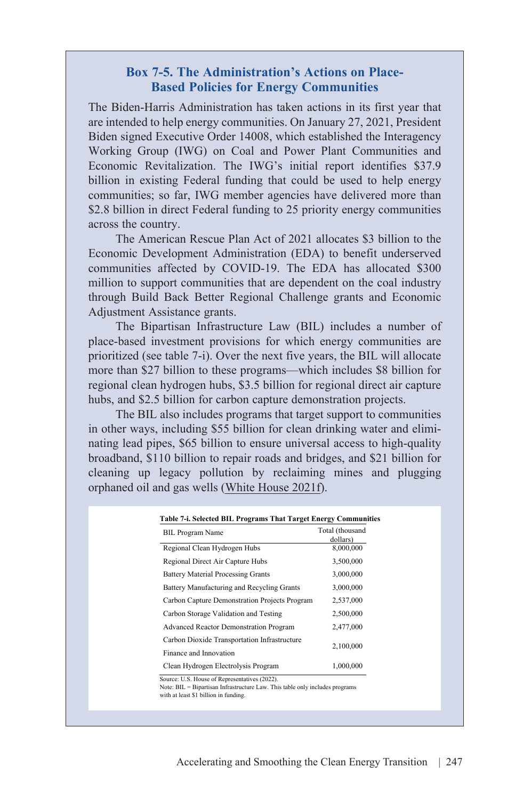#### **Box 7-5. The Administration's Actions on Place-Based Policies for Energy Communities**

The Biden-Harris Administration has taken actions in its first year that are intended to help energy communities. On January 27, 2021, President Biden signed Executive Order 14008, which established the Interagency Working Group (IWG) on Coal and Power Plant Communities and Economic Revitalization. The IWG's initial report identifies \$37.9 billion in existing Federal funding that could be used to help energy communities; so far, IWG member agencies have delivered more than \$2.8 billion in direct Federal funding to 25 priority energy communities across the country.

The American Rescue Plan Act of 2021 allocates \$3 billion to the Economic Development Administration (EDA) to benefit underserved communities affected by COVID-19. The EDA has allocated \$300 million to support communities that are dependent on the coal industry through Build Back Better Regional Challenge grants and Economic Adjustment Assistance grants.

The Bipartisan Infrastructure Law (BIL) includes a number of place-based investment provisions for which energy communities are prioritized (see table 7-i). Over the next five years, the BIL will allocate more than \$27 billion to these programs—which includes \$8 billion for regional clean hydrogen hubs, \$3.5 billion for regional direct air capture hubs, and \$2.5 billion for carbon capture demonstration projects.

The BIL also includes programs that target support to communities in other ways, including \$55 billion for clean drinking water and eliminating lead pipes, \$65 billion to ensure universal access to high-quality broadband, \$110 billion to repair roads and bridges, and \$21 billion for cleaning up legacy pollution by reclaiming mines and plugging orphaned oil and gas wells ([White House 2021f](https://www.whitehouse.gov/bipartisan-infrastructure-law/#electricvehicle)).

| <b>BIL Program Name</b>                                                | Total (thousand<br>dollars) |
|------------------------------------------------------------------------|-----------------------------|
| Regional Clean Hydrogen Hubs                                           | 8,000,000                   |
| Regional Direct Air Capture Hubs                                       | 3,500,000                   |
| <b>Battery Material Processing Grants</b>                              | 3,000,000                   |
| Battery Manufacturing and Recycling Grants                             | 3,000,000                   |
| Carbon Capture Demonstration Projects Program                          | 2,537,000                   |
| Carbon Storage Validation and Testing                                  | 2,500,000                   |
| Advanced Reactor Demonstration Program                                 | 2,477,000                   |
| Carbon Dioxide Transportation Infrastructure<br>Finance and Innovation | 2,100,000                   |
| Clean Hydrogen Electrolysis Program                                    | 1,000,000                   |

Source: U.S. House of Representatives (2022). Note: BIL = Bipartisan Infrastructure Law. This table only includes programs with at least \$1 billion in funding.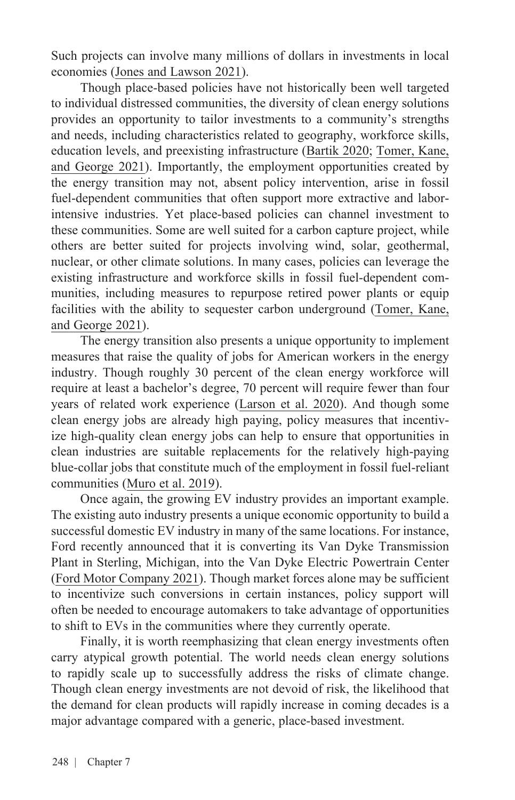Such projects can involve many millions of dollars in investments in local economies [\(Jones and Lawson 2021](https://sgp.fas.org/crs/misc/R44902.pdf)).

Though place-based policies have not historically been well targeted to individual distressed communities, the diversity of clean energy solutions provides an opportunity to tailor investments to a community's strengths and needs, including characteristics related to geography, workforce skills, education levels, and preexisting infrastructure ([Bartik 2020](https://pubs.aeaweb.org/doi/pdf/10.1257/jep.34.3.99); [Tomer, Kane,](https://www.brookings.edu/research/how-renewable-energy-jobs-can-uplift-fossil-fuel-communities-and-remake-climate-politics/)  [and George 2021\)](https://www.brookings.edu/research/how-renewable-energy-jobs-can-uplift-fossil-fuel-communities-and-remake-climate-politics/). Importantly, the employment opportunities created by the energy transition may not, absent policy intervention, arise in fossil fuel-dependent communities that often support more extractive and laborintensive industries. Yet place-based policies can channel investment to these communities. Some are well suited for a carbon capture project, while others are better suited for projects involving wind, solar, geothermal, nuclear, or other climate solutions. In many cases, policies can leverage the existing infrastructure and workforce skills in fossil fuel-dependent communities, including measures to repurpose retired power plants or equip facilities with the ability to sequester carbon underground [\(Tomer,](https://www.brookings.edu/research/how-renewable-energy-jobs-can-uplift-fossil-fuel-communities-and-remake-climate-politics/) Kane, [and George 2021\)](https://www.brookings.edu/research/how-renewable-energy-jobs-can-uplift-fossil-fuel-communities-and-remake-climate-politics/).

The energy transition also presents a unique opportunity to implement measures that raise the quality of jobs for American workers in the energy industry. Though roughly 30 percent of the clean energy workforce will require at least a bachelor's degree, 70 percent will require fewer than four years of related work experience [\(Larson et al. 2020\)](https://netzeroamerica.princeton.edu/img/Princeton_NZA_Interim_Report_15_Dec_2020_FINAL.pdf). And though some clean energy jobs are already high paying, policy measures that incentivize high-quality clean energy jobs can help to ensure that opportunities in clean industries are suitable replacements for the relatively high-paying blue-collar jobs that constitute much of the employment in fossil fuel-reliant communities [\(Muro et al. 2019\)](https://www.brookings.edu/research/advancing-inclusion-through-clean-energy-jobs/).

Once again, the growing EV industry provides an important example. The existing auto industry presents a unique economic opportunity to build a successful domestic EV industry in many of the same locations. For instance, Ford recently announced that it is converting its Van Dyke Transmission Plant in Sterling, Michigan, into the Van Dyke Electric Powertrain Center ([Ford Motor Company 2021](https://media.ford.com/content/fordmedia/fna/us/en/news/2021/05/24/van-dyke-plant_s-name-change-electrification.html)). Though market forces alone may be sufficient to incentivize such conversions in certain instances, policy support will often be needed to encourage automakers to take advantage of opportunities to shift to EVs in the communities where they currently operate.

Finally, it is worth reemphasizing that clean energy investments often carry atypical growth potential. The world needs clean energy solutions to rapidly scale up to successfully address the risks of climate change. Though clean energy investments are not devoid of risk, the likelihood that the demand for clean products will rapidly increase in coming decades is a major advantage compared with a generic, place-based investment.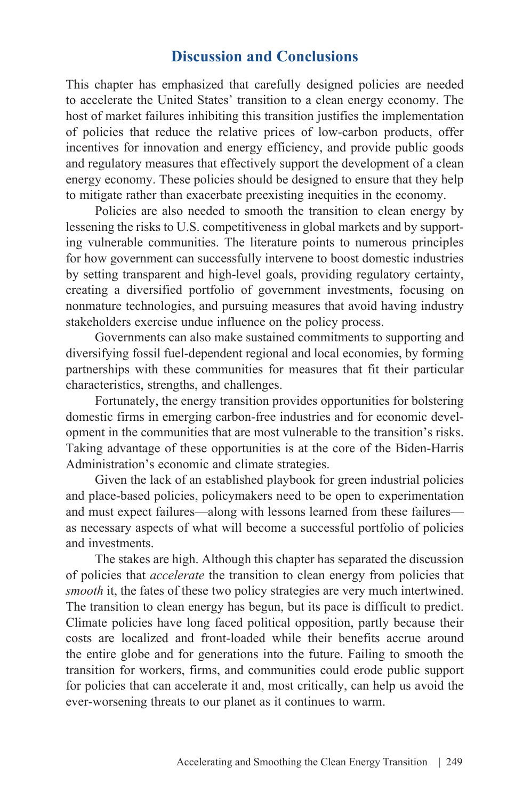## **Discussion and Conclusions**

This chapter has emphasized that carefully designed policies are needed to accelerate the United States' transition to a clean energy economy. The host of market failures inhibiting this transition justifies the implementation of policies that reduce the relative prices of low-carbon products, offer incentives for innovation and energy efficiency, and provide public goods and regulatory measures that effectively support the development of a clean energy economy. These policies should be designed to ensure that they help to mitigate rather than exacerbate preexisting inequities in the economy.

Policies are also needed to smooth the transition to clean energy by lessening the risks to U.S. competitiveness in global markets and by supporting vulnerable communities. The literature points to numerous principles for how government can successfully intervene to boost domestic industries by setting transparent and high-level goals, providing regulatory certainty, creating a diversified portfolio of government investments, focusing on nonmature technologies, and pursuing measures that avoid having industry stakeholders exercise undue influence on the policy process.

Governments can also make sustained commitments to supporting and diversifying fossil fuel-dependent regional and local economies, by forming partnerships with these communities for measures that fit their particular characteristics, strengths, and challenges.

Fortunately, the energy transition provides opportunities for bolstering domestic firms in emerging carbon-free industries and for economic development in the communities that are most vulnerable to the transition's risks. Taking advantage of these opportunities is at the core of the Biden-Harris Administration's economic and climate strategies.

Given the lack of an established playbook for green industrial policies and place-based policies, policymakers need to be open to experimentation and must expect failures—along with lessons learned from these failures as necessary aspects of what will become a successful portfolio of policies and investments.

The stakes are high. Although this chapter has separated the discussion of policies that *accelerate* the transition to clean energy from policies that *smooth* it, the fates of these two policy strategies are very much intertwined. The transition to clean energy has begun, but its pace is difficult to predict. Climate policies have long faced political opposition, partly because their costs are localized and front-loaded while their benefits accrue around the entire globe and for generations into the future. Failing to smooth the transition for workers, firms, and communities could erode public support for policies that can accelerate it and, most critically, can help us avoid the ever-worsening threats to our planet as it continues to warm.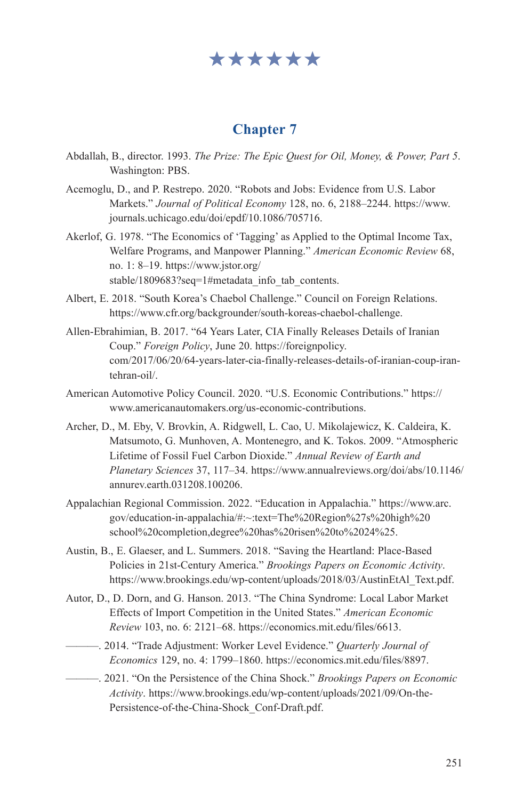# \*\*\*\*\*\*

### **Chapter 7**

- Abdallah, B., director. 1993. *The Prize: The Epic Quest for Oil, Money, & Power, Part 5*. Washington: PBS.
- Acemoglu, D., and P. Restrepo. 2020. "Robots and Jobs: Evidence from U.S. Labor Markets." *Journal of Political Economy* 128, no. 6, 2188–2244. [https://www.](https://www.journals.uchicago.edu/doi/epdf/10.1086/705716) [journals.uchicago.edu/doi/epdf/10.1086/705716.](https://www.journals.uchicago.edu/doi/epdf/10.1086/705716)
- Akerlof, G. 1978. "The Economics of 'Tagging' as Applied to the Optimal Income Tax, Welfare Programs, and Manpower Planning." *American Economic Review* 68, no. 1: 8–19. https://www.jstor.org/ stable/1809683?seq=1#metadata\_info\_tab\_contents.
- Albert, E. 2018. "South Korea's Chaebol Challenge." Council on Foreign Relations. <https://www.cfr.org/backgrounder/south-koreas-chaebol-challenge.>
- Allen-Ebrahimian, B. 2017. "64 Years Later, CIA Finally Releases Details of Iranian Coup." *Foreign Policy*, June 20. [https://foreignpolicy.](https://foreignpolicy.com/2017/06/20/64-years-later-cia-finally-releases-details-of-iranian-coup-iran-tehran-oil/) [com/2017/06/20/64-years-later-cia-finally-releases-details-of-iranian-coup-iran](https://foreignpolicy.com/2017/06/20/64-years-later-cia-finally-releases-details-of-iranian-coup-iran-tehran-oil/)[tehran-oil/](https://foreignpolicy.com/2017/06/20/64-years-later-cia-finally-releases-details-of-iranian-coup-iran-tehran-oil/).
- American Automotive Policy Council. 2020. "U.S. Economic Contributions." [https://](https://www.americanautomakers.org/us-economic-contributions) [www.americanautomakers.org/us-economic-contributions.](https://www.americanautomakers.org/us-economic-contributions)
- Archer, D., M. Eby, V. Brovkin, A. Ridgwell, L. Cao, U. Mikolajewicz, K. Caldeira, K. Matsumoto, G. Munhoven, A. Montenegro, and K. Tokos. 2009. "Atmospheric Lifetime of Fossil Fuel Carbon Dioxide." *Annual Review of Earth and Planetary Sciences* 37, 117–34. [https://www.annualreviews.org/doi/abs/10.1146/](https://www.annualreviews.org/doi/abs/10.1146/annurev.earth.031208.100206) [annurev.earth.031208.100206](https://www.annualreviews.org/doi/abs/10.1146/annurev.earth.031208.100206).
- Appalachian Regional Commission. 2022. "Education in Appalachia." https://www.arc. gov/education-in-appalachia/#:~:text=The%20Region%27s%20high%20 school%20completion,degree%20has%20risen%20to%2024%25.
- Austin, B., E. Glaeser, and L. Summers. 2018. "Saving the Heartland: Place-Based Policies in 21st-Century America." *Brookings Papers on Economic Activity*. [https://www.brookings.edu/wp-content/uploads/2018/03/AustinEtAl\\_Text.pdf](https://www.brookings.edu/wp-content/uploads/2018/03/AustinEtAl_Text.pdf).
- Autor, D., D. Dorn, and G. Hanson. 2013. "The China Syndrome: Local Labor Market Effects of Import Competition in the United States." *American Economic Review* 103, no. 6: 2121–68. [https://economics.mit.edu/files/6613.](https://economics.mit.edu/files/6613)
- ———. 2014. "Trade Adjustment: Worker Level Evidence." *Quarterly Journal of Economics* 129, no. 4: 1799–1860. <https://economics.mit.edu/files/8897>.
- ———. 2021. "On the Persistence of the China Shock." *Brookings Papers on Economic Activity*. [https://www.brookings.edu/wp-content/uploads/2021/09/On-the-](https://www.brookings.edu/wp-content/uploads/2021/09/On-the-Persistence-of-the-China-Shock_Conf-Draft.pdf)[Persistence-of-the-China-Shock\\_Conf-Draft.pdf.](https://www.brookings.edu/wp-content/uploads/2021/09/On-the-Persistence-of-the-China-Shock_Conf-Draft.pdf)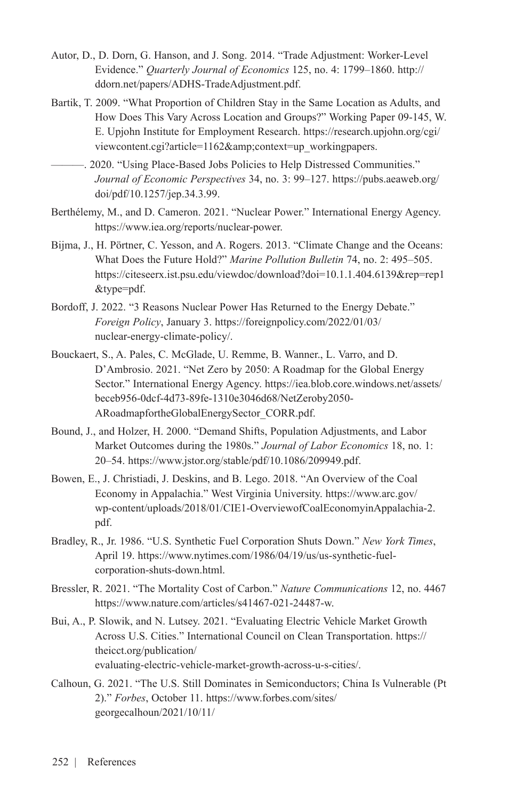- Autor, D., D. Dorn, G. Hanson, and J. Song. 2014. "Trade Adjustment: Worker-Level Evidence." *Quarterly Journal of Economics* 125, no. 4: 1799–1860. [http://](http://ddorn.net/papers/ADHS-TradeAdjustment.pdf) [ddorn.net/papers/ADHS-TradeAdjustment.pdf](http://ddorn.net/papers/ADHS-TradeAdjustment.pdf).
- Bartik, T. 2009. "What Proportion of Children Stay in the Same Location as Adults, and How Does This Vary Across Location and Groups?" Working Paper 09-145, W. E. Upjohn Institute for Employment Research. [https://research.upjohn.org/cgi/](https://research.upjohn.org/cgi/viewcontent.cgi?article=1162&context=up_workingpapers) [viewcontent.cgi?article=1162&context=up\\_workingpapers.](https://research.upjohn.org/cgi/viewcontent.cgi?article=1162&context=up_workingpapers)

———. 2020. "Using Place-Based Jobs Policies to Help Distressed Communities." *Journal of Economic Perspectives* 34, no. 3: 99–127. [https://pubs.aeaweb.org/](https://pubs.aeaweb.org/doi/pdf/10.1257/jep.34.3.99) [doi/pdf/10.1257/jep.34.3.99](https://pubs.aeaweb.org/doi/pdf/10.1257/jep.34.3.99).

- Berthélemy, M., and D. Cameron. 2021. "Nuclear Power." International Energy Agency. <https://www.iea.org/reports/nuclear-power>.
- Bijma, J., H. Pörtner, C. Yesson, and A. Rogers. 2013. "Climate Change and the Oceans: What Does the Future Hold?" *Marine Pollution Bulletin* 74, no. 2: 495–505. [https://citeseerx.ist.psu.edu/viewdoc/download?doi=10.1.1.404.6139&rep=rep1](https://citeseerx.ist.psu.edu/viewdoc/download?doi=10.1.1.404.6139&rep=rep1&type=pdf) [&type=pdf.](https://citeseerx.ist.psu.edu/viewdoc/download?doi=10.1.1.404.6139&rep=rep1&type=pdf)
- Bordoff, J. 2022. "3 Reasons Nuclear Power Has Returned to the Energy Debate." *Foreign Policy*, January 3. [https://foreignpolicy.com/2022/01/03/](https://foreignpolicy.com/2022/01/03/nuclear-energy-climate-policy/) [nuclear-energy-climate-policy/](https://foreignpolicy.com/2022/01/03/nuclear-energy-climate-policy/).
- Bouckaert, S., A. Pales, C. McGlade, U. Remme, B. Wanner., L. Varro, and D. D'Ambrosio. 2021. "Net Zero by 2050: A Roadmap for the Global Energy Sector." International Energy Agency. [https://iea.blob.core.windows.net/assets/](https://iea.blob.core.windows.net/assets/beceb956-0dcf-4d73-89fe-1310e3046d68/NetZeroby2050-ARoadmapfortheGlobalEnergySector_CORR.pdf) [beceb956-0dcf-4d73-89fe-1310e3046d68/NetZeroby2050-](https://iea.blob.core.windows.net/assets/beceb956-0dcf-4d73-89fe-1310e3046d68/NetZeroby2050-ARoadmapfortheGlobalEnergySector_CORR.pdf) [ARoadmapfortheGlobalEnergySector\\_CORR.pdf](https://iea.blob.core.windows.net/assets/beceb956-0dcf-4d73-89fe-1310e3046d68/NetZeroby2050-ARoadmapfortheGlobalEnergySector_CORR.pdf).
- Bound, J., and Holzer, H. 2000. "Demand Shifts, Population Adjustments, and Labor Market Outcomes during the 1980s." *Journal of Labor Economics* 18, no. 1: 20–54. <https://www.jstor.org/stable/pdf/10.1086/209949.pdf>.
- Bowen, E., J. Christiadi, J. Deskins, and B. Lego. 2018. "An Overview of the Coal Economy in Appalachia." West Virginia University. [https://www.arc.gov/](https://www.arc.gov/wp-content/uploads/2018/01/CIE1-OverviewofCoalEconomyinAppalachia-2.pdf.) [wp-content/uploads/2018/01/CIE1-OverviewofCoalEconomyinAppalachia-2.](https://www.arc.gov/wp-content/uploads/2018/01/CIE1-OverviewofCoalEconomyinAppalachia-2.pdf.) [pdf.](https://www.arc.gov/wp-content/uploads/2018/01/CIE1-OverviewofCoalEconomyinAppalachia-2.pdf.)
- Bradley, R., Jr. 1986. "U.S. Synthetic Fuel Corporation Shuts Down." *New York Times*, April 19. [https://www.nytimes.com/1986/04/19/us/us-synthetic-fuel](https://www.nytimes.com/1986/04/19/us/us-synthetic-fuel-corporation-shuts-down.html)[corporation-shuts-down.html.](https://www.nytimes.com/1986/04/19/us/us-synthetic-fuel-corporation-shuts-down.html)
- Bressler, R. 2021. "The Mortality Cost of Carbon." *Nature Communications* 12, no. 4467 <https://www.nature.com/articles/s41467-021-24487-w>.
- Bui, A., P. Slowik, and N. Lutsey. 2021. "Evaluating Electric Vehicle Market Growth Across U.S. Cities." International Council on Clean Transportation. [https://](https://theicct.org/publication/evaluating-electric-vehicle-market-growth-across-u-s-cities/) [theicct.org/publication/](https://theicct.org/publication/evaluating-electric-vehicle-market-growth-across-u-s-cities/) [evaluating-electric-vehicle-market-growth-across-u-s-cities/](https://theicct.org/publication/evaluating-electric-vehicle-market-growth-across-u-s-cities/).
- Calhoun, G. 2021. "The U.S. Still Dominates in Semiconductors; China Is Vulnerable (Pt 2)." *Forbes*, October 11. [https://www.forbes.com/sites/](https://www.forbes.com/sites/georgecalhoun/2021/10/11/the-us-still-dominates-in-semiconductors-china-is-vulnerable-pt-2/?sh=55a4b0de70f7) [georgecalhoun/2021/10/11/](https://www.forbes.com/sites/georgecalhoun/2021/10/11/the-us-still-dominates-in-semiconductors-china-is-vulnerable-pt-2/?sh=55a4b0de70f7)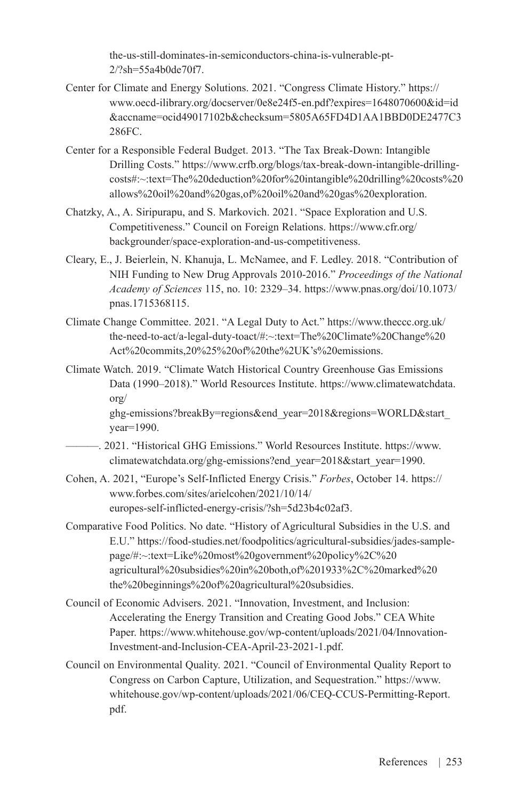[the-us-still-dominates-in-semiconductors-china-is-vulnerable-pt-](https://www.forbes.com/sites/georgecalhoun/2021/10/11/the-us-still-dominates-in-semiconductors-china-is-vulnerable-pt-2/?sh=55a4b0de70f7)[2/?sh=55a4b0de70f7.](https://www.forbes.com/sites/georgecalhoun/2021/10/11/the-us-still-dominates-in-semiconductors-china-is-vulnerable-pt-2/?sh=55a4b0de70f7)

- Center for Climate and Energy Solutions. 2021. "Congress Climate History." [https://](https://www.oecd-ilibrary.org/docserver/0e8e24f5-en.pdf?expires=1648070600&id=id&accname=ocid49017102b&checksum=5805A65FD4D1AA1BBD0DE2477C3286FC) [www.oecd-ilibrary.org/docserver/0e8e24f5-en.pdf?expires=1648070600&id=id](https://www.oecd-ilibrary.org/docserver/0e8e24f5-en.pdf?expires=1648070600&id=id&accname=ocid49017102b&checksum=5805A65FD4D1AA1BBD0DE2477C3286FC) [&accname=ocid49017102b&checksum=5805A65FD4D1AA1BBD0DE2477C3](https://www.oecd-ilibrary.org/docserver/0e8e24f5-en.pdf?expires=1648070600&id=id&accname=ocid49017102b&checksum=5805A65FD4D1AA1BBD0DE2477C3286FC) [286FC.](https://www.oecd-ilibrary.org/docserver/0e8e24f5-en.pdf?expires=1648070600&id=id&accname=ocid49017102b&checksum=5805A65FD4D1AA1BBD0DE2477C3286FC)
- Center for a Responsible Federal Budget. 2013. "The Tax Break-Down: Intangible Drilling Costs." https://www.crfb.org/blogs/tax-break-down-intangible-drillingcosts#:~:text=The%20deduction%20for%20intangible%20drilling%20costs%20 allows%20oil%20and%20gas,of%20oil%20and%20gas%20exploration.
- Chatzky, A., A. Siripurapu, and S. Markovich. 2021. "Space Exploration and U.S. Competitiveness." Council on Foreign Relations. https://www.cfr.org/ backgrounder/space-exploration-and-us-competitiveness.
- Cleary, E., J. Beierlein, N. Khanuja, L. McNamee, and F. Ledley. 2018. "Contribution of NIH Funding to New Drug Approvals 2010-2016." *Proceedings of the National Academy of Sciences* 115, no. 10: 2329–34. [https://www.pnas.org/doi/10.1073/](https://www.pnas.org/doi/10.1073/pnas.1715368115) [pnas.1715368115](https://www.pnas.org/doi/10.1073/pnas.1715368115).
- Climate Change Committee. 2021. "A Legal Duty to Act." https://www.theccc.org.uk/ the-need-to-act/a-legal-duty-toact/#:~:text=The%20Climate%20Change%20 Act%20commits,20%25%20of%20the%2UK's%20emissions.
- Climate Watch. 2019. "Climate Watch Historical Country Greenhouse Gas Emissions Data (1990–2018)." World Resources Institute. [https://www.climatewatchdata.](https://www.climatewatchdata.org/ghg-emissions?breakBy=regions&end_year=2018®ions=WORLD&start_year=1990.) [org/](https://www.climatewatchdata.org/ghg-emissions?breakBy=regions&end_year=2018®ions=WORLD&start_year=1990.)

ghg-emissions?breakBy=regions&end\_year=2018&regions=WORLD&start [year=1990.](https://www.climatewatchdata.org/ghg-emissions?breakBy=regions&end_year=2018®ions=WORLD&start_year=1990.)

- ———. 2021. "Historical GHG Emissions." World Resources Institute. [https://www.](https://www.climatewatchdata.org/ghg-emissions?end_year=2018&start_year=1990) [climatewatchdata.org/ghg-emissions?end\\_year=2018&start\\_year=1990](https://www.climatewatchdata.org/ghg-emissions?end_year=2018&start_year=1990).
- Cohen, A. 2021, "Europe's Self-Inflicted Energy Crisis." *Forbes*, October 14. [https://](https://www.forbes.com/sites/arielcohen/2021/10/14/europes-self-inflicted-energy-crisis/?sh=5d23b4c02af3) [www.forbes.com/sites/arielcohen/2021/10/14/](https://www.forbes.com/sites/arielcohen/2021/10/14/europes-self-inflicted-energy-crisis/?sh=5d23b4c02af3) [europes-self-inflicted-energy-crisis/?sh=5d23b4c02af3](https://www.forbes.com/sites/arielcohen/2021/10/14/europes-self-inflicted-energy-crisis/?sh=5d23b4c02af3).
- Comparative Food Politics. No date. "History of Agricultural Subsidies in the U.S. and E.U." https://food-studies.net/foodpolitics/agricultural-subsidies/jades-samplepage/#:~:text=Like%20most%20government%20policy%2C%20 agricultural%20subsidies%20in%20both,of%201933%2C%20marked%20 the%20beginnings%20of%20agricultural%20subsidies.
- Council of Economic Advisers. 2021. "Innovation, Investment, and Inclusion: Accelerating the Energy Transition and Creating Good Jobs." CEA White Paper. [https://www.whitehouse.gov/wp-content/uploads/2021/04/Innovation-](https://www.whitehouse.gov/wp-content/uploads/2021/04/Innovation-Investment-and-Inclusion-CEA-April-23-2021-1.pdf)[Investment-and-Inclusion-CEA-April-23-2021-1.pdf](https://www.whitehouse.gov/wp-content/uploads/2021/04/Innovation-Investment-and-Inclusion-CEA-April-23-2021-1.pdf).
- Council on Environmental Quality. 2021. "Council of Environmental Quality Report to Congress on Carbon Capture, Utilization, and Sequestration." [https://www.](https://www.whitehouse.gov/wp-content/uploads/2021/06/CEQ-CCUS-Permitting-Report.pdf) [whitehouse.gov/wp-content/uploads/2021/06/CEQ-CCUS-Permitting-Report.](https://www.whitehouse.gov/wp-content/uploads/2021/06/CEQ-CCUS-Permitting-Report.pdf) [pdf.](https://www.whitehouse.gov/wp-content/uploads/2021/06/CEQ-CCUS-Permitting-Report.pdf)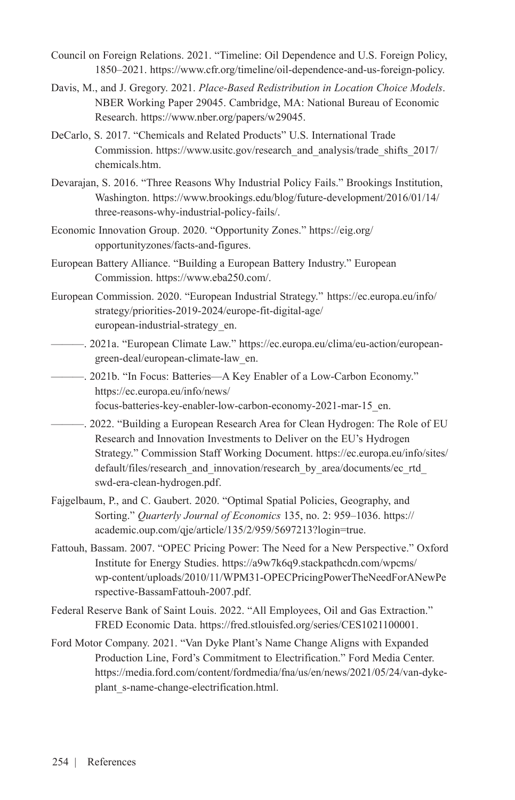- Council on Foreign Relations. 2021. "Timeline: Oil Dependence and U.S. Foreign Policy, 1850–2021. <https://www.cfr.org/timeline/oil-dependence-and-us-foreign-policy.>
- Davis, M., and J. Gregory. 2021. *Place-Based Redistribution in Location Choice Models*. NBER Working Paper 29045. Cambridge, MA: National Bureau of Economic Research. [https://www.nber.org/papers/w29045.](https://www.nber.org/papers/w29045)
- DeCarlo, S. 2017. "Chemicals and Related Products" U.S. International Trade Commission. [https://www.usitc.gov/research\\_and\\_analysis/trade\\_shifts\\_2017/](https://www.usitc.gov/research_and_analysis/trade_shifts_2017/chemicals.htm) [chemicals.htm](https://www.usitc.gov/research_and_analysis/trade_shifts_2017/chemicals.htm).
- Devarajan, S. 2016. "Three Reasons Why Industrial Policy Fails." Brookings Institution, Washington. [https://www.brookings.edu/blog/future-development/2016/01/14/](https://www.brookings.edu/blog/future-development/2016/01/14/three-reasons-why-industrial-policy-fails/.) [three-reasons-why-industrial-policy-fails/.](https://www.brookings.edu/blog/future-development/2016/01/14/three-reasons-why-industrial-policy-fails/.)
- Economic Innovation Group. 2020. "Opportunity Zones." [https://eig.org/](https://eig.org/opportunityzones/facts-and-figures.) [opportunityzones/facts-and-figures.](https://eig.org/opportunityzones/facts-and-figures.)
- European Battery Alliance. "Building a European Battery Industry." European Commission.<https://www.eba250.com/.>
- European Commission. 2020. "European Industrial Strategy." https://ec.europa.eu/info/ strategy/priorities-2019-2024/europe-fit-digital-age/ european-industrial-strategy\_en.
- ———. 2021a. "European Climate Law." [https://ec.europa.eu/clima/eu-action/european](https://ec.europa.eu/clima/eu-action/european-green-deal/european-climate-law_en)[green-deal/european-climate-law\\_en.](https://ec.europa.eu/clima/eu-action/european-green-deal/european-climate-law_en)
- ———. 2021b. "In Focus: Batteries—A Key Enabler of a Low-Carbon Economy." [https://ec.europa.eu/info/news/](https://ec.europa.eu/info/news/focus-batteries-key-enabler-low-carbon-economy-2021-mar-15_en) [focus-batteries-key-enabler-low-carbon-economy-2021-mar-15\\_en](https://ec.europa.eu/info/news/focus-batteries-key-enabler-low-carbon-economy-2021-mar-15_en).
- ———. 2022. "Building a European Research Area for Clean Hydrogen: The Role of EU Research and Innovation Investments to Deliver on the EU's Hydrogen Strategy." Commission Staff Working Document. [https://ec.europa.eu/info/sites/](https://ec.europa.eu/info/sites/default/files/research_and_innovation/research_by_area/documents/ec_rtd_swd-era-clean-hydrogen.pdf) [default/files/research\\_and\\_innovation/research\\_by\\_area/documents/ec\\_rtd\\_](https://ec.europa.eu/info/sites/default/files/research_and_innovation/research_by_area/documents/ec_rtd_swd-era-clean-hydrogen.pdf) [swd-era-clean-hydrogen.pdf.](https://ec.europa.eu/info/sites/default/files/research_and_innovation/research_by_area/documents/ec_rtd_swd-era-clean-hydrogen.pdf)
- Fajgelbaum, P., and C. Gaubert. 2020. "Optimal Spatial Policies, Geography, and Sorting." *Quarterly Journal of Economics* 135, no. 2: 959–1036. [https://](https://academic.oup.com/qje/article/135/2/959/5697213?login=true) [academic.oup.com/qje/article/135/2/959/5697213?login=true.](https://academic.oup.com/qje/article/135/2/959/5697213?login=true)
- Fattouh, Bassam. 2007. "OPEC Pricing Power: The Need for a New Perspective." Oxford Institute for Energy Studies. [https://a9w7k6q9.stackpathcdn.com/wpcms/](https://a9w7k6q9.stackpathcdn.com/wpcms/wp-content/uploads/2010/11/WPM31-OPECPricingPowerTheNeedForANewPerspective-BassamFattouh-2007.pdf) [wp-content/uploads/2010/11/WPM31-OPECPricingPowerTheNeedForANewPe](https://a9w7k6q9.stackpathcdn.com/wpcms/wp-content/uploads/2010/11/WPM31-OPECPricingPowerTheNeedForANewPerspective-BassamFattouh-2007.pdf) [rspective-BassamFattouh-2007.pdf](https://a9w7k6q9.stackpathcdn.com/wpcms/wp-content/uploads/2010/11/WPM31-OPECPricingPowerTheNeedForANewPerspective-BassamFattouh-2007.pdf).
- Federal Reserve Bank of Saint Louis. 2022. "All Employees, Oil and Gas Extraction." FRED Economic Data. <https://fred.stlouisfed.org/series/CES1021100001.>
- Ford Motor Company. 2021. "Van Dyke Plant's Name Change Aligns with Expanded Production Line, Ford's Commitment to Electrification." Ford Media Center. [https://media.ford.com/content/fordmedia/fna/us/en/news/2021/05/24/van-dyke](https://media.ford.com/content/fordmedia/fna/us/en/news/2021/05/24/van-dyke-plant_s-name-change-electrification.html)[plant\\_s-name-change-electrification.html.](https://media.ford.com/content/fordmedia/fna/us/en/news/2021/05/24/van-dyke-plant_s-name-change-electrification.html)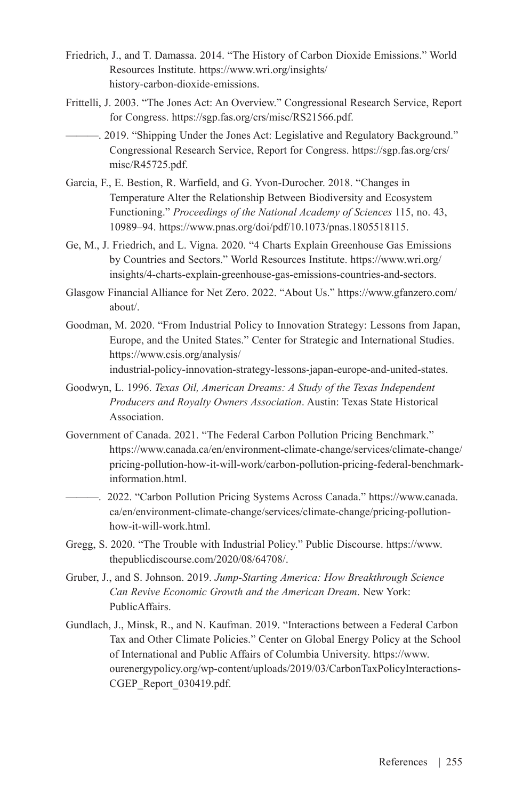- Friedrich, J., and T. Damassa. 2014. "The History of Carbon Dioxide Emissions." World Resources Institute. [https://www.wri.org/insights/](https://www.wri.org/insights/history-carbon-dioxide-emissions) [history-carbon-dioxide-emissions.](https://www.wri.org/insights/history-carbon-dioxide-emissions)
- Frittelli, J. 2003. "The Jones Act: An Overview." Congressional Research Service, Report for Congress. <https://sgp.fas.org/crs/misc/RS21566.pdf.>
- ———. 2019. "Shipping Under the Jones Act: Legislative and Regulatory Background." Congressional Research Service, Report for Congress. [https://sgp.fas.org/crs/](https://sgp.fas.org/crs/misc/R45725.pdf) [misc/R45725.pdf](https://sgp.fas.org/crs/misc/R45725.pdf).
- Garcia, F., E. Bestion, R. Warfield, and G. Yvon-Durocher. 2018. "Changes in Temperature Alter the Relationship Between Biodiversity and Ecosystem Functioning." *Proceedings of the National Academy of Sciences* 115, no. 43, 10989–94. [https://www.pnas.org/doi/pdf/10.1073/pnas.1805518115.](https://www.pnas.org/doi/pdf/10.1073/pnas.1805518115)
- Ge, M., J. Friedrich, and L. Vigna. 2020. "4 Charts Explain Greenhouse Gas Emissions by Countries and Sectors." World Resources Institute. [https://www.wri.org/](https://www.wri.org/insights/4-charts-explain-greenhouse-gas-emissions-countries-and-sectors) [insights/4-charts-explain-greenhouse-gas-emissions-countries-and-sectors](https://www.wri.org/insights/4-charts-explain-greenhouse-gas-emissions-countries-and-sectors).
- Glasgow Financial Alliance for Net Zero. 2022. "About Us." [https://www.gfanzero.com/](https://www.gfanzero.com/about/) [about/](https://www.gfanzero.com/about/).
- Goodman, M. 2020. "From Industrial Policy to Innovation Strategy: Lessons from Japan, Europe, and the United States." Center for Strategic and International Studies. [https://www.csis.org/analysis/](https://www.csis.org/analysis/industrial-policy-innovation-strategy-lessons-japan-europe-and-united-states.) [industrial-policy-innovation-strategy-lessons-japan-europe-and-united-states.](https://www.csis.org/analysis/industrial-policy-innovation-strategy-lessons-japan-europe-and-united-states.)
- Goodwyn, L. 1996. *Texas Oil, American Dreams: A Study of the Texas Independent Producers and Royalty Owners Association*. Austin: Texas State Historical Association.
- Government of Canada. 2021. "The Federal Carbon Pollution Pricing Benchmark." [https://www.canada.ca/en/environment-climate-change/services/climate-change/](https://www.canada.ca/en/environment-climate-change/services/climate-change/pricing-pollution-how-it-will-work/carbon-pollution-pricing-federal-benchmark-information.html) [pricing-pollution-how-it-will-work/carbon-pollution-pricing-federal-benchmark](https://www.canada.ca/en/environment-climate-change/services/climate-change/pricing-pollution-how-it-will-work/carbon-pollution-pricing-federal-benchmark-information.html)[information.html](https://www.canada.ca/en/environment-climate-change/services/climate-change/pricing-pollution-how-it-will-work/carbon-pollution-pricing-federal-benchmark-information.html).
	- ———. 2022. "Carbon Pollution Pricing Systems Across Canada." [https://www.canada.](https://www.canada.ca/en/environment-climate-change/services/climate-change/pricing-pollution-how-it-will-work.html) [ca/en/environment-climate-change/services/climate-change/pricing-pollution](https://www.canada.ca/en/environment-climate-change/services/climate-change/pricing-pollution-how-it-will-work.html)[how-it-will-work.html.](https://www.canada.ca/en/environment-climate-change/services/climate-change/pricing-pollution-how-it-will-work.html)
- Gregg, S. 2020. "The Trouble with Industrial Policy." Public Discourse. [https://www.](https://www.thepublicdiscourse.com/2020/08/64708/.) [thepublicdiscourse.com/2020/08/64708/.](https://www.thepublicdiscourse.com/2020/08/64708/.)
- Gruber, J., and S. Johnson. 2019. *Jump-Starting America: How Breakthrough Science Can Revive Economic Growth and the American Dream*. New York: PublicAffairs.
- Gundlach, J., Minsk, R., and N. Kaufman. 2019. "Interactions between a Federal Carbon Tax and Other Climate Policies." Center on Global Energy Policy at the School of International and Public Affairs of Columbia University. [https://www.](https://www.ourenergypolicy.org/wp-content/uploads/2019/03/CarbonTaxPolicyInteractions-CGEP_Report_030419.pdf) [ourenergypolicy.org/wp-content/uploads/2019/03/CarbonTaxPolicyInteractions-](https://www.ourenergypolicy.org/wp-content/uploads/2019/03/CarbonTaxPolicyInteractions-CGEP_Report_030419.pdf)[CGEP\\_Report\\_030419.pdf.](https://www.ourenergypolicy.org/wp-content/uploads/2019/03/CarbonTaxPolicyInteractions-CGEP_Report_030419.pdf)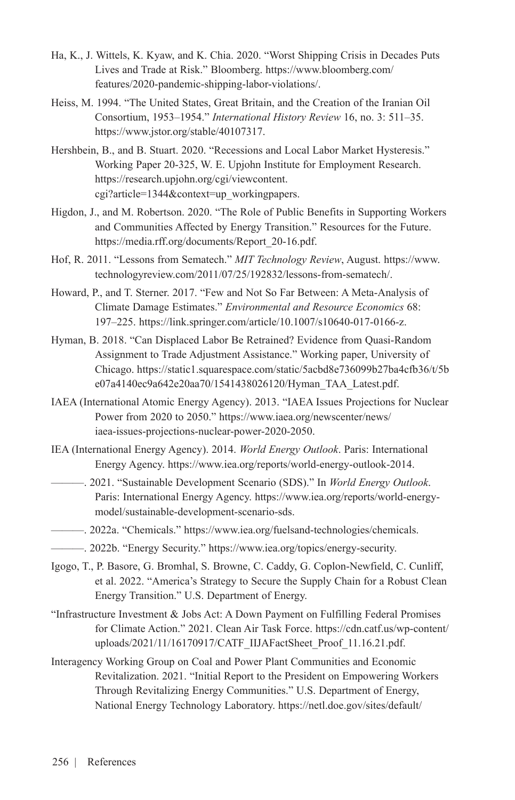- Ha, K., J. Wittels, K. Kyaw, and K. Chia. 2020. "Worst Shipping Crisis in Decades Puts Lives and Trade at Risk." Bloomberg. [https://www.bloomberg.com/](https://www.bloomberg.com/features/2020-pandemic-shipping-labor-violations/.) [features/2020-pandemic-shipping-labor-violations/.](https://www.bloomberg.com/features/2020-pandemic-shipping-labor-violations/.)
- Heiss, M. 1994. "The United States, Great Britain, and the Creation of the Iranian Oil Consortium, 1953–1954." *International History Review* 16, no. 3: 511–35. [https://www.jstor.org/stable/40107317.](https://www.jstor.org/stable/40107317)
- Hershbein, B., and B. Stuart. 2020. "Recessions and Local Labor Market Hysteresis." Working Paper 20-325, W. E. Upjohn Institute for Employment Research. [https://research.upjohn.org/cgi/viewcontent.](https://research.upjohn.org/cgi/viewcontent.cgi?article=1344&context=up_workingpapers) [cgi?article=1344&context=up\\_workingpapers](https://research.upjohn.org/cgi/viewcontent.cgi?article=1344&context=up_workingpapers).
- Higdon, J., and M. Robertson. 2020. "The Role of Public Benefits in Supporting Workers and Communities Affected by Energy Transition." Resources for the Future. [https://media.rff.org/documents/Report\\_20-16.pdf](https://media.rff.org/documents/Report_20-16.pdf).
- Hof, R. 2011. "Lessons from Sematech." *MIT Technology Review*, August. [https://www.](https://www.technologyreview.com/2011/07/25/192832/lessons-from-sematech/.) [technologyreview.com/2011/07/25/192832/lessons-from-sematech/.](https://www.technologyreview.com/2011/07/25/192832/lessons-from-sematech/.)
- Howard, P., and T. Sterner. 2017. "Few and Not So Far Between: A Meta-Analysis of Climate Damage Estimates." *Environmental and Resource Economics* 68: 197–225. [https://link.springer.com/article/10.1007/s10640-017-0166-z.](https://link.springer.com/article/10.1007/s10640-017-0166-z)
- Hyman, B. 2018. "Can Displaced Labor Be Retrained? Evidence from Quasi-Random Assignment to Trade Adjustment Assistance." Working paper, University of Chicago. [https://static1.squarespace.com/static/5acbd8e736099b27ba4cfb36/t/5b](https://static1.squarespace.com/static/5acbd8e736099b27ba4cfb36/t/5be07a4140ec9a642e20aa70/1541438026120/Hyman_TAA_Latest.pdf) [e07a4140ec9a642e20aa70/1541438026120/Hyman\\_TAA\\_Latest.pdf.](https://static1.squarespace.com/static/5acbd8e736099b27ba4cfb36/t/5be07a4140ec9a642e20aa70/1541438026120/Hyman_TAA_Latest.pdf)
- IAEA (International Atomic Energy Agency). 2013. "IAEA Issues Projections for Nuclear Power from 2020 to 2050." [https://www.iaea.org/newscenter/news/](https://www.iaea.org/newscenter/news/iaea-issues-projections-nuclear-power-2020-2050) [iaea-issues-projections-nuclear-power-2020-2050.](https://www.iaea.org/newscenter/news/iaea-issues-projections-nuclear-power-2020-2050)
- IEA (International Energy Agency). 2014. *World Energy Outlook*. Paris: International Energy Agency. <https://www.iea.org/reports/world-energy-outlook-2014>.
	- ———. 2021. "Sustainable Development Scenario (SDS)." In *World Energy Outlook*. Paris: International Energy Agency. [https://www.iea.org/reports/world-energy](https://www.iea.org/reports/world-energy-model/sustainable-development-scenario-sds)[model/sustainable-development-scenario-sds.](https://www.iea.org/reports/world-energy-model/sustainable-development-scenario-sds)
- ———. 2022a. "Chemicals." [https://www.iea.org/fuelsand-technologies/chemicals.](https://www.iea.org/fuelsand-technologies/chemicals)
- ———. 2022b. "Energy Security." [https://www.iea.org/topics/energy-security.](https://www.iea.org/topics/energy-security)
- Igogo, T., P. Basore, G. Bromhal, S. Browne, C. Caddy, G. Coplon-Newfield, C. Cunliff, et al. 2022. "America's Strategy to Secure the Supply Chain for a Robust Clean Energy Transition." U.S. Department of Energy.
- "Infrastructure Investment & Jobs Act: A Down Payment on Fulfilling Federal Promises for Climate Action." 2021. Clean Air Task Force. [https://cdn.catf.us/wp-content/](https://cdn.catf.us/wp-content/uploads/2021/11/16170917/CATF_IIJAFactSheet_Proof_11.16.21.pdf) [uploads/2021/11/16170917/CATF\\_IIJAFactSheet\\_Proof\\_11.16.21.pdf](https://cdn.catf.us/wp-content/uploads/2021/11/16170917/CATF_IIJAFactSheet_Proof_11.16.21.pdf).
- Interagency Working Group on Coal and Power Plant Communities and Economic Revitalization. 2021. "Initial Report to the President on Empowering Workers Through Revitalizing Energy Communities." U.S. Department of Energy, National Energy Technology Laboratory. [https://netl.doe.gov/sites/default/](https://netl.doe.gov/sites/default/files/2021-04/Initial%20Report%20on%20Energy%20Communities_Apr2021.pdf.)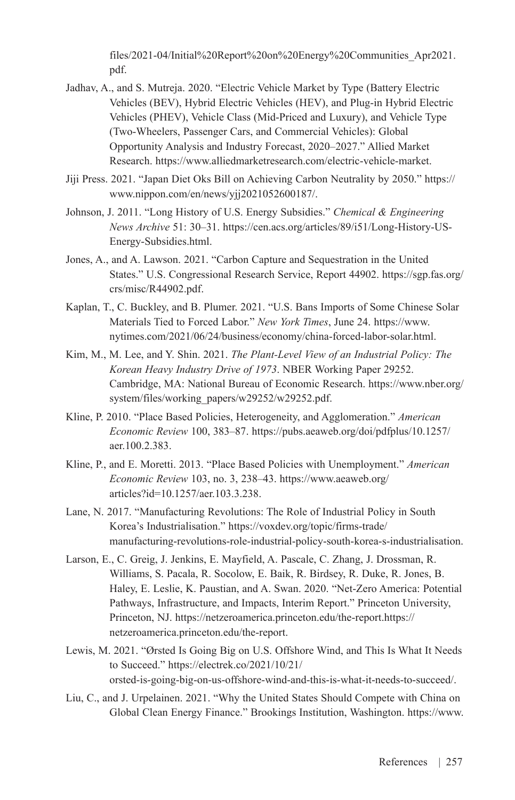[files/2021-04/Initial%20Report%20on%20Energy%20Communities\\_Apr2021.](https://netl.doe.gov/sites/default/files/2021-04/Initial%20Report%20on%20Energy%20Communities_Apr2021.pdf.) [pdf.](https://netl.doe.gov/sites/default/files/2021-04/Initial%20Report%20on%20Energy%20Communities_Apr2021.pdf.)

- Jadhav, A., and S. Mutreja. 2020. "Electric Vehicle Market by Type (Battery Electric Vehicles (BEV), Hybrid Electric Vehicles (HEV), and Plug-in Hybrid Electric Vehicles (PHEV), Vehicle Class (Mid-Priced and Luxury), and Vehicle Type (Two-Wheelers, Passenger Cars, and Commercial Vehicles): Global Opportunity Analysis and Industry Forecast, 2020–2027." Allied Market Research. [https://www.alliedmarketresearch.com/electric-vehicle-market.](https://www.alliedmarketresearch.com/electric-vehicle-market)
- Jiji Press. 2021. "Japan Diet Oks Bill on Achieving Carbon Neutrality by 2050." https:// www.nippon.com/en/news/yjj2021052600187/.
- Johnson, J. 2011. "Long History of U.S. Energy Subsidies." *Chemical & Engineering News Archive* 51: 30–31. [https://cen.acs.org/articles/89/i51/Long-History-US-](https://cen.acs.org/articles/89/i51/Long-History-US-Energy-Subsidies.html)[Energy-Subsidies.html](https://cen.acs.org/articles/89/i51/Long-History-US-Energy-Subsidies.html).
- Jones, A., and A. Lawson. 2021. "Carbon Capture and Sequestration in the United States." U.S. Congressional Research Service, Report 44902. [https://sgp.fas.org/](https://sgp.fas.org/crs/misc/R44902.pdf) [crs/misc/R44902.pdf](https://sgp.fas.org/crs/misc/R44902.pdf).
- Kaplan, T., C. Buckley, and B. Plumer. 2021. "U.S. Bans Imports of Some Chinese Solar Materials Tied to Forced Labor." *New York Times*, June 24. [https://www.](https://www.nytimes.com/2021/06/24/business/economy/china-forced-labor-solar.html) [nytimes.com/2021/06/24/business/economy/china-forced-labor-solar.html](https://www.nytimes.com/2021/06/24/business/economy/china-forced-labor-solar.html).
- Kim, M., M. Lee, and Y. Shin. 2021. *The Plant-Level View of an Industrial Policy: The Korean Heavy Industry Drive of 1973*. NBER Working Paper 29252. Cambridge, MA: National Bureau of Economic Research. [https://www.nber.org/](https://www.nber.org/system/files/working_papers/w29252/w29252.pdf) [system/files/working\\_papers/w29252/w29252.pdf.](https://www.nber.org/system/files/working_papers/w29252/w29252.pdf)
- Kline, P. 2010. "Place Based Policies, Heterogeneity, and Agglomeration." *American Economic Review* 100, 383–87. [https://pubs.aeaweb.org/doi/pdfplus/10.1257/](https://pubs.aeaweb.org/doi/pdfplus/10.1257/aer.100.2.383) [aer.100.2.383.](https://pubs.aeaweb.org/doi/pdfplus/10.1257/aer.100.2.383)
- Kline, P., and E. Moretti. 2013. "Place Based Policies with Unemployment." *American Economic Review* 103, no. 3, 238–43. [https://www.aeaweb.org/](https://www.aeaweb.org/articles?id=10.1257/aer.103.3.238) [articles?id=10.1257/aer.103.3.238.](https://www.aeaweb.org/articles?id=10.1257/aer.103.3.238)
- Lane, N. 2017. "Manufacturing Revolutions: The Role of Industrial Policy in South Korea's Industrialisation." [https://voxdev.org/topic/firms-trade/](https://voxdev.org/topic/firms-trade/manufacturing-revolutions-role-industrial-policy-south-korea-s-industrialisation.) [manufacturing-revolutions-role-industrial-policy-south-korea-s-industrialisation.](https://voxdev.org/topic/firms-trade/manufacturing-revolutions-role-industrial-policy-south-korea-s-industrialisation.)
- Larson, E., C. Greig, J. Jenkins, E. Mayfield, A. Pascale, C. Zhang, J. Drossman, R. Williams, S. Pacala, R. Socolow, E. Baik, R. Birdsey, R. Duke, R. Jones, B. Haley, E. Leslie, K. Paustian, and A. Swan. 2020. "Net-Zero America: Potential Pathways, Infrastructure, and Impacts, Interim Report." Princeton University, Princeton, NJ. https://netzeroamerica.princeton.edu/the-report.[https://](https://netzeroamerica.princeton.edu/the-report.) [netzeroamerica.princeton.edu/the-report.](https://netzeroamerica.princeton.edu/the-report.)
- Lewis, M. 2021. "Ørsted Is Going Big on U.S. Offshore Wind, and This Is What It Needs to Succeed." [https://electrek.co/2021/10/21/](https://electrek.co/2021/10/21/orsted-is-going-big-on-us-offshore-wind-and-this-is-what-it-needs-to-succeed/) [orsted-is-going-big-on-us-offshore-wind-and-this-is-what-it-needs-to-succeed/.](https://electrek.co/2021/10/21/orsted-is-going-big-on-us-offshore-wind-and-this-is-what-it-needs-to-succeed/)
- Liu, C., and J. Urpelainen. 2021. "Why the United States Should Compete with China on Global Clean Energy Finance." Brookings Institution, Washington. [https://www.](https://www.brookings.edu/research/why-the-united-states-should-compete-with-china-on-global-clean-energy-finance/)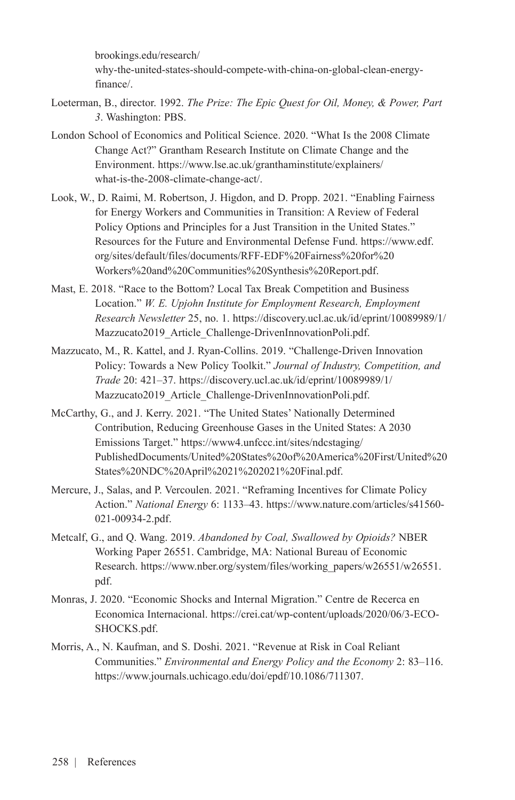[brookings.edu/research/](https://www.brookings.edu/research/why-the-united-states-should-compete-with-china-on-global-clean-energy-finance/) [why-the-united-states-should-compete-with-china-on-global-clean-energy](https://www.brookings.edu/research/why-the-united-states-should-compete-with-china-on-global-clean-energy-finance/)[finance/.](https://www.brookings.edu/research/why-the-united-states-should-compete-with-china-on-global-clean-energy-finance/)

- Loeterman, B., director. 1992. *The Prize: The Epic Quest for Oil, Money, & Power, Part 3*. Washington: PBS.
- London School of Economics and Political Science. 2020. "What Is the 2008 Climate Change Act?" Grantham Research Institute on Climate Change and the Environment. https://www.lse.ac.uk/granthaminstitute/explainers/ what-is-the-2008-climate-change-act/.
- Look, W., D. Raimi, M. Robertson, J. Higdon, and D. Propp. 2021. "Enabling Fairness for Energy Workers and Communities in Transition: A Review of Federal Policy Options and Principles for a Just Transition in the United States." Resources for the Future and Environmental Defense Fund. [https://www.edf.](https://www.edf.org/sites/default/files/documents/RFF-EDF%20Fairness%20for%20Workers%20and%20Communities%20Synthesis%20Report.pdf.) [org/sites/default/files/documents/RFF-EDF%20Fairness%20for%20](https://www.edf.org/sites/default/files/documents/RFF-EDF%20Fairness%20for%20Workers%20and%20Communities%20Synthesis%20Report.pdf.) [Workers%20and%20Communities%20Synthesis%20Report.pdf.](https://www.edf.org/sites/default/files/documents/RFF-EDF%20Fairness%20for%20Workers%20and%20Communities%20Synthesis%20Report.pdf.)
- Mast, E. 2018. "Race to the Bottom? Local Tax Break Competition and Business Location." *W. E. Upjohn Institute for Employment Research, Employment Research Newsletter* 25, no. 1. [https://discovery.ucl.ac.uk/id/eprint/10089989/1/](https://discovery.ucl.ac.uk/id/eprint/10089989/1/Mazzucato2019_Article_Challenge-DrivenInnovationPoli.pdf) [Mazzucato2019\\_Article\\_Challenge-DrivenInnovationPoli.pdf.](https://discovery.ucl.ac.uk/id/eprint/10089989/1/Mazzucato2019_Article_Challenge-DrivenInnovationPoli.pdf)
- Mazzucato, M., R. Kattel, and J. Ryan-Collins. 2019. "Challenge-Driven Innovation Policy: Towards a New Policy Toolkit." *Journal of Industry, Competition, and Trade* 20: 421–37. [https://discovery.ucl.ac.uk/id/eprint/10089989/1/](https://discovery.ucl.ac.uk/id/eprint/10089989/1/Mazzucato2019_Article_Challenge-DrivenInnovationPoli.pdf) [Mazzucato2019\\_Article\\_Challenge-DrivenInnovationPoli.pdf.](https://discovery.ucl.ac.uk/id/eprint/10089989/1/Mazzucato2019_Article_Challenge-DrivenInnovationPoli.pdf)
- McCarthy, G., and J. Kerry. 2021. "The United States' Nationally Determined Contribution, Reducing Greenhouse Gases in the United States: A 2030 Emissions Target." [https://www4.unfccc.int/sites/ndcstaging/](https://www4.unfccc.int/sites/ndcstaging/PublishedDocuments/United%20States%20of%20America%20First/United%20States%20NDC%20April%2021%202021%20Final.pdf) [PublishedDocuments/United%20States%20of%20America%20First/United%20](https://www4.unfccc.int/sites/ndcstaging/PublishedDocuments/United%20States%20of%20America%20First/United%20States%20NDC%20April%2021%202021%20Final.pdf) [States%20NDC%20April%2021%202021%20Final.pdf.](https://www4.unfccc.int/sites/ndcstaging/PublishedDocuments/United%20States%20of%20America%20First/United%20States%20NDC%20April%2021%202021%20Final.pdf)
- Mercure, J., Salas, and P. Vercoulen. 2021. "Reframing Incentives for Climate Policy Action." *National Energy* 6: 1133–43. [https://www.nature.com/articles/s41560-](https://www.nature.com/articles/s41560-021-00934-2.pdf) [021-00934-2.pdf.](https://www.nature.com/articles/s41560-021-00934-2.pdf)
- Metcalf, G., and Q. Wang. 2019. *Abandoned by Coal, Swallowed by Opioids?* NBER Working Paper 26551. Cambridge, MA: National Bureau of Economic Research. [https://www.nber.org/system/files/working\\_papers/w26551/w26551.](https://www.nber.org/system/files/working_papers/w26551/w26551.pdf) [pdf.](https://www.nber.org/system/files/working_papers/w26551/w26551.pdf)
- Monras, J. 2020. "Economic Shocks and Internal Migration." Centre de Recerca en Economica Internacional. [https://crei.cat/wp-content/uploads/2020/06/3-ECO-](https://crei.cat/wp-content/uploads/2020/06/3-ECO-SHOCKS.pdf)[SHOCKS.pdf.](https://crei.cat/wp-content/uploads/2020/06/3-ECO-SHOCKS.pdf)
- Morris, A., N. Kaufman, and S. Doshi. 2021. "Revenue at Risk in Coal Reliant Communities." *Environmental and Energy Policy and the Economy* 2: 83–116. [https://www.journals.uchicago.edu/doi/epdf/10.1086/711307.](https://www.journals.uchicago.edu/doi/epdf/10.1086/711307)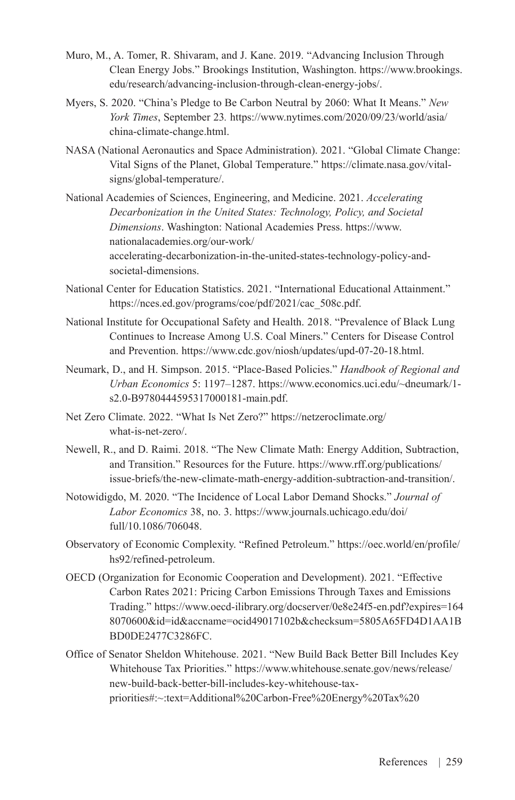- Muro, M., A. Tomer, R. Shivaram, and J. Kane. 2019. "Advancing Inclusion Through Clean Energy Jobs." Brookings Institution, Washington. [https://www.brookings.](https://www.brookings.edu/research/advancing-inclusion-through-clean-energy-jobs/) [edu/research/advancing-inclusion-through-clean-energy-jobs/.](https://www.brookings.edu/research/advancing-inclusion-through-clean-energy-jobs/)
- Myers, S. 2020. "China's Pledge to Be Carbon Neutral by 2060: What It Means." *New York Times*, September 23*.* [https://www.nytimes.com/2020/09/23/world/asia/](https://www.nytimes.com/2020/09/23/world/asia/china-climate-change.html) [china-climate-change.html](https://www.nytimes.com/2020/09/23/world/asia/china-climate-change.html).
- NASA (National Aeronautics and Space Administration). 2021. "Global Climate Change: Vital Signs of the Planet, Global Temperature." [https://climate.nasa.gov/vital](https://climate.nasa.gov/vital-signs/global-temperature/)[signs/global-temperature/.](https://climate.nasa.gov/vital-signs/global-temperature/)
- National Academies of Sciences, Engineering, and Medicine. 2021. *Accelerating Decarbonization in the United States: Technology, Policy, and Societal Dimensions*. Washington: National Academies Press. [https://www.](https://www.nationalacademies.org/our-work/accelerating-decarbonization-in-the-united-states-technology-policy-and-societal-dimensions) [nationalacademies.org/our-work/](https://www.nationalacademies.org/our-work/accelerating-decarbonization-in-the-united-states-technology-policy-and-societal-dimensions) [accelerating-decarbonization-in-the-united-states-technology-policy-and](https://www.nationalacademies.org/our-work/accelerating-decarbonization-in-the-united-states-technology-policy-and-societal-dimensions)[societal-dimensions](https://www.nationalacademies.org/our-work/accelerating-decarbonization-in-the-united-states-technology-policy-and-societal-dimensions).
- National Center for Education Statistics. 2021. "International Educational Attainment." [https://nces.ed.gov/programs/coe/pdf/2021/cac\\_508c.pdf.](https://nces.ed.gov/programs/coe/pdf/2021/cac_508c.pdf)
- National Institute for Occupational Safety and Health. 2018. "Prevalence of Black Lung Continues to Increase Among U.S. Coal Miners." Centers for Disease Control and Prevention. <https://www.cdc.gov/niosh/updates/upd-07-20-18.html.>
- Neumark, D., and H. Simpson. 2015. "Place-Based Policies." *Handbook of Regional and Urban Economics* 5: 1197–1287. [https://www.economics.uci.edu/~dneumark/1](https://www.economics.uci.edu/~dneumark/1-s2.0-B9780444595317000181-main.pdf) [s2.0-B9780444595317000181-main.pdf](https://www.economics.uci.edu/~dneumark/1-s2.0-B9780444595317000181-main.pdf).
- Net Zero Climate. 2022. "What Is Net Zero?" [https://netzeroclimate.org/](https://netzeroclimate.org/what-is-net-zero/) [what-is-net-zero/](https://netzeroclimate.org/what-is-net-zero/).
- Newell, R., and D. Raimi. 2018. "The New Climate Math: Energy Addition, Subtraction, and Transition." Resources for the Future. [https://www.rff.org/publications/](https://www.rff.org/publications/issue-briefs/the-new-climate-math-energy-addition-subtraction-and-transition/) [issue-briefs/the-new-climate-math-energy-addition-subtraction-and-transition/.](https://www.rff.org/publications/issue-briefs/the-new-climate-math-energy-addition-subtraction-and-transition/)
- Notowidigdo, M. 2020. "The Incidence of Local Labor Demand Shocks." *Journal of Labor Economics* 38, no. 3. [https://www.journals.uchicago.edu/doi/](https://www.journals.uchicago.edu/doi/full/10.1086/706048) [full/10.1086/706048.](https://www.journals.uchicago.edu/doi/full/10.1086/706048)
- Observatory of Economic Complexity. "Refined Petroleum." https://oec.world/en/profile/ hs92/refined-petroleum.
- OECD (Organization for Economic Cooperation and Development). 2021. "Effective Carbon Rates 2021: Pricing Carbon Emissions Through Taxes and Emissions Trading." [https://www.oecd-ilibrary.org/docserver/0e8e24f5-en.pdf?expires=164](https://www.oecd-ilibrary.org/docserver/0e8e24f5-en.pdf?expires=1648070600&id=id&accname=ocid49017102b&checksum=5805A65FD4D1AA1BBD0DE2477C3286FC) [8070600&id=id&accname=ocid49017102b&checksum=5805A65FD4D1AA1B](https://www.oecd-ilibrary.org/docserver/0e8e24f5-en.pdf?expires=1648070600&id=id&accname=ocid49017102b&checksum=5805A65FD4D1AA1BBD0DE2477C3286FC) [BD0DE2477C3286FC](https://www.oecd-ilibrary.org/docserver/0e8e24f5-en.pdf?expires=1648070600&id=id&accname=ocid49017102b&checksum=5805A65FD4D1AA1BBD0DE2477C3286FC).
- Office of Senator Sheldon Whitehouse. 2021. "New Build Back Better Bill Includes Key Whitehouse Tax Priorities." https://www.whitehouse.senate.gov/news/release/ new-build-back-better-bill-includes-key-whitehouse-taxpriorities#:~:text=Additional%20Carbon-Free%20Energy%20Tax%20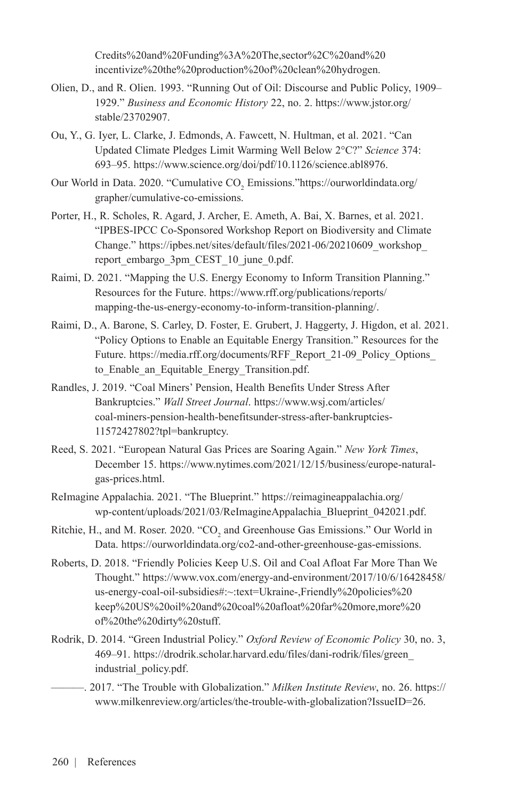Credits%20and%20Funding%3A%20The,sector%2C%20and%20 incentivize%20the%20production%20of%20clean%20hydrogen.

- Olien, D., and R. Olien. 1993. "Running Out of Oil: Discourse and Public Policy, 1909– 1929." *Business and Economic History* 22, no. 2. [https://www.jstor.org/](https://www.jstor.org/stable/23702907) [stable/23702907](https://www.jstor.org/stable/23702907).
- Ou, Y., G. Iyer, L. Clarke, J. Edmonds, A. Fawcett, N. Hultman, et al. 2021. "Can Updated Climate Pledges Limit Warming Well Below 2°C?" *Science* 374: 693–95. [https://www.science.org/doi/pdf/10.1126/science.abl8976.](https://www.science.org/doi/pdf/10.1126/science.abl8976)
- Our World in Data. 2020. "Cumulative  $CO_2$  Emissions.["https://ourworldindata.org/](https://ourworldindata.org/grapher/cumulative-co-emissions) [grapher/cumulative-co-emissions.](https://ourworldindata.org/grapher/cumulative-co-emissions)
- Porter, H., R. Scholes, R. Agard, J. Archer, E. Ameth, A. Bai, X. Barnes, et al. 2021. "IPBES-IPCC Co-Sponsored Workshop Report on Biodiversity and Climate Change." [https://ipbes.net/sites/default/files/2021-06/20210609\\_workshop\\_](https://ipbes.net/sites/default/files/2021-06/20210609_workshop_report_embargo_3pm_CEST_10_june_0.pdf) [report\\_embargo\\_3pm\\_CEST\\_10\\_june\\_0.pdf](https://ipbes.net/sites/default/files/2021-06/20210609_workshop_report_embargo_3pm_CEST_10_june_0.pdf).
- Raimi, D. 2021. "Mapping the U.S. Energy Economy to Inform Transition Planning." Resources for the Future. [https://www.rff.org/publications/reports/](https://www.rff.org/publications/reports/mapping-the-us-energy-economy-to-inform-transition-planning/) [mapping-the-us-energy-economy-to-inform-transition-planning/](https://www.rff.org/publications/reports/mapping-the-us-energy-economy-to-inform-transition-planning/).
- Raimi, D., A. Barone, S. Carley, D. Foster, E. Grubert, J. Haggerty, J. Higdon, et al. 2021. "Policy Options to Enable an Equitable Energy Transition." Resources for the Future. https://media.rff.org/documents/RFF\_Report\_21-09\_Policy\_Options to Enable an Equitable Energy Transition.pdf.
- Randles, J. 2019. "Coal Miners' Pension, Health Benefits Under Stress After Bankruptcies." *Wall Street Journal*. [https://www.wsj.com/articles/](https://www.wsj.com/articles/coal-miners-pension-health-benefitsunder-stress-after-bankruptcies-11572427802?tpl=bankruptcy) [coal-miners-pension-health-benefitsunder-stress-after-bankruptcies-](https://www.wsj.com/articles/coal-miners-pension-health-benefitsunder-stress-after-bankruptcies-11572427802?tpl=bankruptcy)[11572427802?tpl=bankruptcy.](https://www.wsj.com/articles/coal-miners-pension-health-benefitsunder-stress-after-bankruptcies-11572427802?tpl=bankruptcy)
- Reed, S. 2021. "European Natural Gas Prices are Soaring Again." *New York Times*, December 15. [https://www.nytimes.com/2021/12/15/business/europe-natural](https://www.nytimes.com/2021/12/15/business/europe-natural-gas-prices.html)[gas-prices.html](https://www.nytimes.com/2021/12/15/business/europe-natural-gas-prices.html).
- ReImagine Appalachia. 2021. "The Blueprint." [https://reimagineappalachia.org/](https://reimagineappalachia.org/wp-content/uploads/2021/03/ReImagineAppalachia_Blueprint_042021.pdf) [wp-content/uploads/2021/03/ReImagineAppalachia\\_Blueprint\\_042021.pdf](https://reimagineappalachia.org/wp-content/uploads/2021/03/ReImagineAppalachia_Blueprint_042021.pdf).
- Ritchie, H., and M. Roser. 2020. "CO<sub>2</sub> and Greenhouse Gas Emissions." Our World in Data. <https://ourworldindata.org/co2-and-other-greenhouse-gas-emissions>.
- Roberts, D. 2018. "Friendly Policies Keep U.S. Oil and Coal Afloat Far More Than We Thought." https://www.vox.com/energy-and-environment/2017/10/6/16428458/ us-energy-coal-oil-subsidies#:~:text=Ukraine-,Friendly%20policies%20 keep%20US%20oil%20and%20coal%20afloat%20far%20more,more%20 of%20the%20dirty%20stuff.
- Rodrik, D. 2014. "Green Industrial Policy." *Oxford Review of Economic Policy* 30, no. 3, 469–91. [https://drodrik.scholar.harvard.edu/files/dani-rodrik/files/green\\_](https://drodrik.scholar.harvard.edu/files/dani-rodrik/files/green_industrial_policy.pdf) [industrial\\_policy.pdf.](https://drodrik.scholar.harvard.edu/files/dani-rodrik/files/green_industrial_policy.pdf)
	- ———. 2017. "The Trouble with Globalization." *Milken Institute Review*, no. 26. [https://](https://www.milkenreview.org/articles/the-trouble-with-globalization?IssueID=26) [www.milkenreview.org/articles/the-trouble-with-globalization?IssueID=26.](https://www.milkenreview.org/articles/the-trouble-with-globalization?IssueID=26)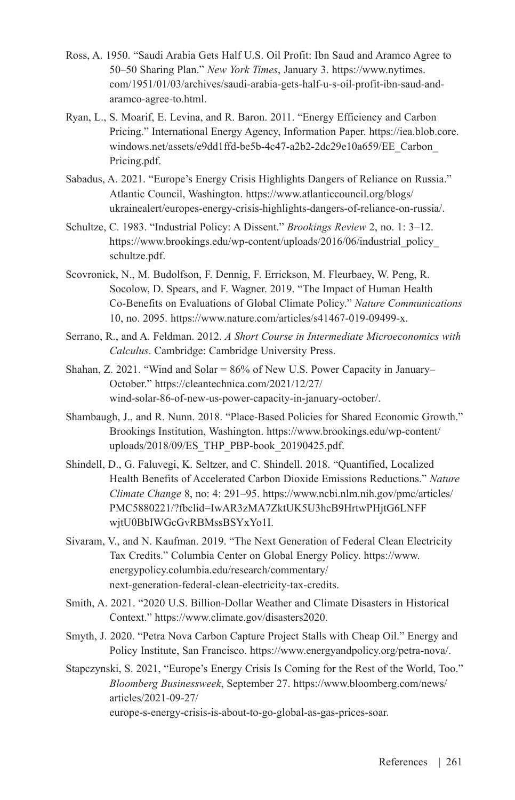- Ross, A. 1950. "Saudi Arabia Gets Half U.S. Oil Profit: Ibn Saud and Aramco Agree to 50–50 Sharing Plan." *New York Times*, January 3. [https://www.nytimes.](https://www.nytimes.com/1951/01/03/archives/saudi-arabia-gets-half-u-s-oil-profit-ibn-saud-and-aramco-agree-to.html) [com/1951/01/03/archives/saudi-arabia-gets-half-u-s-oil-profit-ibn-saud-and](https://www.nytimes.com/1951/01/03/archives/saudi-arabia-gets-half-u-s-oil-profit-ibn-saud-and-aramco-agree-to.html)[aramco-agree-to.html.](https://www.nytimes.com/1951/01/03/archives/saudi-arabia-gets-half-u-s-oil-profit-ibn-saud-and-aramco-agree-to.html)
- Ryan, L., S. Moarif, E. Levina, and R. Baron. 2011. "Energy Efficiency and Carbon Pricing." International Energy Agency, Information Paper. [https://iea.blob.core.](https://iea.blob.core.windows.net/assets/e9dd1ffd-be5b-4c47-a2b2-2dc29e10a659/EE_Carbon_Pricing.pdf) [windows.net/assets/e9dd1ffd-be5b-4c47-a2b2-2dc29e10a659/EE\\_Carbon\\_](https://iea.blob.core.windows.net/assets/e9dd1ffd-be5b-4c47-a2b2-2dc29e10a659/EE_Carbon_Pricing.pdf) [Pricing.pdf](https://iea.blob.core.windows.net/assets/e9dd1ffd-be5b-4c47-a2b2-2dc29e10a659/EE_Carbon_Pricing.pdf).
- Sabadus, A. 2021. "Europe's Energy Crisis Highlights Dangers of Reliance on Russia." Atlantic Council, Washington. [https://www.atlanticcouncil.org/blogs/](https://www.atlanticcouncil.org/blogs/ukrainealert/europes-energy-crisis-highlights-dangers-of-reliance-on-russia/) [ukrainealert/europes-energy-crisis-highlights-dangers-of-reliance-on-russia/](https://www.atlanticcouncil.org/blogs/ukrainealert/europes-energy-crisis-highlights-dangers-of-reliance-on-russia/).
- Schultze, C. 1983. "Industrial Policy: A Dissent." *Brookings Review* 2, no. 1: 3–12. [https://www.brookings.edu/wp-content/uploads/2016/06/industrial\\_policy\\_](https://www.brookings.edu/wp-content/uploads/2016/06/industrial_policy_schultze.pdf.) [schultze.pdf.](https://www.brookings.edu/wp-content/uploads/2016/06/industrial_policy_schultze.pdf.)
- Scovronick, N., M. Budolfson, F. Dennig, F. Errickson, M. Fleurbaey, W. Peng, R. Socolow, D. Spears, and F. Wagner. 2019. "The Impact of Human Health Co-Benefits on Evaluations of Global Climate Policy." *Nature Communications* 10, no. 2095. <https://www.nature.com/articles/s41467-019-09499-x>.
- Serrano, R., and A. Feldman. 2012. *A Short Course in Intermediate Microeconomics with Calculus*. Cambridge: Cambridge University Press.
- Shahan, Z. 2021. "Wind and Solar = 86% of New U.S. Power Capacity in January– October." [https://cleantechnica.com/2021/12/27/](https://cleantechnica.com/2021/12/27/wind-solar-86-of-new-us-power-capacity-in-january-october/) [wind-solar-86-of-new-us-power-capacity-in-january-october/.](https://cleantechnica.com/2021/12/27/wind-solar-86-of-new-us-power-capacity-in-january-october/)
- Shambaugh, J., and R. Nunn. 2018. "Place-Based Policies for Shared Economic Growth." Brookings Institution, Washington. [https://www.brookings.edu/wp-content/](https://www.brookings.edu/wp-content/uploads/2018/09/ES_THP_PBP-book_20190425.pdf) [uploads/2018/09/ES\\_THP\\_PBP-book\\_20190425.pdf.](https://www.brookings.edu/wp-content/uploads/2018/09/ES_THP_PBP-book_20190425.pdf)
- Shindell, D., G. Faluvegi, K. Seltzer, and C. Shindell. 2018. "Quantified, Localized Health Benefits of Accelerated Carbon Dioxide Emissions Reductions." *Nature Climate Change* 8, no: 4: 291–95. [https://www.ncbi.nlm.nih.gov/pmc/articles/](https://www.ncbi.nlm.nih.gov/pmc/articles/PMC5880221/?fbclid=IwAR3zMA7ZktUK5U3hcB9HrtwPHjtG6LNFFwjtU0BbIWGcGvRBMssBSYxYo1I) [PMC5880221/?fbclid=IwAR3zMA7ZktUK5U3hcB9HrtwPHjtG6LNFF](https://www.ncbi.nlm.nih.gov/pmc/articles/PMC5880221/?fbclid=IwAR3zMA7ZktUK5U3hcB9HrtwPHjtG6LNFFwjtU0BbIWGcGvRBMssBSYxYo1I) [wjtU0BbIWGcGvRBMssBSYxYo1I.](https://www.ncbi.nlm.nih.gov/pmc/articles/PMC5880221/?fbclid=IwAR3zMA7ZktUK5U3hcB9HrtwPHjtG6LNFFwjtU0BbIWGcGvRBMssBSYxYo1I)
- Sivaram, V., and N. Kaufman. 2019. "The Next Generation of Federal Clean Electricity Tax Credits." Columbia Center on Global Energy Policy. [https://www.](https://www.energypolicy.columbia.edu/research/commentary/next-generation-federal-clean-electricity-tax-credits.) [energypolicy.columbia.edu/research/commentary/](https://www.energypolicy.columbia.edu/research/commentary/next-generation-federal-clean-electricity-tax-credits.) [next-generation-federal-clean-electricity-tax-credits.](https://www.energypolicy.columbia.edu/research/commentary/next-generation-federal-clean-electricity-tax-credits.)
- Smith, A. 2021. "2020 U.S. Billion-Dollar Weather and Climate Disasters in Historical Context." <https://www.climate.gov/disasters2020>.
- Smyth, J. 2020. "Petra Nova Carbon Capture Project Stalls with Cheap Oil." Energy and Policy Institute, San Francisco.<https://www.energyandpolicy.org/petra-nova/.>
- Stapczynski, S. 2021, "Europe's Energy Crisis Is Coming for the Rest of the World, Too." *Bloomberg Businessweek*, September 27. [https://www.bloomberg.com/news/](https://www.bloomberg.com/news/articles/2021-09-27/europe-s-energy-crisis-is-about-to-go-global-as-gas-prices-soar) [articles/2021-09-27/](https://www.bloomberg.com/news/articles/2021-09-27/europe-s-energy-crisis-is-about-to-go-global-as-gas-prices-soar) [europe-s-energy-crisis-is-about-to-go-global-as-gas-prices-soar](https://www.bloomberg.com/news/articles/2021-09-27/europe-s-energy-crisis-is-about-to-go-global-as-gas-prices-soar).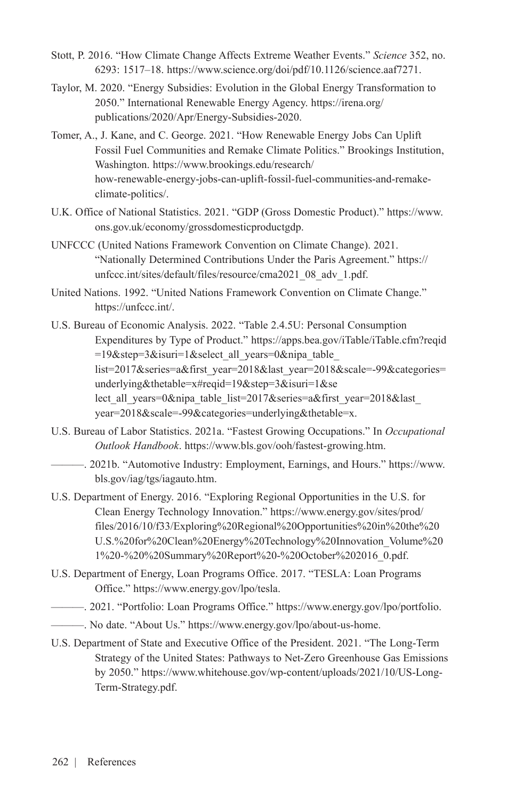- Stott, P. 2016. "How Climate Change Affects Extreme Weather Events." *Science* 352, no. 6293: 1517–18. <https://www.science.org/doi/pdf/10.1126/science.aaf7271>.
- Taylor, M. 2020. "Energy Subsidies: Evolution in the Global Energy Transformation to 2050." International Renewable Energy Agency. [https://irena.org/](https://irena.org/publications/2020/Apr/Energy-Subsidies-2020) [publications/2020/Apr/Energy-Subsidies-2020.](https://irena.org/publications/2020/Apr/Energy-Subsidies-2020)
- Tomer, A., J. Kane, and C. George. 2021. "How Renewable Energy Jobs Can Uplift Fossil Fuel Communities and Remake Climate Politics." Brookings Institution, Washington. [https://www.brookings.edu/research/](https://www.brookings.edu/research/how-renewable-energy-jobs-can-uplift-fossil-fuel-communities-and-remake-climate-politics/.) [how-renewable-energy-jobs-can-uplift-fossil-fuel-communities-and-remake](https://www.brookings.edu/research/how-renewable-energy-jobs-can-uplift-fossil-fuel-communities-and-remake-climate-politics/.)[climate-politics/.](https://www.brookings.edu/research/how-renewable-energy-jobs-can-uplift-fossil-fuel-communities-and-remake-climate-politics/.)
- U.K. Office of National Statistics. 2021. "GDP (Gross Domestic Product)." [https://www.](https://www.ons.gov.uk/economy/grossdomesticproductgdp) [ons.gov.uk/economy/grossdomesticproductgdp](https://www.ons.gov.uk/economy/grossdomesticproductgdp).
- UNFCCC (United Nations Framework Convention on Climate Change). 2021. "Nationally Determined Contributions Under the Paris Agreement." [https://](https://unfccc.int/sites/default/files/resource/cma2021_08_adv_1.pdf) [unfccc.int/sites/default/files/resource/cma2021\\_08\\_adv\\_1.pdf](https://unfccc.int/sites/default/files/resource/cma2021_08_adv_1.pdf).
- United Nations. 1992. "United Nations Framework Convention on Climate Change." <https://unfccc.int/>.
- U.S. Bureau of Economic Analysis. 2022. "Table 2.4.5U: Personal Consumption Expenditures by Type of Product." https://apps.bea.gov/iTable/iTable.cfm?reqid =19 $&$ step=3 $&$ isuri=1 $&$ sselect all years=0 $&$ nipa table list=2017&series=a&first\_year=2018&last\_year=2018&scale=-99&categories= underlying&thetable=x#reqid=19&step=3&isuri=1&se lect all years=0&nipa table list=2017&series=a&first year=2018&last year=2018&scale=-99&categories=underlying&thetable=x.
- U.S. Bureau of Labor Statistics. 2021a. "Fastest Growing Occupations." In *Occupational Outlook Handbook*. [https://www.bls.gov/ooh/fastest-growing.htm.](https://www.bls.gov/ooh/fastest-growing.htm)
	- ———. 2021b. "Automotive Industry: Employment, Earnings, and Hours." [https://www.](https://www.bls.gov/iag/tgs/iagauto.htm) [bls.gov/iag/tgs/iagauto.htm.](https://www.bls.gov/iag/tgs/iagauto.htm)
- U.S. Department of Energy. 2016. "Exploring Regional Opportunities in the U.S. for Clean Energy Technology Innovation." https://www.energy.gov/sites/prod/ files/2016/10/f33/Exploring%20Regional%20Opportunities%20in%20the%20 U.S.%20for%20Clean%20Energy%20Technology%20Innovation\_Volume%20 1%20-%20%20Summary%20Report%20-%20October%202016\_0.pdf.
- U.S. Department of Energy, Loan Programs Office. 2017. "TESLA: Loan Programs Office." <https://www.energy.gov/lpo/tesla.>
	- ———. 2021. "Portfolio: Loan Programs Office." <https://www.energy.gov/lpo/portfolio.>
- ———. No date. "About Us." <https://www.energy.gov/lpo/about-us-home.>
- U.S. Department of State and Executive Office of the President. 2021. "The Long-Term Strategy of the United States: Pathways to Net-Zero Greenhouse Gas Emissions by 2050." [https://www.whitehouse.gov/wp-content/uploads/2021/10/US-Long-](https://www.whitehouse.gov/wp-content/uploads/2021/10/US-Long-Term-Strategy.pdf)[Term-Strategy.pdf.](https://www.whitehouse.gov/wp-content/uploads/2021/10/US-Long-Term-Strategy.pdf)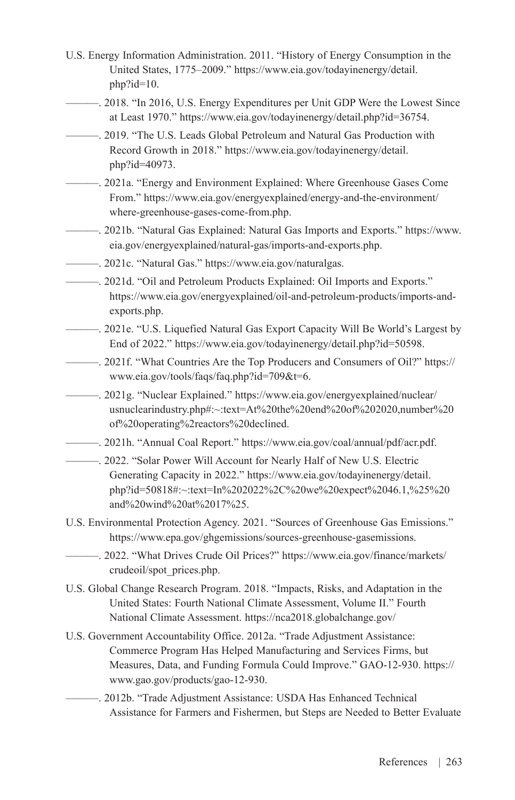- U.S. Energy Information Administration. 2011. "History of Energy Consumption in the United States, 1775–2009." [https://www.eia.gov/todayinenergy/detail.](https://www.eia.gov/todayinenergy/detail.php?id=10) [php?id=10.](https://www.eia.gov/todayinenergy/detail.php?id=10)
- ———. 2018. "In 2016, U.S. Energy Expenditures per Unit GDP Were the Lowest Since at Least 1970." https://www.eia.gov/todayinenergy/detail.php?id=36754.
- ———. 2019. "The U.S. Leads Global Petroleum and Natural Gas Production with Record Growth in 2018." [https://www.eia.gov/todayinenergy/detail.](https://www.eia.gov/todayinenergy/detail.php?id=40973) [php?id=40973](https://www.eia.gov/todayinenergy/detail.php?id=40973).
- ———. 2021a. "Energy and Environment Explained: Where Greenhouse Gases Come From." [https://www.eia.gov/energyexplained/energy-and-the-environment/](https://www.eia.gov/energyexplained/energy-and-the-environment/where-greenhouse-gases-come-from.php) [where-greenhouse-gases-come-from.php](https://www.eia.gov/energyexplained/energy-and-the-environment/where-greenhouse-gases-come-from.php).
- ———. 2021b. "Natural Gas Explained: Natural Gas Imports and Exports." [https://www.](https://www.eia.gov/energyexplained/natural-gas/imports-and-exports.php) [eia.gov/energyexplained/natural-gas/imports-and-exports.php.](https://www.eia.gov/energyexplained/natural-gas/imports-and-exports.php)
- ———. 2021c. "Natural Gas." [https://www.eia.gov/naturalgas.](https://www.eia.gov/naturalgas)
- ———. 2021d. "Oil and Petroleum Products Explained: Oil Imports and Exports." [https://www.eia.gov/energyexplained/oil-and-petroleum-products/imports-and](https://www.eia.gov/energyexplained/oil-and-petroleum-products/imports-and-exports.php)[exports.php](https://www.eia.gov/energyexplained/oil-and-petroleum-products/imports-and-exports.php).
- ———. 2021e. "U.S. Liquefied Natural Gas Export Capacity Will Be World's Largest by End of 2022." [https://www.eia.gov/todayinenergy/detail.php?id=50598.](https://www.eia.gov/todayinenergy/detail.php?id=50598)
- ———. 2021f. "What Countries Are the Top Producers and Consumers of Oil?" [https://](https://www.eia.gov/tools/faqs/faq.php?id=709&t=6) [www.eia.gov/tools/faqs/faq.php?id=709&t=6](https://www.eia.gov/tools/faqs/faq.php?id=709&t=6).
- ———. 2021g. "Nuclear Explained." https://www.eia.gov/energyexplained/nuclear/ usnuclearindustry.php#:~:text=At%20the%20end%20of%202020,number%20 of%20operating%2reactors%20declined.
- ———. 2021h. "Annual Coal Report." [https://www.eia.gov/coal/annual/pdf/acr.pdf.](https://www.eia.gov/coal/annual/pdf/acr.pdf)
- ———. 2022. "Solar Power Will Account for Nearly Half of New U.S. Electric Generating Capacity in 2022." [https://www.eia.gov/todayinenergy/detail.](https://www.eia.gov/todayinenergy/detail.php?id=50818) [php?id=50818#:~:text=In%202022%2C%20we%20expect%2046.1,%25%20](https://www.eia.gov/todayinenergy/detail.php?id=50818) [and%20wind%20at%2017%25.](https://www.eia.gov/todayinenergy/detail.php?id=50818)
- U.S. Environmental Protection Agency. 2021. "Sources of Greenhouse Gas Emissions." https://www.epa.gov/ghgemissions/sources-greenhouse-gasemissions.
	- ———. 2022. "What Drives Crude Oil Prices?" [https://www.eia.gov/finance/markets/](https://www.eia.gov/finance/markets/crudeoil/spot_prices.php) [crudeoil/spot\\_prices.php.](https://www.eia.gov/finance/markets/crudeoil/spot_prices.php)
- U.S. Global Change Research Program. 2018. "Impacts, Risks, and Adaptation in the United States: Fourth National Climate Assessment, Volume II." Fourth National Climate Assessment. <https://nca2018.globalchange.gov/>
- U.S. Government Accountability Office. 2012a. "Trade Adjustment Assistance: Commerce Program Has Helped Manufacturing and Services Firms, but Measures, Data, and Funding Formula Could Improve." GAO-12-930. [https://](https://www.gao.gov/products/gao-12-930) [www.gao.gov/products/gao-12-930](https://www.gao.gov/products/gao-12-930).
- ———. 2012b. "Trade Adjustment Assistance: USDA Has Enhanced Technical Assistance for Farmers and Fishermen, but Steps are Needed to Better Evaluate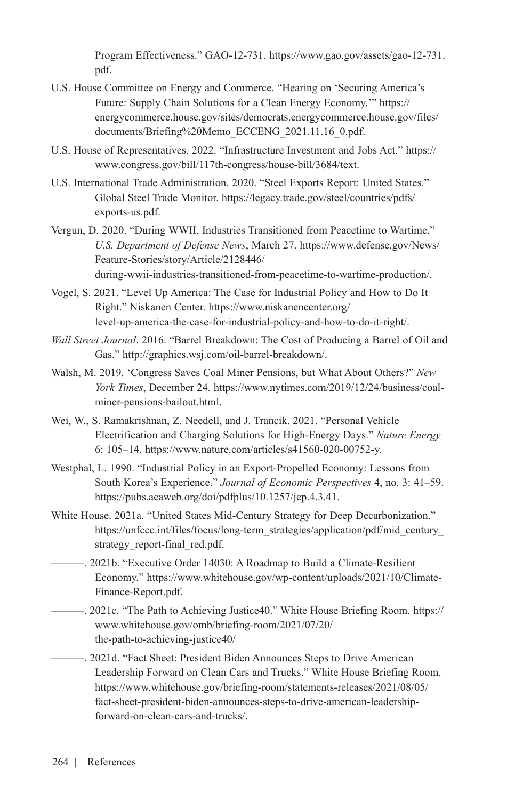Program Effectiveness." GAO-12-731. [https://www.gao.gov/assets/gao-12-731.](https://www.gao.gov/assets/gao-12-731.pdf) [pdf.](https://www.gao.gov/assets/gao-12-731.pdf)

- U.S. House Committee on Energy and Commerce. "Hearing on 'Securing America's Future: Supply Chain Solutions for a Clean Energy Economy.'" [https://](https://energycommerce.house.gov/sites/democrats.energycommerce.house.gov/files/documents/Briefing%20Memo_ECCENG_2021.11.16_0.pdf) [energycommerce.house.gov/sites/democrats.energycommerce.house.gov/files/](https://energycommerce.house.gov/sites/democrats.energycommerce.house.gov/files/documents/Briefing%20Memo_ECCENG_2021.11.16_0.pdf) [documents/Briefing%20Memo\\_ECCENG\\_2021.11.16\\_0.pdf.](https://energycommerce.house.gov/sites/democrats.energycommerce.house.gov/files/documents/Briefing%20Memo_ECCENG_2021.11.16_0.pdf)
- U.S. House of Representatives. 2022. "Infrastructure Investment and Jobs Act." [https://](https://www.congress.gov/bill/117th-congress/house-bill/3684/text) [www.congress.gov/bill/117th-congress/house-bill/3684/text](https://www.congress.gov/bill/117th-congress/house-bill/3684/text).
- U.S. International Trade Administration. 2020. "Steel Exports Report: United States." Global Steel Trade Monitor. [https://legacy.trade.gov/steel/countries/pdfs/](https://legacy.trade.gov/steel/countries/pdfs/exports-us.pdf) [exports-us.pdf.](https://legacy.trade.gov/steel/countries/pdfs/exports-us.pdf)
- Vergun, D. 2020. "During WWII, Industries Transitioned from Peacetime to Wartime." *U.S. Department of Defense News*, March 27[. https://www.defense.gov/News/](file:///C:\Users\NKaufman\AppData\Local\Microsoft\Windows\INetCache\Content.Outlook\GNG7ECY3\.%20https:\www.defense.gov\News\Feature-Stories\story\Article\2128446\during-wwii-industries-transitioned-from-peacetime-to-wartime-production\) [Feature-Stories/story/Article/2128446/](file:///C:\Users\NKaufman\AppData\Local\Microsoft\Windows\INetCache\Content.Outlook\GNG7ECY3\.%20https:\www.defense.gov\News\Feature-Stories\story\Article\2128446\during-wwii-industries-transitioned-from-peacetime-to-wartime-production\) [during-wwii-industries-transitioned-from-peacetime-to-wartime-production/.](file:///C:\Users\NKaufman\AppData\Local\Microsoft\Windows\INetCache\Content.Outlook\GNG7ECY3\.%20https:\www.defense.gov\News\Feature-Stories\story\Article\2128446\during-wwii-industries-transitioned-from-peacetime-to-wartime-production\)
- Vogel, S. 2021. "Level Up America: The Case for Industrial Policy and How to Do It Right." Niskanen Center. [https://www.niskanencenter.org/](https://www.niskanencenter.org/level-up-america-the-case-for-industrial-policy-and-how-to-do-it-right/.) [level-up-america-the-case-for-industrial-policy-and-how-to-do-it-right/.](https://www.niskanencenter.org/level-up-america-the-case-for-industrial-policy-and-how-to-do-it-right/.)
- *Wall Street Journal*. 2016. "Barrel Breakdown: The Cost of Producing a Barrel of Oil and Gas." [http://graphics.wsj.com/oil-barrel-breakdown/.](http://graphics.wsj.com/oil-barrel-breakdown/)
- Walsh, M. 2019. 'Congress Saves Coal Miner Pensions, but What About Others?" *New York Times*, December 24*.* [https://www.nytimes.com/2019/12/24/business/coal](https://www.nytimes.com/2019/12/24/business/coal-miner-pensions-bailout.html)[miner-pensions-bailout.html](https://www.nytimes.com/2019/12/24/business/coal-miner-pensions-bailout.html).
- Wei, W., S. Ramakrishnan, Z. Needell, and J. Trancik. 2021. "Personal Vehicle Electrification and Charging Solutions for High-Energy Days." *Nature Energy* 6: 105–14. <https://www.nature.com/articles/s41560-020-00752-y>.
- Westphal, L. 1990. "Industrial Policy in an Export-Propelled Economy: Lessons from South Korea's Experience." *Journal of Economic Perspectives* 4, no. 3: 41–59. [https://pubs.aeaweb.org/doi/pdfplus/10.1257/jep.4.3.41.](https://pubs.aeaweb.org/doi/pdfplus/10.1257/jep.4.3.41)
- White House. 2021a. "United States Mid-Century Strategy for Deep Decarbonization." https://unfccc.int/files/focus/long-term\_strategies/application/pdf/mid\_century [strategy\\_report-final\\_red.pdf](https://unfccc.int/files/focus/long-term_strategies/application/pdf/mid_century_strategy_report-final_red.pdf).
	- ———. 2021b. "Executive Order 14030: A Roadmap to Build a Climate-Resilient Economy." [https://www.whitehouse.gov/wp-content/uploads/2021/10/Climate-](https://www.whitehouse.gov/wp-content/uploads/2021/10/Climate-Finance-Report.pdf)[Finance-Report.pdf](https://www.whitehouse.gov/wp-content/uploads/2021/10/Climate-Finance-Report.pdf).
	- ———. 2021c. "The Path to Achieving Justice40." White House Briefing Room. [https://](https://www.whitehouse.gov/omb/briefing-room/2021/07/20/the-path-to-achieving-justice40/) [www.whitehouse.gov/omb/briefing-room/2021/07/20/](https://www.whitehouse.gov/omb/briefing-room/2021/07/20/the-path-to-achieving-justice40/) [the-path-to-achieving-justice40/](https://www.whitehouse.gov/omb/briefing-room/2021/07/20/the-path-to-achieving-justice40/)
	- ———. 2021d. "Fact Sheet: President Biden Announces Steps to Drive American Leadership Forward on Clean Cars and Trucks." White House Briefing Room. [https://www.whitehouse.gov/briefing-room/statements-releases/2021/08/05/](https://www.whitehouse.gov/briefing-room/statements-releases/2021/08/05/fact-sheet-president-biden-announces-steps-to-drive-american-leadership-forward-on-clean-cars-and-trucks/) [fact-sheet-president-biden-announces-steps-to-drive-american-leadership](https://www.whitehouse.gov/briefing-room/statements-releases/2021/08/05/fact-sheet-president-biden-announces-steps-to-drive-american-leadership-forward-on-clean-cars-and-trucks/)[forward-on-clean-cars-and-trucks/](https://www.whitehouse.gov/briefing-room/statements-releases/2021/08/05/fact-sheet-president-biden-announces-steps-to-drive-american-leadership-forward-on-clean-cars-and-trucks/).